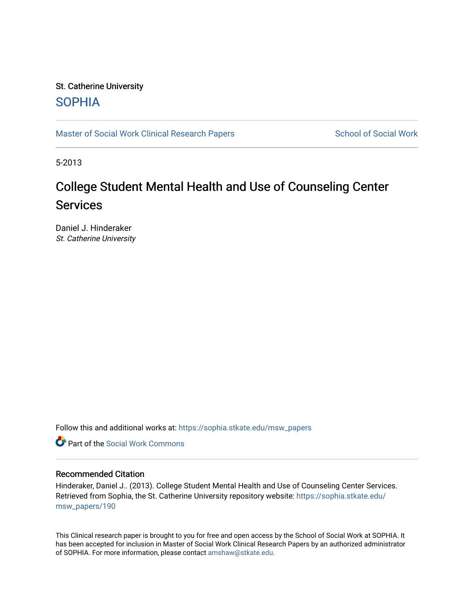# St. Catherine University [SOPHIA](https://sophia.stkate.edu/)

[Master of Social Work Clinical Research Papers](https://sophia.stkate.edu/msw_papers) School of Social Work

5-2013

# College Student Mental Health and Use of Counseling Center **Services**

Daniel J. Hinderaker St. Catherine University

Follow this and additional works at: [https://sophia.stkate.edu/msw\\_papers](https://sophia.stkate.edu/msw_papers?utm_source=sophia.stkate.edu%2Fmsw_papers%2F190&utm_medium=PDF&utm_campaign=PDFCoverPages) 

**C** Part of the [Social Work Commons](http://network.bepress.com/hgg/discipline/713?utm_source=sophia.stkate.edu%2Fmsw_papers%2F190&utm_medium=PDF&utm_campaign=PDFCoverPages)

# Recommended Citation

Hinderaker, Daniel J.. (2013). College Student Mental Health and Use of Counseling Center Services. Retrieved from Sophia, the St. Catherine University repository website: [https://sophia.stkate.edu/](https://sophia.stkate.edu/msw_papers/190?utm_source=sophia.stkate.edu%2Fmsw_papers%2F190&utm_medium=PDF&utm_campaign=PDFCoverPages) [msw\\_papers/190](https://sophia.stkate.edu/msw_papers/190?utm_source=sophia.stkate.edu%2Fmsw_papers%2F190&utm_medium=PDF&utm_campaign=PDFCoverPages)

This Clinical research paper is brought to you for free and open access by the School of Social Work at SOPHIA. It has been accepted for inclusion in Master of Social Work Clinical Research Papers by an authorized administrator of SOPHIA. For more information, please contact [amshaw@stkate.edu.](mailto:amshaw@stkate.edu)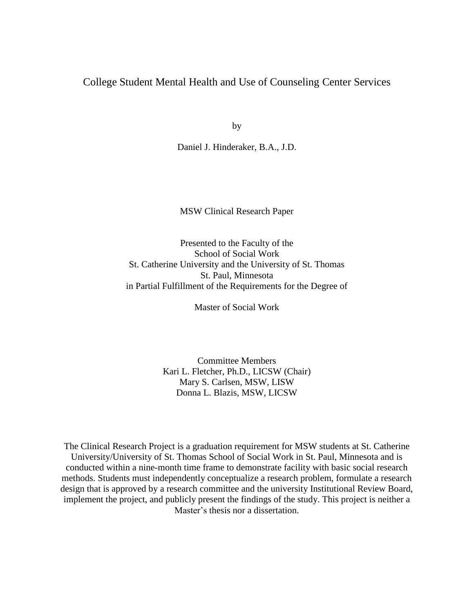# College Student Mental Health and Use of Counseling Center Services

by

Daniel J. Hinderaker, B.A., J.D.

MSW Clinical Research Paper

Presented to the Faculty of the School of Social Work St. Catherine University and the University of St. Thomas St. Paul, Minnesota in Partial Fulfillment of the Requirements for the Degree of

Master of Social Work

Committee Members Kari L. Fletcher, Ph.D., LICSW (Chair) Mary S. Carlsen, MSW, LISW Donna L. Blazis, MSW, LICSW

The Clinical Research Project is a graduation requirement for MSW students at St. Catherine University/University of St. Thomas School of Social Work in St. Paul, Minnesota and is conducted within a nine-month time frame to demonstrate facility with basic social research methods. Students must independently conceptualize a research problem, formulate a research design that is approved by a research committee and the university Institutional Review Board, implement the project, and publicly present the findings of the study. This project is neither a Master's thesis nor a dissertation.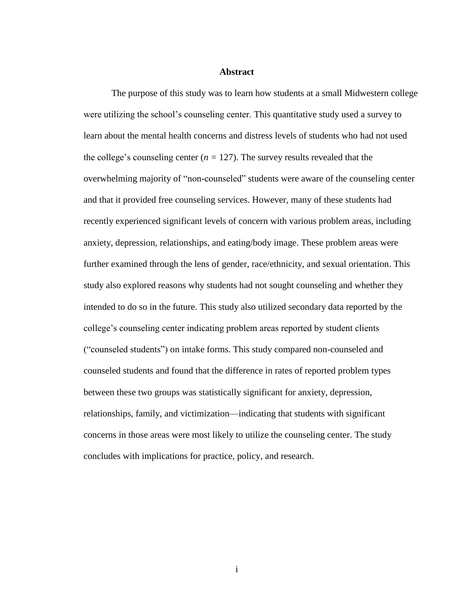#### **Abstract**

The purpose of this study was to learn how students at a small Midwestern college were utilizing the school's counseling center. This quantitative study used a survey to learn about the mental health concerns and distress levels of students who had not used the college's counseling center  $(n = 127)$ . The survey results revealed that the overwhelming majority of "non-counseled" students were aware of the counseling center and that it provided free counseling services. However, many of these students had recently experienced significant levels of concern with various problem areas, including anxiety, depression, relationships, and eating/body image. These problem areas were further examined through the lens of gender, race/ethnicity, and sexual orientation. This study also explored reasons why students had not sought counseling and whether they intended to do so in the future. This study also utilized secondary data reported by the college's counseling center indicating problem areas reported by student clients ("counseled students") on intake forms. This study compared non-counseled and counseled students and found that the difference in rates of reported problem types between these two groups was statistically significant for anxiety, depression, relationships, family, and victimization—indicating that students with significant concerns in those areas were most likely to utilize the counseling center. The study concludes with implications for practice, policy, and research.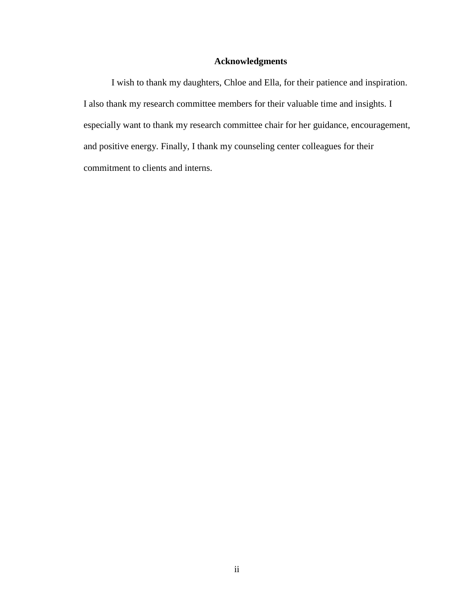# **Acknowledgments**

I wish to thank my daughters, Chloe and Ella, for their patience and inspiration. I also thank my research committee members for their valuable time and insights. I especially want to thank my research committee chair for her guidance, encouragement, and positive energy. Finally, I thank my counseling center colleagues for their commitment to clients and interns.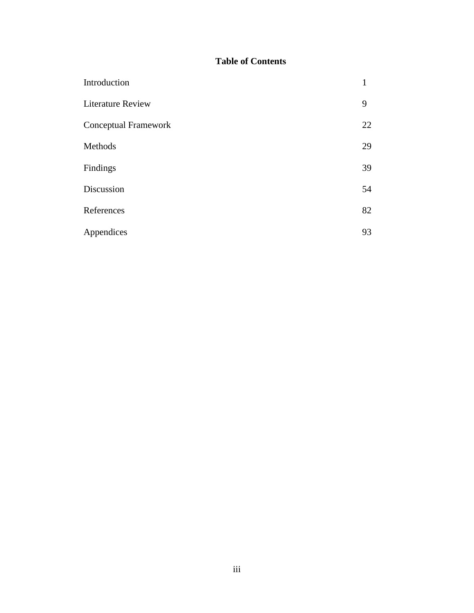# **Table of Contents**

| Introduction             | $\mathbf{1}$ |
|--------------------------|--------------|
| <b>Literature Review</b> | 9            |
| Conceptual Framework     | 22           |
| Methods                  | 29           |
| Findings                 | 39           |
| Discussion               | 54           |
| References               | 82           |
| Appendices               | 93           |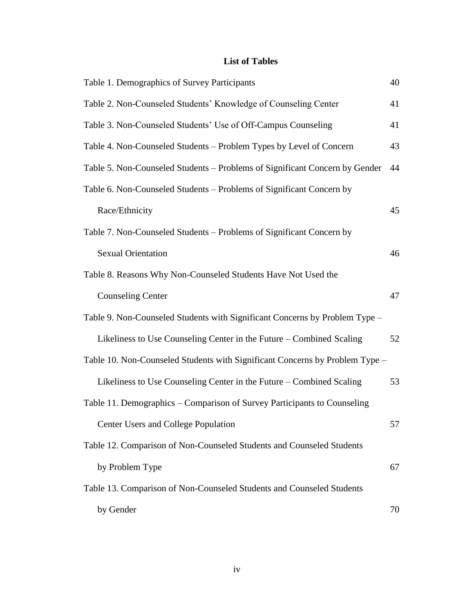# **List of Tables**

| Table 1. Demographics of Survey Participants                                 | 40 |
|------------------------------------------------------------------------------|----|
| Table 2. Non-Counseled Students' Knowledge of Counseling Center              | 41 |
| Table 3. Non-Counseled Students' Use of Off-Campus Counseling                | 41 |
| Table 4. Non-Counseled Students - Problem Types by Level of Concern          | 43 |
| Table 5. Non-Counseled Students – Problems of Significant Concern by Gender  | 44 |
| Table 6. Non-Counseled Students – Problems of Significant Concern by         |    |
| Race/Ethnicity                                                               | 45 |
| Table 7. Non-Counseled Students - Problems of Significant Concern by         |    |
| <b>Sexual Orientation</b>                                                    | 46 |
| Table 8. Reasons Why Non-Counseled Students Have Not Used the                |    |
| <b>Counseling Center</b>                                                     | 47 |
| Table 9. Non-Counseled Students with Significant Concerns by Problem Type -  |    |
| Likeliness to Use Counseling Center in the Future – Combined Scaling         | 52 |
| Table 10. Non-Counseled Students with Significant Concerns by Problem Type - |    |
| Likeliness to Use Counseling Center in the Future – Combined Scaling         | 53 |
| Table 11. Demographics – Comparison of Survey Participants to Counseling     |    |
| Center Users and College Population                                          | 57 |
| Table 12. Comparison of Non-Counseled Students and Counseled Students        |    |
| by Problem Type                                                              | 67 |
| Table 13. Comparison of Non-Counseled Students and Counseled Students        |    |
| by Gender                                                                    | 70 |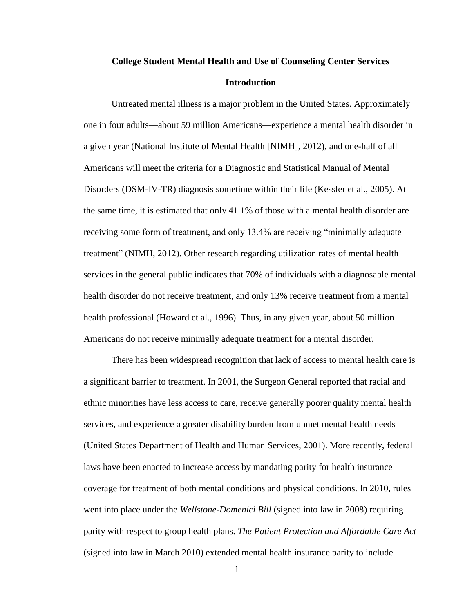# **College Student Mental Health and Use of Counseling Center Services Introduction**

Untreated mental illness is a major problem in the United States. Approximately one in four adults—about 59 million Americans—experience a mental health disorder in a given year (National Institute of Mental Health [NIMH], 2012), and one-half of all Americans will meet the criteria for a Diagnostic and Statistical Manual of Mental Disorders (DSM-IV-TR) diagnosis sometime within their life (Kessler et al., 2005). At the same time, it is estimated that only 41.1% of those with a mental health disorder are receiving some form of treatment, and only 13.4% are receiving "minimally adequate treatment" (NIMH, 2012). Other research regarding utilization rates of mental health services in the general public indicates that 70% of individuals with a diagnosable mental health disorder do not receive treatment, and only 13% receive treatment from a mental health professional (Howard et al., 1996). Thus, in any given year, about 50 million Americans do not receive minimally adequate treatment for a mental disorder.

There has been widespread recognition that lack of access to mental health care is a significant barrier to treatment. In 2001, the Surgeon General reported that racial and ethnic minorities have less access to care, receive generally poorer quality mental health services, and experience a greater disability burden from unmet mental health needs (United States Department of Health and Human Services, 2001). More recently, federal laws have been enacted to increase access by mandating parity for health insurance coverage for treatment of both mental conditions and physical conditions. In 2010, rules went into place under the *Wellstone-Domenici Bill* (signed into law in 2008) requiring parity with respect to group health plans. *The Patient Protection and Affordable Care Act* (signed into law in March 2010) extended mental health insurance parity to include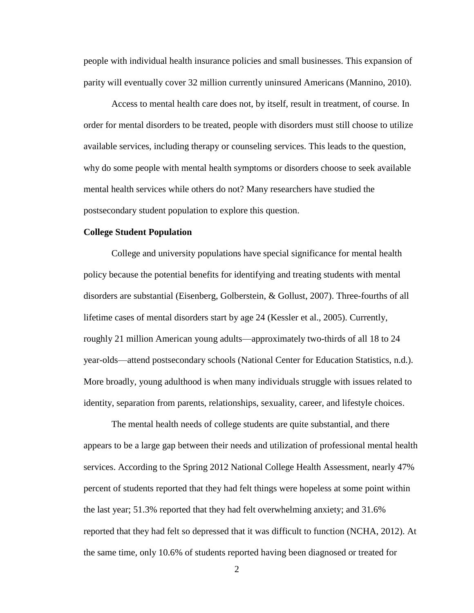people with individual health insurance policies and small businesses. This expansion of parity will eventually cover 32 million currently uninsured Americans (Mannino, 2010).

Access to mental health care does not, by itself, result in treatment, of course. In order for mental disorders to be treated, people with disorders must still choose to utilize available services, including therapy or counseling services. This leads to the question, why do some people with mental health symptoms or disorders choose to seek available mental health services while others do not? Many researchers have studied the postsecondary student population to explore this question.

#### **College Student Population**

College and university populations have special significance for mental health policy because the potential benefits for identifying and treating students with mental disorders are substantial (Eisenberg, Golberstein, & Gollust, 2007). Three-fourths of all lifetime cases of mental disorders start by age 24 (Kessler et al., 2005). Currently, roughly 21 million American young adults—approximately two-thirds of all 18 to 24 year-olds—attend postsecondary schools (National Center for Education Statistics, n.d.). More broadly, young adulthood is when many individuals struggle with issues related to identity, separation from parents, relationships, sexuality, career, and lifestyle choices.

The mental health needs of college students are quite substantial, and there appears to be a large gap between their needs and utilization of professional mental health services. According to the Spring 2012 National College Health Assessment, nearly 47% percent of students reported that they had felt things were hopeless at some point within the last year; 51.3% reported that they had felt overwhelming anxiety; and 31.6% reported that they had felt so depressed that it was difficult to function (NCHA, 2012). At the same time, only 10.6% of students reported having been diagnosed or treated for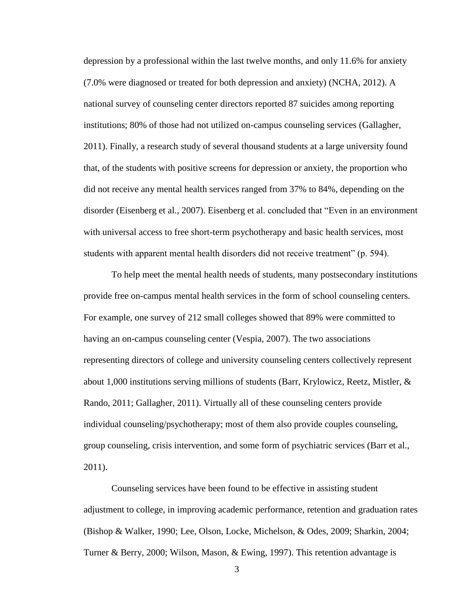depression by a professional within the last twelve months, and only 11.6% for anxiety (7.0% were diagnosed or treated for both depression and anxiety) (NCHA, 2012). A national survey of counseling center directors reported 87 suicides among reporting institutions; 80% of those had not utilized on-campus counseling services (Gallagher, 2011). Finally, a research study of several thousand students at a large university found that, of the students with positive screens for depression or anxiety, the proportion who did not receive any mental health services ranged from 37% to 84%, depending on the disorder (Eisenberg et al., 2007). Eisenberg et al. concluded that "Even in an environment with universal access to free short-term psychotherapy and basic health services, most students with apparent mental health disorders did not receive treatment" (p. 594).

To help meet the mental health needs of students, many postsecondary institutions provide free on-campus mental health services in the form of school counseling centers. For example, one survey of 212 small colleges showed that 89% were committed to having an on-campus counseling center (Vespia, 2007). The two associations representing directors of college and university counseling centers collectively represent about 1,000 institutions serving millions of students (Barr, Krylowicz, Reetz, Mistler, & Rando, 2011; Gallagher, 2011). Virtually all of these counseling centers provide individual counseling/psychotherapy; most of them also provide couples counseling, group counseling, crisis intervention, and some form of psychiatric services (Barr et al., 2011).

Counseling services have been found to be effective in assisting student adjustment to college, in improving academic performance, retention and graduation rates (Bishop & Walker, 1990; Lee, Olson, Locke, Michelson, & Odes, 2009; Sharkin, 2004; Turner & Berry, 2000; Wilson, Mason, & Ewing, 1997). This retention advantage is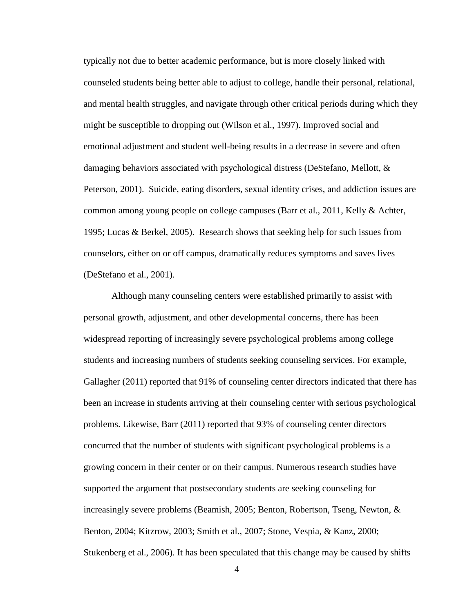typically not due to better academic performance, but is more closely linked with counseled students being better able to adjust to college, handle their personal, relational, and mental health struggles, and navigate through other critical periods during which they might be susceptible to dropping out (Wilson et al., 1997). Improved social and emotional adjustment and student well-being results in a decrease in severe and often damaging behaviors associated with psychological distress (DeStefano, Mellott, & Peterson, 2001). Suicide, eating disorders, sexual identity crises, and addiction issues are common among young people on college campuses (Barr et al., 2011, Kelly & Achter, 1995; Lucas & Berkel, 2005). Research shows that seeking help for such issues from counselors, either on or off campus, dramatically reduces symptoms and saves lives (DeStefano et al., 2001).

Although many counseling centers were established primarily to assist with personal growth, adjustment, and other developmental concerns, there has been widespread reporting of increasingly severe psychological problems among college students and increasing numbers of students seeking counseling services. For example, Gallagher (2011) reported that 91% of counseling center directors indicated that there has been an increase in students arriving at their counseling center with serious psychological problems. Likewise, Barr (2011) reported that 93% of counseling center directors concurred that the number of students with significant psychological problems is a growing concern in their center or on their campus. Numerous research studies have supported the argument that postsecondary students are seeking counseling for increasingly severe problems (Beamish, 2005; Benton, Robertson, Tseng, Newton, & Benton, 2004; Kitzrow, 2003; Smith et al., 2007; Stone, Vespia, & Kanz, 2000; Stukenberg et al., 2006). It has been speculated that this change may be caused by shifts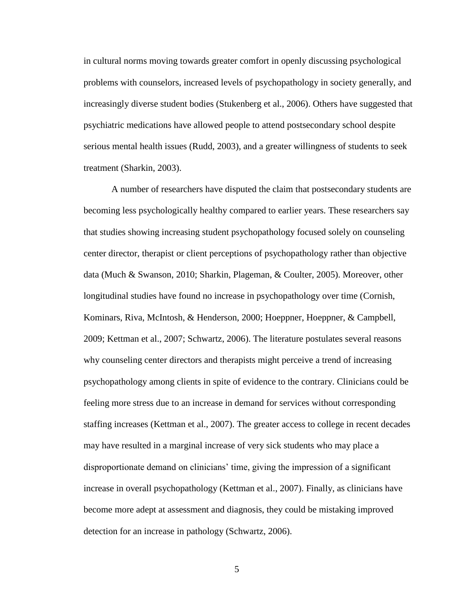in cultural norms moving towards greater comfort in openly discussing psychological problems with counselors, increased levels of psychopathology in society generally, and increasingly diverse student bodies (Stukenberg et al., 2006). Others have suggested that psychiatric medications have allowed people to attend postsecondary school despite serious mental health issues (Rudd, 2003), and a greater willingness of students to seek treatment (Sharkin, 2003).

A number of researchers have disputed the claim that postsecondary students are becoming less psychologically healthy compared to earlier years. These researchers say that studies showing increasing student psychopathology focused solely on counseling center director, therapist or client perceptions of psychopathology rather than objective data (Much & Swanson, 2010; Sharkin, Plageman, & Coulter, 2005). Moreover, other longitudinal studies have found no increase in psychopathology over time (Cornish, Kominars, Riva, McIntosh, & Henderson, 2000; Hoeppner, Hoeppner, & Campbell, 2009; Kettman et al., 2007; Schwartz, 2006). The literature postulates several reasons why counseling center directors and therapists might perceive a trend of increasing psychopathology among clients in spite of evidence to the contrary. Clinicians could be feeling more stress due to an increase in demand for services without corresponding staffing increases (Kettman et al., 2007). The greater access to college in recent decades may have resulted in a marginal increase of very sick students who may place a disproportionate demand on clinicians' time, giving the impression of a significant increase in overall psychopathology (Kettman et al., 2007). Finally, as clinicians have become more adept at assessment and diagnosis, they could be mistaking improved detection for an increase in pathology (Schwartz, 2006).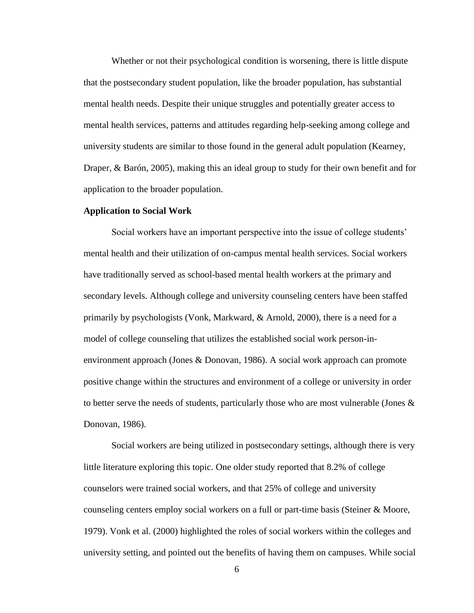Whether or not their psychological condition is worsening, there is little dispute that the postsecondary student population, like the broader population, has substantial mental health needs. Despite their unique struggles and potentially greater access to mental health services, patterns and attitudes regarding help-seeking among college and university students are similar to those found in the general adult population (Kearney, Draper, & Barón, 2005), making this an ideal group to study for their own benefit and for application to the broader population.

#### **Application to Social Work**

Social workers have an important perspective into the issue of college students' mental health and their utilization of on-campus mental health services. Social workers have traditionally served as school-based mental health workers at the primary and secondary levels. Although college and university counseling centers have been staffed primarily by psychologists (Vonk, Markward, & Arnold, 2000), there is a need for a model of college counseling that utilizes the established social work person-inenvironment approach (Jones & Donovan, 1986). A social work approach can promote positive change within the structures and environment of a college or university in order to better serve the needs of students, particularly those who are most vulnerable (Jones  $\&$ Donovan, 1986).

Social workers are being utilized in postsecondary settings, although there is very little literature exploring this topic. One older study reported that 8.2% of college counselors were trained social workers, and that 25% of college and university counseling centers employ social workers on a full or part-time basis (Steiner & Moore, 1979). Vonk et al. (2000) highlighted the roles of social workers within the colleges and university setting, and pointed out the benefits of having them on campuses. While social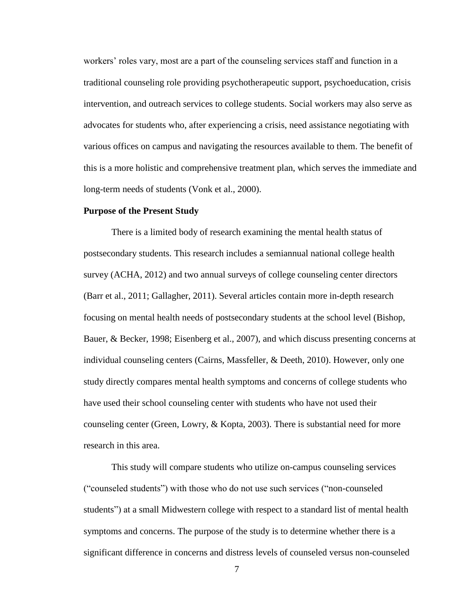workers' roles vary, most are a part of the counseling services staff and function in a traditional counseling role providing psychotherapeutic support, psychoeducation, crisis intervention, and outreach services to college students. Social workers may also serve as advocates for students who, after experiencing a crisis, need assistance negotiating with various offices on campus and navigating the resources available to them. The benefit of this is a more holistic and comprehensive treatment plan, which serves the immediate and long-term needs of students (Vonk et al., 2000).

#### **Purpose of the Present Study**

There is a limited body of research examining the mental health status of postsecondary students. This research includes a semiannual national college health survey (ACHA, 2012) and two annual surveys of college counseling center directors (Barr et al., 2011; Gallagher, 2011). Several articles contain more in-depth research focusing on mental health needs of postsecondary students at the school level (Bishop, Bauer, & Becker, 1998; Eisenberg et al., 2007), and which discuss presenting concerns at individual counseling centers (Cairns, Massfeller, & Deeth, 2010). However, only one study directly compares mental health symptoms and concerns of college students who have used their school counseling center with students who have not used their counseling center (Green, Lowry, & Kopta, 2003). There is substantial need for more research in this area.

This study will compare students who utilize on-campus counseling services ("counseled students") with those who do not use such services ("non-counseled students") at a small Midwestern college with respect to a standard list of mental health symptoms and concerns. The purpose of the study is to determine whether there is a significant difference in concerns and distress levels of counseled versus non-counseled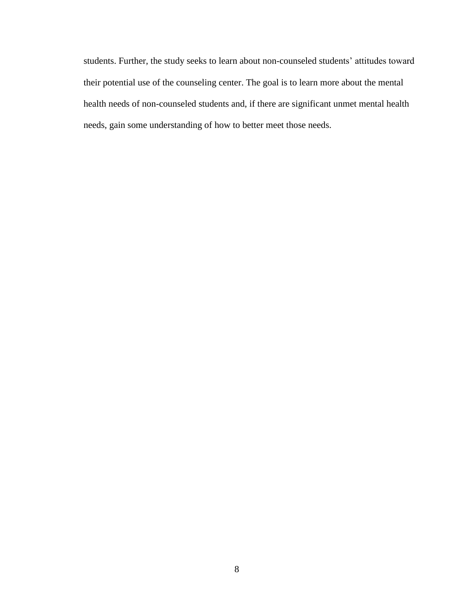students. Further, the study seeks to learn about non-counseled students' attitudes toward their potential use of the counseling center. The goal is to learn more about the mental health needs of non-counseled students and, if there are significant unmet mental health needs, gain some understanding of how to better meet those needs.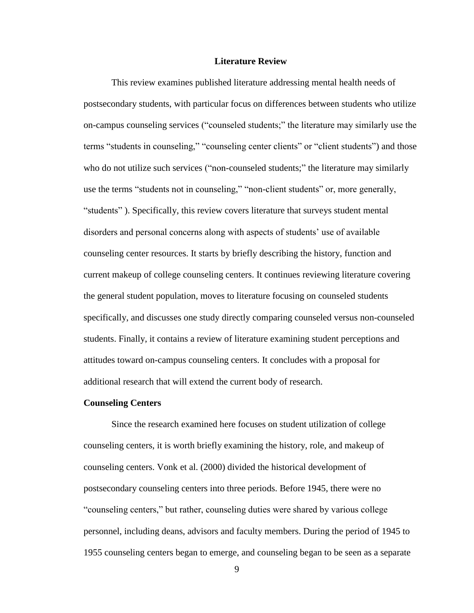#### **Literature Review**

This review examines published literature addressing mental health needs of postsecondary students, with particular focus on differences between students who utilize on-campus counseling services ("counseled students;" the literature may similarly use the terms "students in counseling," "counseling center clients" or "client students") and those who do not utilize such services ("non-counseled students;" the literature may similarly use the terms "students not in counseling," "non-client students" or, more generally, "students" ). Specifically, this review covers literature that surveys student mental disorders and personal concerns along with aspects of students' use of available counseling center resources. It starts by briefly describing the history, function and current makeup of college counseling centers. It continues reviewing literature covering the general student population, moves to literature focusing on counseled students specifically, and discusses one study directly comparing counseled versus non-counseled students. Finally, it contains a review of literature examining student perceptions and attitudes toward on-campus counseling centers. It concludes with a proposal for additional research that will extend the current body of research.

#### **Counseling Centers**

Since the research examined here focuses on student utilization of college counseling centers, it is worth briefly examining the history, role, and makeup of counseling centers. Vonk et al. (2000) divided the historical development of postsecondary counseling centers into three periods. Before 1945, there were no "counseling centers," but rather, counseling duties were shared by various college personnel, including deans, advisors and faculty members. During the period of 1945 to 1955 counseling centers began to emerge, and counseling began to be seen as a separate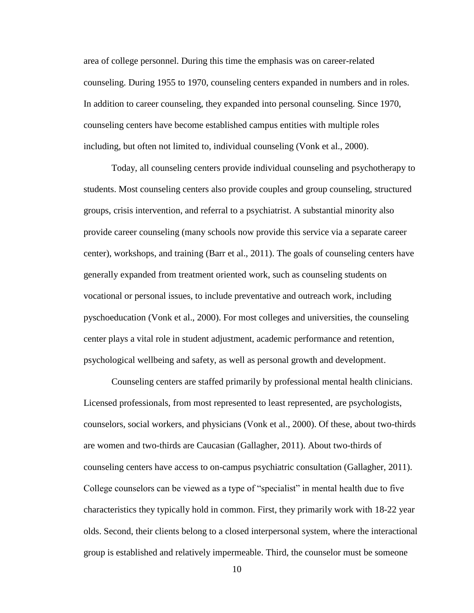area of college personnel. During this time the emphasis was on career-related counseling. During 1955 to 1970, counseling centers expanded in numbers and in roles. In addition to career counseling, they expanded into personal counseling. Since 1970, counseling centers have become established campus entities with multiple roles including, but often not limited to, individual counseling (Vonk et al., 2000).

Today, all counseling centers provide individual counseling and psychotherapy to students. Most counseling centers also provide couples and group counseling, structured groups, crisis intervention, and referral to a psychiatrist. A substantial minority also provide career counseling (many schools now provide this service via a separate career center), workshops, and training (Barr et al., 2011). The goals of counseling centers have generally expanded from treatment oriented work, such as counseling students on vocational or personal issues, to include preventative and outreach work, including pyschoeducation (Vonk et al., 2000). For most colleges and universities, the counseling center plays a vital role in student adjustment, academic performance and retention, psychological wellbeing and safety, as well as personal growth and development.

Counseling centers are staffed primarily by professional mental health clinicians. Licensed professionals, from most represented to least represented, are psychologists, counselors, social workers, and physicians (Vonk et al., 2000). Of these, about two-thirds are women and two-thirds are Caucasian (Gallagher, 2011). About two-thirds of counseling centers have access to on-campus psychiatric consultation (Gallagher, 2011). College counselors can be viewed as a type of "specialist" in mental health due to five characteristics they typically hold in common. First, they primarily work with 18-22 year olds. Second, their clients belong to a closed interpersonal system, where the interactional group is established and relatively impermeable. Third, the counselor must be someone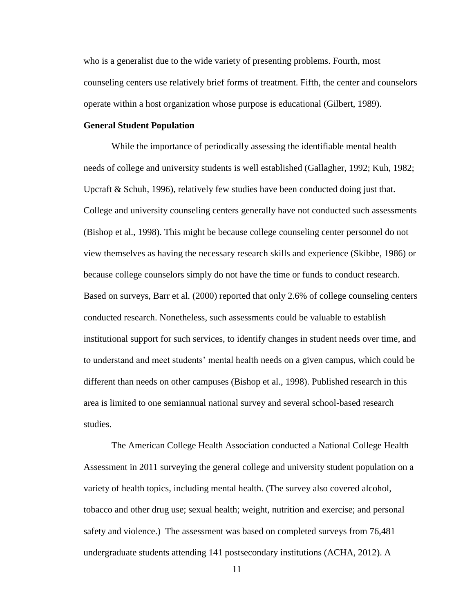who is a generalist due to the wide variety of presenting problems. Fourth, most counseling centers use relatively brief forms of treatment. Fifth, the center and counselors operate within a host organization whose purpose is educational (Gilbert, 1989).

# **General Student Population**

While the importance of periodically assessing the identifiable mental health needs of college and university students is well established (Gallagher, 1992; Kuh, 1982; Upcraft & Schuh, 1996), relatively few studies have been conducted doing just that. College and university counseling centers generally have not conducted such assessments (Bishop et al., 1998). This might be because college counseling center personnel do not view themselves as having the necessary research skills and experience (Skibbe, 1986) or because college counselors simply do not have the time or funds to conduct research. Based on surveys, Barr et al. (2000) reported that only 2.6% of college counseling centers conducted research. Nonetheless, such assessments could be valuable to establish institutional support for such services, to identify changes in student needs over time, and to understand and meet students' mental health needs on a given campus, which could be different than needs on other campuses (Bishop et al., 1998). Published research in this area is limited to one semiannual national survey and several school-based research studies.

The American College Health Association conducted a National College Health Assessment in 2011 surveying the general college and university student population on a variety of health topics, including mental health. (The survey also covered alcohol, tobacco and other drug use; sexual health; weight, nutrition and exercise; and personal safety and violence.) The assessment was based on completed surveys from 76,481 undergraduate students attending 141 postsecondary institutions (ACHA, 2012). A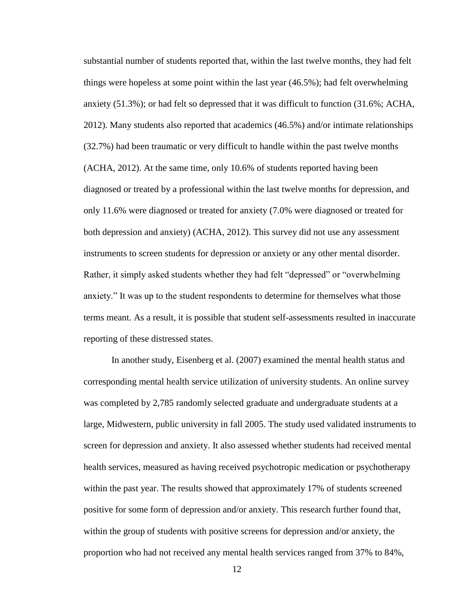substantial number of students reported that, within the last twelve months, they had felt things were hopeless at some point within the last year (46.5%); had felt overwhelming anxiety (51.3%); or had felt so depressed that it was difficult to function (31.6%; ACHA, 2012). Many students also reported that academics (46.5%) and/or intimate relationships (32.7%) had been traumatic or very difficult to handle within the past twelve months (ACHA, 2012). At the same time, only 10.6% of students reported having been diagnosed or treated by a professional within the last twelve months for depression, and only 11.6% were diagnosed or treated for anxiety (7.0% were diagnosed or treated for both depression and anxiety) (ACHA, 2012). This survey did not use any assessment instruments to screen students for depression or anxiety or any other mental disorder. Rather, it simply asked students whether they had felt "depressed" or "overwhelming anxiety." It was up to the student respondents to determine for themselves what those terms meant. As a result, it is possible that student self-assessments resulted in inaccurate reporting of these distressed states.

In another study, Eisenberg et al. (2007) examined the mental health status and corresponding mental health service utilization of university students. An online survey was completed by 2,785 randomly selected graduate and undergraduate students at a large, Midwestern, public university in fall 2005. The study used validated instruments to screen for depression and anxiety. It also assessed whether students had received mental health services, measured as having received psychotropic medication or psychotherapy within the past year. The results showed that approximately 17% of students screened positive for some form of depression and/or anxiety. This research further found that, within the group of students with positive screens for depression and/or anxiety, the proportion who had not received any mental health services ranged from 37% to 84%,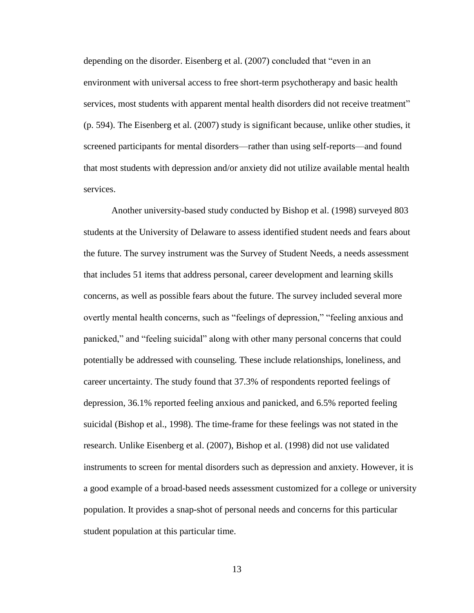depending on the disorder. Eisenberg et al. (2007) concluded that "even in an environment with universal access to free short-term psychotherapy and basic health services, most students with apparent mental health disorders did not receive treatment" (p. 594). The Eisenberg et al. (2007) study is significant because, unlike other studies, it screened participants for mental disorders—rather than using self-reports—and found that most students with depression and/or anxiety did not utilize available mental health services.

Another university-based study conducted by Bishop et al. (1998) surveyed 803 students at the University of Delaware to assess identified student needs and fears about the future. The survey instrument was the Survey of Student Needs, a needs assessment that includes 51 items that address personal, career development and learning skills concerns, as well as possible fears about the future. The survey included several more overtly mental health concerns, such as "feelings of depression," "feeling anxious and panicked," and "feeling suicidal" along with other many personal concerns that could potentially be addressed with counseling. These include relationships, loneliness, and career uncertainty. The study found that 37.3% of respondents reported feelings of depression, 36.1% reported feeling anxious and panicked, and 6.5% reported feeling suicidal (Bishop et al., 1998). The time-frame for these feelings was not stated in the research. Unlike Eisenberg et al. (2007), Bishop et al. (1998) did not use validated instruments to screen for mental disorders such as depression and anxiety. However, it is a good example of a broad-based needs assessment customized for a college or university population. It provides a snap-shot of personal needs and concerns for this particular student population at this particular time.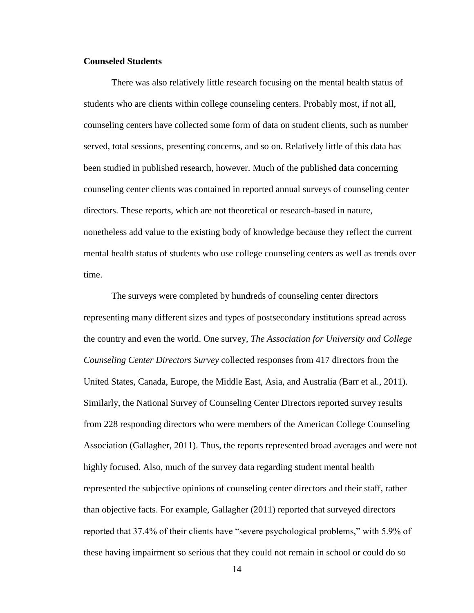# **Counseled Students**

There was also relatively little research focusing on the mental health status of students who are clients within college counseling centers. Probably most, if not all, counseling centers have collected some form of data on student clients, such as number served, total sessions, presenting concerns, and so on. Relatively little of this data has been studied in published research, however. Much of the published data concerning counseling center clients was contained in reported annual surveys of counseling center directors. These reports, which are not theoretical or research-based in nature, nonetheless add value to the existing body of knowledge because they reflect the current mental health status of students who use college counseling centers as well as trends over time.

The surveys were completed by hundreds of counseling center directors representing many different sizes and types of postsecondary institutions spread across the country and even the world. One survey, *The Association for University and College Counseling Center Directors Survey* collected responses from 417 directors from the United States, Canada, Europe, the Middle East, Asia, and Australia (Barr et al., 2011). Similarly, the National Survey of Counseling Center Directors reported survey results from 228 responding directors who were members of the American College Counseling Association (Gallagher, 2011). Thus, the reports represented broad averages and were not highly focused. Also, much of the survey data regarding student mental health represented the subjective opinions of counseling center directors and their staff, rather than objective facts. For example, Gallagher (2011) reported that surveyed directors reported that 37.4% of their clients have "severe psychological problems," with 5.9% of these having impairment so serious that they could not remain in school or could do so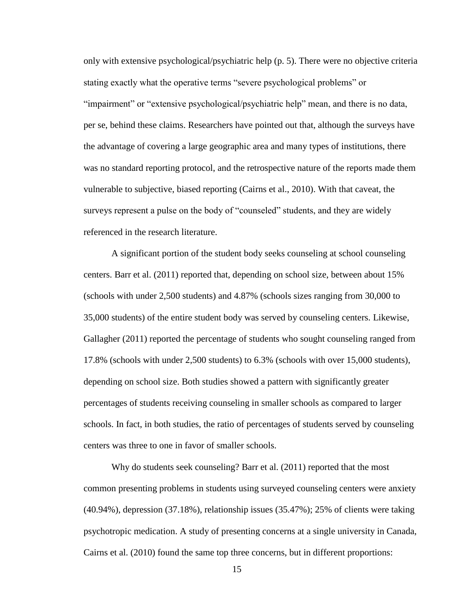only with extensive psychological/psychiatric help (p. 5). There were no objective criteria stating exactly what the operative terms "severe psychological problems" or "impairment" or "extensive psychological/psychiatric help" mean, and there is no data, per se, behind these claims. Researchers have pointed out that, although the surveys have the advantage of covering a large geographic area and many types of institutions, there was no standard reporting protocol, and the retrospective nature of the reports made them vulnerable to subjective, biased reporting (Cairns et al., 2010). With that caveat, the surveys represent a pulse on the body of "counseled" students, and they are widely referenced in the research literature.

A significant portion of the student body seeks counseling at school counseling centers. Barr et al. (2011) reported that, depending on school size, between about 15% (schools with under 2,500 students) and 4.87% (schools sizes ranging from 30,000 to 35,000 students) of the entire student body was served by counseling centers. Likewise, Gallagher (2011) reported the percentage of students who sought counseling ranged from 17.8% (schools with under 2,500 students) to 6.3% (schools with over 15,000 students), depending on school size. Both studies showed a pattern with significantly greater percentages of students receiving counseling in smaller schools as compared to larger schools. In fact, in both studies, the ratio of percentages of students served by counseling centers was three to one in favor of smaller schools.

Why do students seek counseling? Barr et al. (2011) reported that the most common presenting problems in students using surveyed counseling centers were anxiety (40.94%), depression (37.18%), relationship issues (35.47%); 25% of clients were taking psychotropic medication. A study of presenting concerns at a single university in Canada, Cairns et al. (2010) found the same top three concerns, but in different proportions: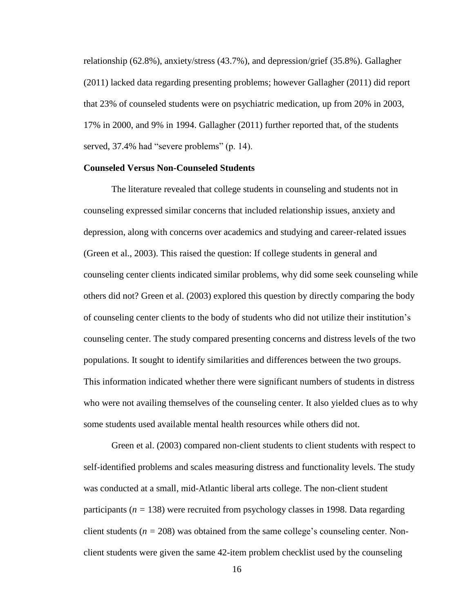relationship (62.8%), anxiety/stress (43.7%), and depression/grief (35.8%). Gallagher (2011) lacked data regarding presenting problems; however Gallagher (2011) did report that 23% of counseled students were on psychiatric medication, up from 20% in 2003, 17% in 2000, and 9% in 1994. Gallagher (2011) further reported that, of the students served, 37.4% had "severe problems" (p. 14).

### **Counseled Versus Non-Counseled Students**

The literature revealed that college students in counseling and students not in counseling expressed similar concerns that included relationship issues, anxiety and depression, along with concerns over academics and studying and career-related issues (Green et al., 2003). This raised the question: If college students in general and counseling center clients indicated similar problems, why did some seek counseling while others did not? Green et al. (2003) explored this question by directly comparing the body of counseling center clients to the body of students who did not utilize their institution's counseling center. The study compared presenting concerns and distress levels of the two populations. It sought to identify similarities and differences between the two groups. This information indicated whether there were significant numbers of students in distress who were not availing themselves of the counseling center. It also yielded clues as to why some students used available mental health resources while others did not.

Green et al. (2003) compared non-client students to client students with respect to self-identified problems and scales measuring distress and functionality levels. The study was conducted at a small, mid-Atlantic liberal arts college. The non-client student participants ( $n = 138$ ) were recruited from psychology classes in 1998. Data regarding client students ( $n = 208$ ) was obtained from the same college's counseling center. Nonclient students were given the same 42-item problem checklist used by the counseling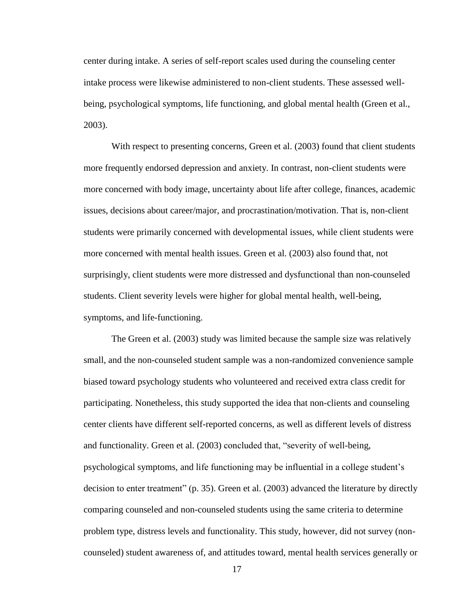center during intake. A series of self-report scales used during the counseling center intake process were likewise administered to non-client students. These assessed wellbeing, psychological symptoms, life functioning, and global mental health (Green et al., 2003).

With respect to presenting concerns, Green et al. (2003) found that client students more frequently endorsed depression and anxiety. In contrast, non-client students were more concerned with body image, uncertainty about life after college, finances, academic issues, decisions about career/major, and procrastination/motivation. That is, non-client students were primarily concerned with developmental issues, while client students were more concerned with mental health issues. Green et al. (2003) also found that, not surprisingly, client students were more distressed and dysfunctional than non-counseled students. Client severity levels were higher for global mental health, well-being, symptoms, and life-functioning.

The Green et al. (2003) study was limited because the sample size was relatively small, and the non-counseled student sample was a non-randomized convenience sample biased toward psychology students who volunteered and received extra class credit for participating. Nonetheless, this study supported the idea that non-clients and counseling center clients have different self-reported concerns, as well as different levels of distress and functionality. Green et al. (2003) concluded that, "severity of well-being, psychological symptoms, and life functioning may be influential in a college student's decision to enter treatment" (p. 35). Green et al. (2003) advanced the literature by directly comparing counseled and non-counseled students using the same criteria to determine problem type, distress levels and functionality. This study, however, did not survey (noncounseled) student awareness of, and attitudes toward, mental health services generally or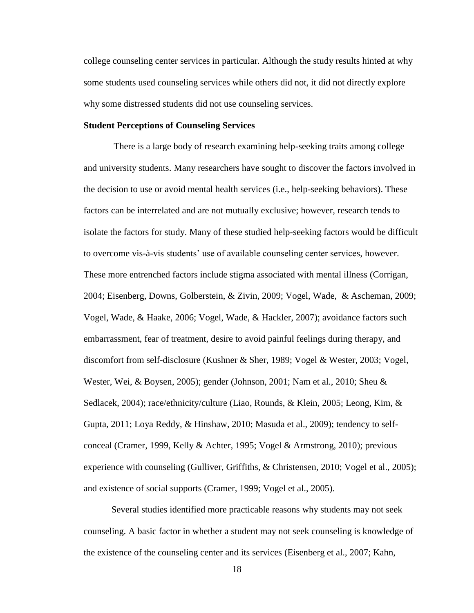college counseling center services in particular. Although the study results hinted at why some students used counseling services while others did not, it did not directly explore why some distressed students did not use counseling services.

# **Student Perceptions of Counseling Services**

There is a large body of research examining help-seeking traits among college and university students. Many researchers have sought to discover the factors involved in the decision to use or avoid mental health services (i.e., help-seeking behaviors). These factors can be interrelated and are not mutually exclusive; however, research tends to isolate the factors for study. Many of these studied help-seeking factors would be difficult to overcome vis-à-vis students' use of available counseling center services, however. These more entrenched factors include stigma associated with mental illness (Corrigan, 2004; Eisenberg, Downs, Golberstein, & Zivin, 2009; Vogel, Wade, & Ascheman, 2009; Vogel, Wade, & Haake, 2006; Vogel, Wade, & Hackler, 2007); avoidance factors such embarrassment, fear of treatment, desire to avoid painful feelings during therapy, and discomfort from self-disclosure (Kushner & Sher, 1989; Vogel & Wester, 2003; Vogel, Wester, Wei, & Boysen, 2005); gender (Johnson, 2001; Nam et al., 2010; Sheu & Sedlacek, 2004); race/ethnicity/culture (Liao, Rounds, & Klein, 2005; Leong, Kim, & Gupta, 2011; Loya Reddy, & Hinshaw, 2010; Masuda et al., 2009); tendency to selfconceal (Cramer, 1999, Kelly & Achter, 1995; Vogel & Armstrong, 2010); previous experience with counseling (Gulliver, Griffiths, & Christensen, 2010; Vogel et al., 2005); and existence of social supports (Cramer, 1999; Vogel et al., 2005).

Several studies identified more practicable reasons why students may not seek counseling. A basic factor in whether a student may not seek counseling is knowledge of the existence of the counseling center and its services (Eisenberg et al., 2007; Kahn,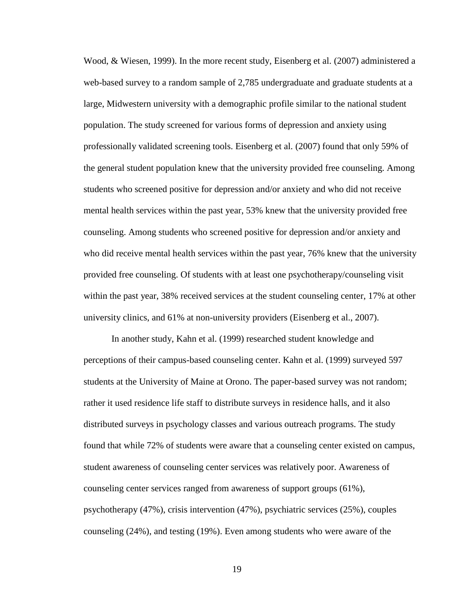Wood, & Wiesen, 1999). In the more recent study, Eisenberg et al. (2007) administered a web-based survey to a random sample of 2,785 undergraduate and graduate students at a large, Midwestern university with a demographic profile similar to the national student population. The study screened for various forms of depression and anxiety using professionally validated screening tools. Eisenberg et al. (2007) found that only 59% of the general student population knew that the university provided free counseling. Among students who screened positive for depression and/or anxiety and who did not receive mental health services within the past year, 53% knew that the university provided free counseling. Among students who screened positive for depression and/or anxiety and who did receive mental health services within the past year, 76% knew that the university provided free counseling. Of students with at least one psychotherapy/counseling visit within the past year, 38% received services at the student counseling center, 17% at other university clinics, and 61% at non-university providers (Eisenberg et al., 2007).

In another study, Kahn et al. (1999) researched student knowledge and perceptions of their campus-based counseling center. Kahn et al. (1999) surveyed 597 students at the University of Maine at Orono. The paper-based survey was not random; rather it used residence life staff to distribute surveys in residence halls, and it also distributed surveys in psychology classes and various outreach programs. The study found that while 72% of students were aware that a counseling center existed on campus, student awareness of counseling center services was relatively poor. Awareness of counseling center services ranged from awareness of support groups (61%), psychotherapy (47%), crisis intervention (47%), psychiatric services (25%), couples counseling (24%), and testing (19%). Even among students who were aware of the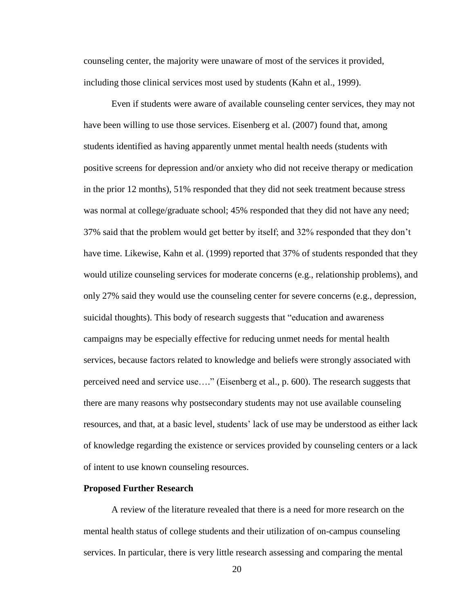counseling center, the majority were unaware of most of the services it provided, including those clinical services most used by students (Kahn et al., 1999).

Even if students were aware of available counseling center services, they may not have been willing to use those services. Eisenberg et al. (2007) found that, among students identified as having apparently unmet mental health needs (students with positive screens for depression and/or anxiety who did not receive therapy or medication in the prior 12 months), 51% responded that they did not seek treatment because stress was normal at college/graduate school; 45% responded that they did not have any need; 37% said that the problem would get better by itself; and 32% responded that they don't have time. Likewise, Kahn et al. (1999) reported that 37% of students responded that they would utilize counseling services for moderate concerns (e.g., relationship problems), and only 27% said they would use the counseling center for severe concerns (e.g., depression, suicidal thoughts). This body of research suggests that "education and awareness campaigns may be especially effective for reducing unmet needs for mental health services, because factors related to knowledge and beliefs were strongly associated with perceived need and service use…." (Eisenberg et al., p. 600). The research suggests that there are many reasons why postsecondary students may not use available counseling resources, and that, at a basic level, students' lack of use may be understood as either lack of knowledge regarding the existence or services provided by counseling centers or a lack of intent to use known counseling resources.

#### **Proposed Further Research**

A review of the literature revealed that there is a need for more research on the mental health status of college students and their utilization of on-campus counseling services. In particular, there is very little research assessing and comparing the mental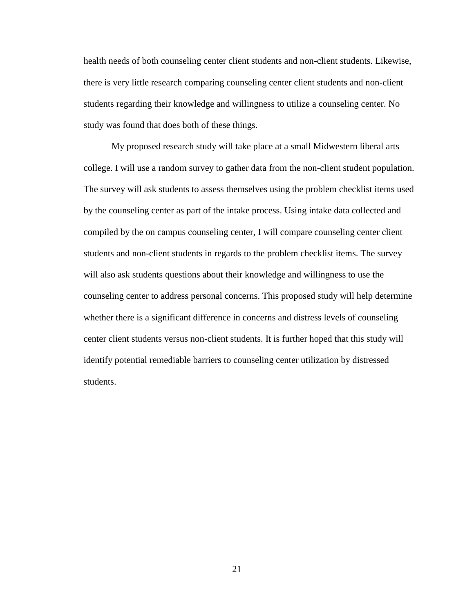health needs of both counseling center client students and non-client students. Likewise, there is very little research comparing counseling center client students and non-client students regarding their knowledge and willingness to utilize a counseling center. No study was found that does both of these things.

My proposed research study will take place at a small Midwestern liberal arts college. I will use a random survey to gather data from the non-client student population. The survey will ask students to assess themselves using the problem checklist items used by the counseling center as part of the intake process. Using intake data collected and compiled by the on campus counseling center, I will compare counseling center client students and non-client students in regards to the problem checklist items. The survey will also ask students questions about their knowledge and willingness to use the counseling center to address personal concerns. This proposed study will help determine whether there is a significant difference in concerns and distress levels of counseling center client students versus non-client students. It is further hoped that this study will identify potential remediable barriers to counseling center utilization by distressed students.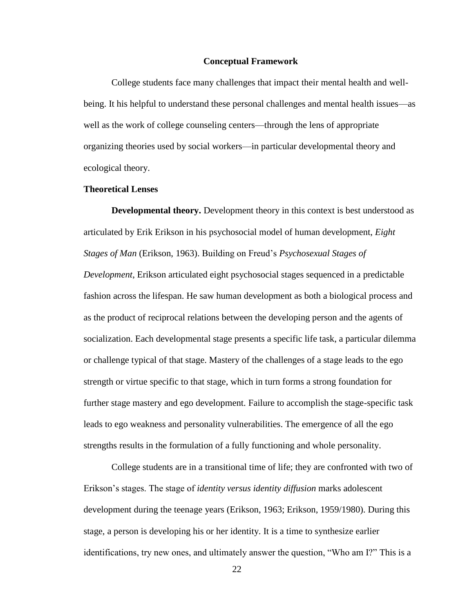#### **Conceptual Framework**

College students face many challenges that impact their mental health and wellbeing. It his helpful to understand these personal challenges and mental health issues—as well as the work of college counseling centers—through the lens of appropriate organizing theories used by social workers—in particular developmental theory and ecological theory.

# **Theoretical Lenses**

**Developmental theory.** Development theory in this context is best understood as articulated by Erik Erikson in his psychosocial model of human development, *Eight Stages of Man* (Erikson, 1963). Building on Freud's *Psychosexual Stages of Development*, Erikson articulated eight psychosocial stages sequenced in a predictable fashion across the lifespan. He saw human development as both a biological process and as the product of reciprocal relations between the developing person and the agents of socialization. Each developmental stage presents a specific life task, a particular dilemma or challenge typical of that stage. Mastery of the challenges of a stage leads to the ego strength or virtue specific to that stage, which in turn forms a strong foundation for further stage mastery and ego development. Failure to accomplish the stage-specific task leads to ego weakness and personality vulnerabilities. The emergence of all the ego strengths results in the formulation of a fully functioning and whole personality.

College students are in a transitional time of life; they are confronted with two of Erikson's stages. The stage of *identity versus identity diffusion* marks adolescent development during the teenage years (Erikson, 1963; Erikson, 1959/1980). During this stage, a person is developing his or her identity. It is a time to synthesize earlier identifications, try new ones, and ultimately answer the question, "Who am I?" This is a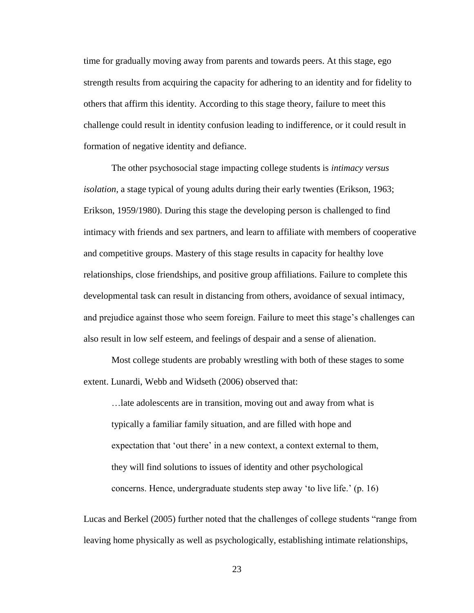time for gradually moving away from parents and towards peers. At this stage, ego strength results from acquiring the capacity for adhering to an identity and for fidelity to others that affirm this identity. According to this stage theory, failure to meet this challenge could result in identity confusion leading to indifference, or it could result in formation of negative identity and defiance.

The other psychosocial stage impacting college students is *intimacy versus isolation*, a stage typical of young adults during their early twenties (Erikson, 1963; Erikson, 1959/1980). During this stage the developing person is challenged to find intimacy with friends and sex partners, and learn to affiliate with members of cooperative and competitive groups. Mastery of this stage results in capacity for healthy love relationships, close friendships, and positive group affiliations. Failure to complete this developmental task can result in distancing from others, avoidance of sexual intimacy, and prejudice against those who seem foreign. Failure to meet this stage's challenges can also result in low self esteem, and feelings of despair and a sense of alienation.

Most college students are probably wrestling with both of these stages to some extent. Lunardi, Webb and Widseth (2006) observed that:

…late adolescents are in transition, moving out and away from what is typically a familiar family situation, and are filled with hope and expectation that 'out there' in a new context, a context external to them, they will find solutions to issues of identity and other psychological concerns. Hence, undergraduate students step away 'to live life.' (p. 16)

Lucas and Berkel (2005) further noted that the challenges of college students "range from leaving home physically as well as psychologically, establishing intimate relationships,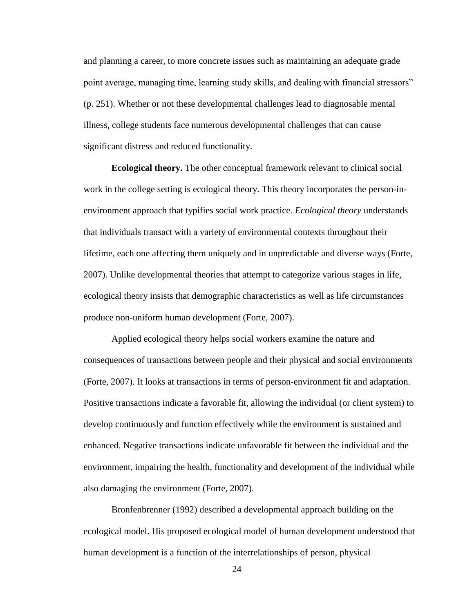and planning a career, to more concrete issues such as maintaining an adequate grade point average, managing time, learning study skills, and dealing with financial stressors" (p. 251). Whether or not these developmental challenges lead to diagnosable mental illness, college students face numerous developmental challenges that can cause significant distress and reduced functionality.

**Ecological theory.** The other conceptual framework relevant to clinical social work in the college setting is ecological theory. This theory incorporates the person-inenvironment approach that typifies social work practice. *Ecological theory* understands that individuals transact with a variety of environmental contexts throughout their lifetime, each one affecting them uniquely and in unpredictable and diverse ways (Forte, 2007). Unlike developmental theories that attempt to categorize various stages in life, ecological theory insists that demographic characteristics as well as life circumstances produce non-uniform human development (Forte, 2007).

Applied ecological theory helps social workers examine the nature and consequences of transactions between people and their physical and social environments (Forte, 2007). It looks at transactions in terms of person-environment fit and adaptation. Positive transactions indicate a favorable fit, allowing the individual (or client system) to develop continuously and function effectively while the environment is sustained and enhanced. Negative transactions indicate unfavorable fit between the individual and the environment, impairing the health, functionality and development of the individual while also damaging the environment (Forte, 2007).

Bronfenbrenner (1992) described a developmental approach building on the ecological model. His proposed ecological model of human development understood that human development is a function of the interrelationships of person, physical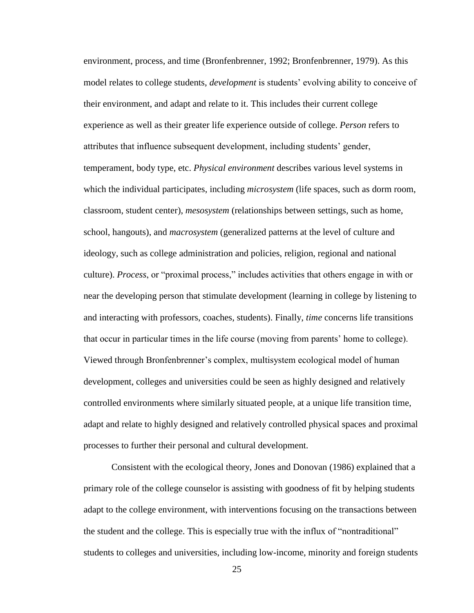environment, process, and time (Bronfenbrenner, 1992; Bronfenbrenner, 1979). As this model relates to college students, *development* is students' evolving ability to conceive of their environment, and adapt and relate to it. This includes their current college experience as well as their greater life experience outside of college. *Person* refers to attributes that influence subsequent development, including students' gender, temperament, body type, etc. *Physical environment* describes various level systems in which the individual participates, including *microsystem* (life spaces, such as dorm room, classroom, student center), *mesosystem* (relationships between settings, such as home, school, hangouts), and *macrosystem* (generalized patterns at the level of culture and ideology, such as college administration and policies, religion, regional and national culture). *Process*, or "proximal process," includes activities that others engage in with or near the developing person that stimulate development (learning in college by listening to and interacting with professors, coaches, students). Finally, *time* concerns life transitions that occur in particular times in the life course (moving from parents' home to college). Viewed through Bronfenbrenner's complex, multisystem ecological model of human development, colleges and universities could be seen as highly designed and relatively controlled environments where similarly situated people, at a unique life transition time, adapt and relate to highly designed and relatively controlled physical spaces and proximal processes to further their personal and cultural development.

Consistent with the ecological theory, Jones and Donovan (1986) explained that a primary role of the college counselor is assisting with goodness of fit by helping students adapt to the college environment, with interventions focusing on the transactions between the student and the college. This is especially true with the influx of "nontraditional" students to colleges and universities, including low-income, minority and foreign students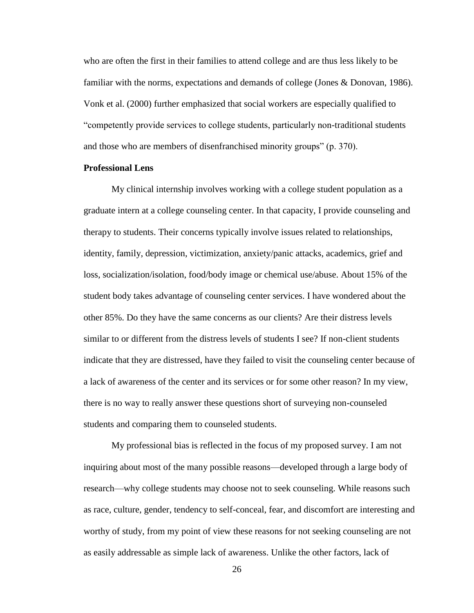who are often the first in their families to attend college and are thus less likely to be familiar with the norms, expectations and demands of college (Jones & Donovan, 1986). Vonk et al. (2000) further emphasized that social workers are especially qualified to "competently provide services to college students, particularly non-traditional students and those who are members of disenfranchised minority groups" (p. 370).

### **Professional Lens**

My clinical internship involves working with a college student population as a graduate intern at a college counseling center. In that capacity, I provide counseling and therapy to students. Their concerns typically involve issues related to relationships, identity, family, depression, victimization, anxiety/panic attacks, academics, grief and loss, socialization/isolation, food/body image or chemical use/abuse. About 15% of the student body takes advantage of counseling center services. I have wondered about the other 85%. Do they have the same concerns as our clients? Are their distress levels similar to or different from the distress levels of students I see? If non-client students indicate that they are distressed, have they failed to visit the counseling center because of a lack of awareness of the center and its services or for some other reason? In my view, there is no way to really answer these questions short of surveying non-counseled students and comparing them to counseled students.

My professional bias is reflected in the focus of my proposed survey. I am not inquiring about most of the many possible reasons—developed through a large body of research—why college students may choose not to seek counseling. While reasons such as race, culture, gender, tendency to self-conceal, fear, and discomfort are interesting and worthy of study, from my point of view these reasons for not seeking counseling are not as easily addressable as simple lack of awareness. Unlike the other factors, lack of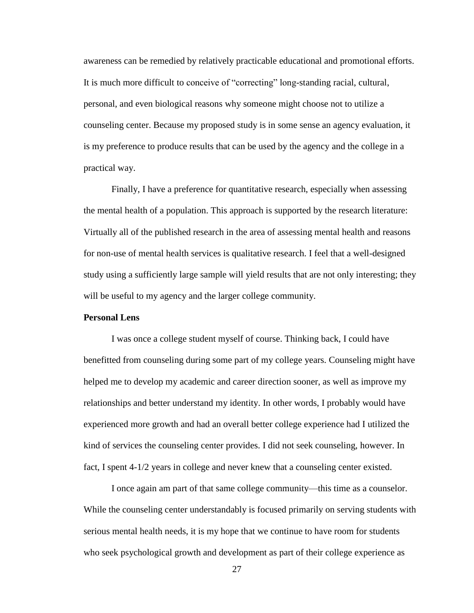awareness can be remedied by relatively practicable educational and promotional efforts. It is much more difficult to conceive of "correcting" long-standing racial, cultural, personal, and even biological reasons why someone might choose not to utilize a counseling center. Because my proposed study is in some sense an agency evaluation, it is my preference to produce results that can be used by the agency and the college in a practical way.

Finally, I have a preference for quantitative research, especially when assessing the mental health of a population. This approach is supported by the research literature: Virtually all of the published research in the area of assessing mental health and reasons for non-use of mental health services is qualitative research. I feel that a well-designed study using a sufficiently large sample will yield results that are not only interesting; they will be useful to my agency and the larger college community.

# **Personal Lens**

I was once a college student myself of course. Thinking back, I could have benefitted from counseling during some part of my college years. Counseling might have helped me to develop my academic and career direction sooner, as well as improve my relationships and better understand my identity. In other words, I probably would have experienced more growth and had an overall better college experience had I utilized the kind of services the counseling center provides. I did not seek counseling, however. In fact, I spent 4-1/2 years in college and never knew that a counseling center existed.

I once again am part of that same college community—this time as a counselor. While the counseling center understandably is focused primarily on serving students with serious mental health needs, it is my hope that we continue to have room for students who seek psychological growth and development as part of their college experience as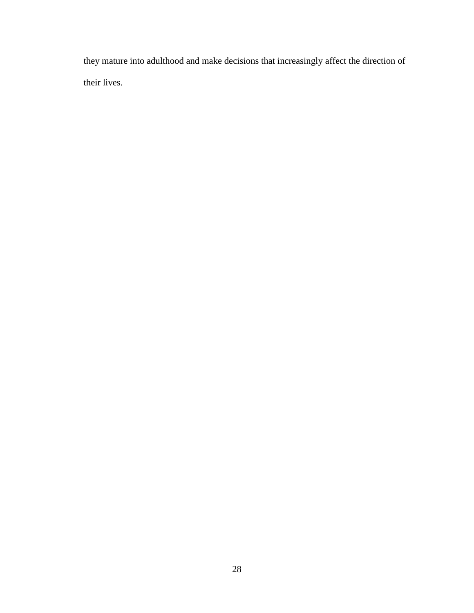they mature into adulthood and make decisions that increasingly affect the direction of their lives.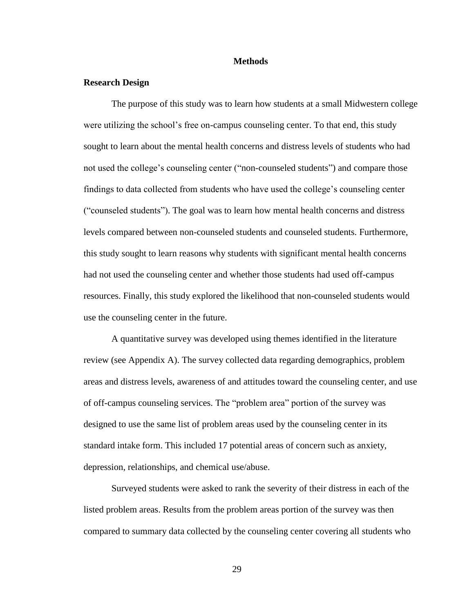#### **Methods**

### **Research Design**

The purpose of this study was to learn how students at a small Midwestern college were utilizing the school's free on-campus counseling center. To that end, this study sought to learn about the mental health concerns and distress levels of students who had not used the college's counseling center ("non-counseled students") and compare those findings to data collected from students who have used the college's counseling center ("counseled students"). The goal was to learn how mental health concerns and distress levels compared between non-counseled students and counseled students. Furthermore, this study sought to learn reasons why students with significant mental health concerns had not used the counseling center and whether those students had used off-campus resources. Finally, this study explored the likelihood that non-counseled students would use the counseling center in the future.

A quantitative survey was developed using themes identified in the literature review (see Appendix A). The survey collected data regarding demographics, problem areas and distress levels, awareness of and attitudes toward the counseling center, and use of off-campus counseling services. The "problem area" portion of the survey was designed to use the same list of problem areas used by the counseling center in its standard intake form. This included 17 potential areas of concern such as anxiety, depression, relationships, and chemical use/abuse.

Surveyed students were asked to rank the severity of their distress in each of the listed problem areas. Results from the problem areas portion of the survey was then compared to summary data collected by the counseling center covering all students who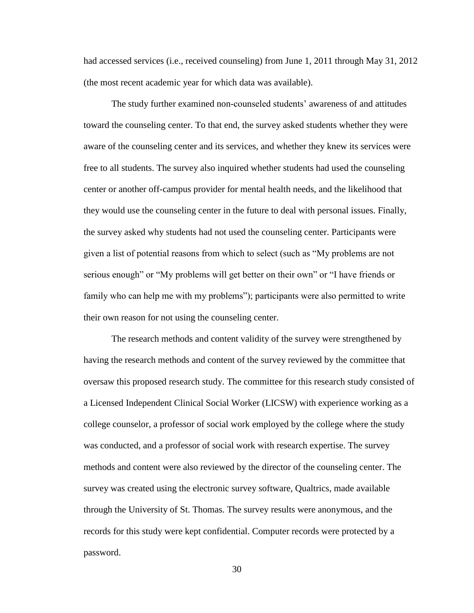had accessed services (i.e., received counseling) from June 1, 2011 through May 31, 2012 (the most recent academic year for which data was available).

The study further examined non-counseled students' awareness of and attitudes toward the counseling center. To that end, the survey asked students whether they were aware of the counseling center and its services, and whether they knew its services were free to all students. The survey also inquired whether students had used the counseling center or another off-campus provider for mental health needs, and the likelihood that they would use the counseling center in the future to deal with personal issues. Finally, the survey asked why students had not used the counseling center. Participants were given a list of potential reasons from which to select (such as "My problems are not serious enough" or "My problems will get better on their own" or "I have friends or family who can help me with my problems"); participants were also permitted to write their own reason for not using the counseling center.

The research methods and content validity of the survey were strengthened by having the research methods and content of the survey reviewed by the committee that oversaw this proposed research study. The committee for this research study consisted of a Licensed Independent Clinical Social Worker (LICSW) with experience working as a college counselor, a professor of social work employed by the college where the study was conducted, and a professor of social work with research expertise. The survey methods and content were also reviewed by the director of the counseling center. The survey was created using the electronic survey software, Qualtrics, made available through the University of St. Thomas. The survey results were anonymous, and the records for this study were kept confidential. Computer records were protected by a password.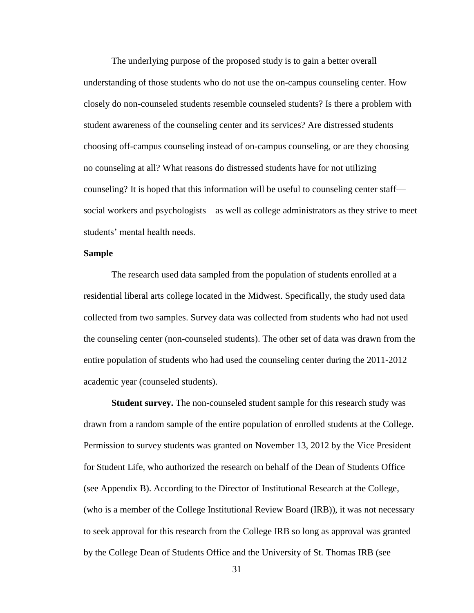The underlying purpose of the proposed study is to gain a better overall understanding of those students who do not use the on-campus counseling center. How closely do non-counseled students resemble counseled students? Is there a problem with student awareness of the counseling center and its services? Are distressed students choosing off-campus counseling instead of on-campus counseling, or are they choosing no counseling at all? What reasons do distressed students have for not utilizing counseling? It is hoped that this information will be useful to counseling center staff social workers and psychologists—as well as college administrators as they strive to meet students' mental health needs.

### **Sample**

The research used data sampled from the population of students enrolled at a residential liberal arts college located in the Midwest. Specifically, the study used data collected from two samples. Survey data was collected from students who had not used the counseling center (non-counseled students). The other set of data was drawn from the entire population of students who had used the counseling center during the 2011-2012 academic year (counseled students).

**Student survey.** The non-counseled student sample for this research study was drawn from a random sample of the entire population of enrolled students at the College. Permission to survey students was granted on November 13, 2012 by the Vice President for Student Life, who authorized the research on behalf of the Dean of Students Office (see Appendix B). According to the Director of Institutional Research at the College, (who is a member of the College Institutional Review Board (IRB)), it was not necessary to seek approval for this research from the College IRB so long as approval was granted by the College Dean of Students Office and the University of St. Thomas IRB (see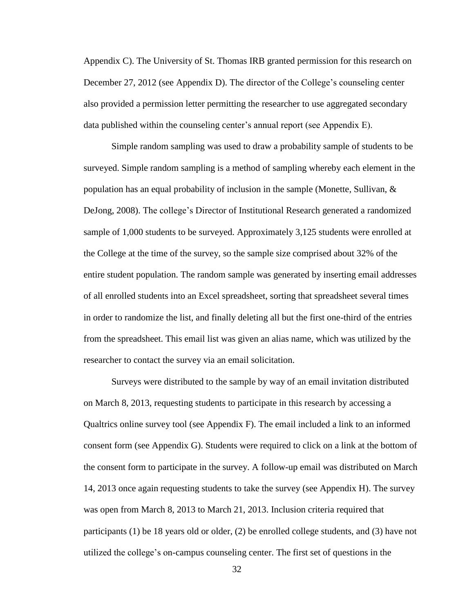Appendix C). The University of St. Thomas IRB granted permission for this research on December 27, 2012 (see Appendix D). The director of the College's counseling center also provided a permission letter permitting the researcher to use aggregated secondary data published within the counseling center's annual report (see Appendix E).

Simple random sampling was used to draw a probability sample of students to be surveyed. Simple random sampling is a method of sampling whereby each element in the population has an equal probability of inclusion in the sample (Monette, Sullivan, & DeJong, 2008). The college's Director of Institutional Research generated a randomized sample of 1,000 students to be surveyed. Approximately 3,125 students were enrolled at the College at the time of the survey, so the sample size comprised about 32% of the entire student population. The random sample was generated by inserting email addresses of all enrolled students into an Excel spreadsheet, sorting that spreadsheet several times in order to randomize the list, and finally deleting all but the first one-third of the entries from the spreadsheet. This email list was given an alias name, which was utilized by the researcher to contact the survey via an email solicitation.

Surveys were distributed to the sample by way of an email invitation distributed on March 8, 2013, requesting students to participate in this research by accessing a Qualtrics online survey tool (see Appendix F). The email included a link to an informed consent form (see Appendix G). Students were required to click on a link at the bottom of the consent form to participate in the survey. A follow-up email was distributed on March 14, 2013 once again requesting students to take the survey (see Appendix H). The survey was open from March 8, 2013 to March 21, 2013. Inclusion criteria required that participants (1) be 18 years old or older, (2) be enrolled college students, and (3) have not utilized the college's on-campus counseling center. The first set of questions in the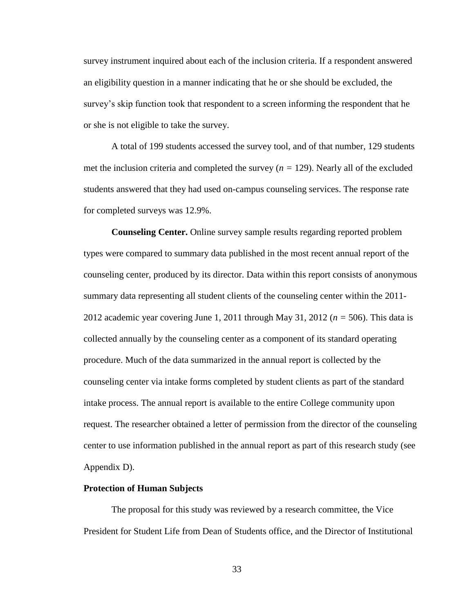survey instrument inquired about each of the inclusion criteria. If a respondent answered an eligibility question in a manner indicating that he or she should be excluded, the survey's skip function took that respondent to a screen informing the respondent that he or she is not eligible to take the survey.

A total of 199 students accessed the survey tool, and of that number, 129 students met the inclusion criteria and completed the survey  $(n = 129)$ . Nearly all of the excluded students answered that they had used on-campus counseling services. The response rate for completed surveys was 12.9%.

**Counseling Center.** Online survey sample results regarding reported problem types were compared to summary data published in the most recent annual report of the counseling center, produced by its director. Data within this report consists of anonymous summary data representing all student clients of the counseling center within the 2011- 2012 academic year covering June 1, 2011 through May 31, 2012 (*n =* 506). This data is collected annually by the counseling center as a component of its standard operating procedure. Much of the data summarized in the annual report is collected by the counseling center via intake forms completed by student clients as part of the standard intake process. The annual report is available to the entire College community upon request. The researcher obtained a letter of permission from the director of the counseling center to use information published in the annual report as part of this research study (see Appendix D).

#### **Protection of Human Subjects**

The proposal for this study was reviewed by a research committee, the Vice President for Student Life from Dean of Students office, and the Director of Institutional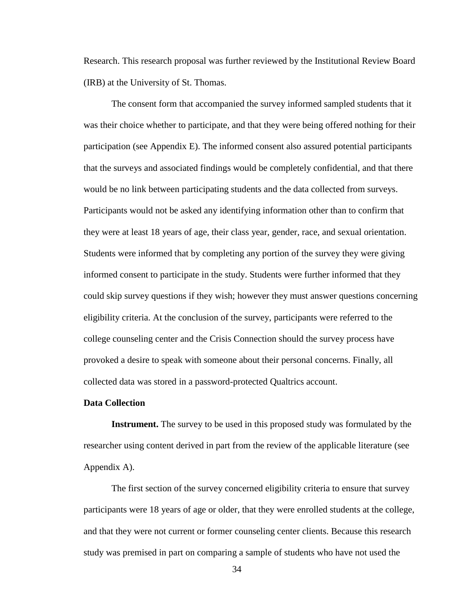Research. This research proposal was further reviewed by the Institutional Review Board (IRB) at the University of St. Thomas.

The consent form that accompanied the survey informed sampled students that it was their choice whether to participate, and that they were being offered nothing for their participation (see Appendix E). The informed consent also assured potential participants that the surveys and associated findings would be completely confidential, and that there would be no link between participating students and the data collected from surveys. Participants would not be asked any identifying information other than to confirm that they were at least 18 years of age, their class year, gender, race, and sexual orientation. Students were informed that by completing any portion of the survey they were giving informed consent to participate in the study. Students were further informed that they could skip survey questions if they wish; however they must answer questions concerning eligibility criteria. At the conclusion of the survey, participants were referred to the college counseling center and the Crisis Connection should the survey process have provoked a desire to speak with someone about their personal concerns. Finally, all collected data was stored in a password-protected Qualtrics account.

### **Data Collection**

**Instrument.** The survey to be used in this proposed study was formulated by the researcher using content derived in part from the review of the applicable literature (see Appendix A).

The first section of the survey concerned eligibility criteria to ensure that survey participants were 18 years of age or older, that they were enrolled students at the college, and that they were not current or former counseling center clients. Because this research study was premised in part on comparing a sample of students who have not used the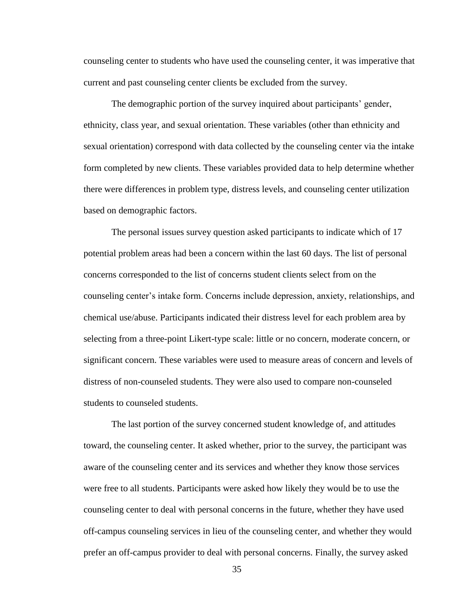counseling center to students who have used the counseling center, it was imperative that current and past counseling center clients be excluded from the survey.

The demographic portion of the survey inquired about participants' gender, ethnicity, class year, and sexual orientation. These variables (other than ethnicity and sexual orientation) correspond with data collected by the counseling center via the intake form completed by new clients. These variables provided data to help determine whether there were differences in problem type, distress levels, and counseling center utilization based on demographic factors.

The personal issues survey question asked participants to indicate which of 17 potential problem areas had been a concern within the last 60 days. The list of personal concerns corresponded to the list of concerns student clients select from on the counseling center's intake form. Concerns include depression, anxiety, relationships, and chemical use/abuse. Participants indicated their distress level for each problem area by selecting from a three-point Likert-type scale: little or no concern, moderate concern, or significant concern. These variables were used to measure areas of concern and levels of distress of non-counseled students. They were also used to compare non-counseled students to counseled students.

The last portion of the survey concerned student knowledge of, and attitudes toward, the counseling center. It asked whether, prior to the survey, the participant was aware of the counseling center and its services and whether they know those services were free to all students. Participants were asked how likely they would be to use the counseling center to deal with personal concerns in the future, whether they have used off-campus counseling services in lieu of the counseling center, and whether they would prefer an off-campus provider to deal with personal concerns. Finally, the survey asked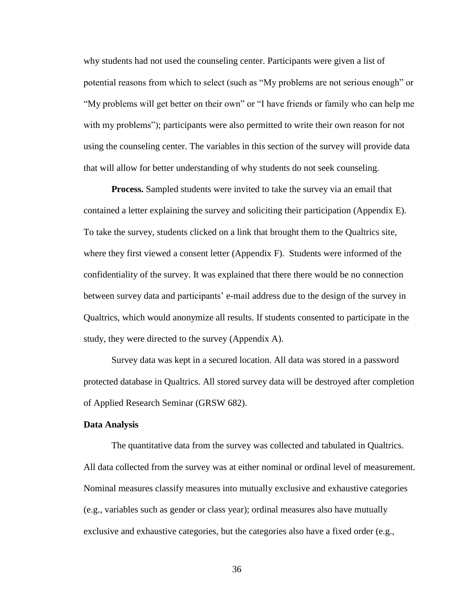why students had not used the counseling center. Participants were given a list of potential reasons from which to select (such as "My problems are not serious enough" or "My problems will get better on their own" or "I have friends or family who can help me with my problems"); participants were also permitted to write their own reason for not using the counseling center. The variables in this section of the survey will provide data that will allow for better understanding of why students do not seek counseling.

**Process.** Sampled students were invited to take the survey via an email that contained a letter explaining the survey and soliciting their participation (Appendix E). To take the survey, students clicked on a link that brought them to the Qualtrics site, where they first viewed a consent letter (Appendix F). Students were informed of the confidentiality of the survey. It was explained that there there would be no connection between survey data and participants' e-mail address due to the design of the survey in Qualtrics, which would anonymize all results. If students consented to participate in the study, they were directed to the survey (Appendix A).

Survey data was kept in a secured location. All data was stored in a password protected database in Qualtrics. All stored survey data will be destroyed after completion of Applied Research Seminar (GRSW 682).

### **Data Analysis**

The quantitative data from the survey was collected and tabulated in Qualtrics. All data collected from the survey was at either nominal or ordinal level of measurement. Nominal measures classify measures into mutually exclusive and exhaustive categories (e.g., variables such as gender or class year); ordinal measures also have mutually exclusive and exhaustive categories, but the categories also have a fixed order (e.g.,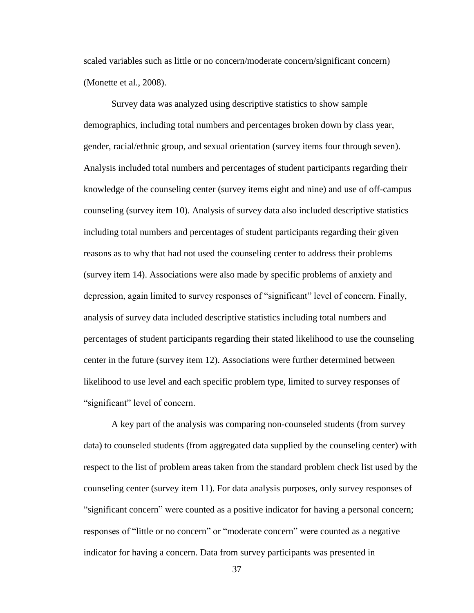scaled variables such as little or no concern/moderate concern/significant concern) (Monette et al., 2008).

Survey data was analyzed using descriptive statistics to show sample demographics, including total numbers and percentages broken down by class year, gender, racial/ethnic group, and sexual orientation (survey items four through seven). Analysis included total numbers and percentages of student participants regarding their knowledge of the counseling center (survey items eight and nine) and use of off-campus counseling (survey item 10). Analysis of survey data also included descriptive statistics including total numbers and percentages of student participants regarding their given reasons as to why that had not used the counseling center to address their problems (survey item 14). Associations were also made by specific problems of anxiety and depression, again limited to survey responses of "significant" level of concern. Finally, analysis of survey data included descriptive statistics including total numbers and percentages of student participants regarding their stated likelihood to use the counseling center in the future (survey item 12). Associations were further determined between likelihood to use level and each specific problem type, limited to survey responses of "significant" level of concern.

A key part of the analysis was comparing non-counseled students (from survey data) to counseled students (from aggregated data supplied by the counseling center) with respect to the list of problem areas taken from the standard problem check list used by the counseling center (survey item 11). For data analysis purposes, only survey responses of "significant concern" were counted as a positive indicator for having a personal concern; responses of "little or no concern" or "moderate concern" were counted as a negative indicator for having a concern. Data from survey participants was presented in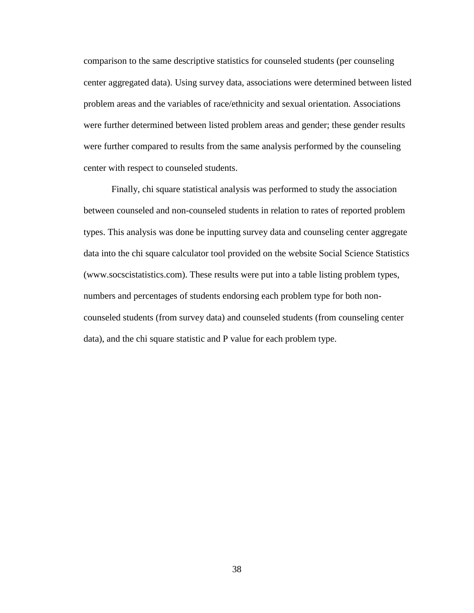comparison to the same descriptive statistics for counseled students (per counseling center aggregated data). Using survey data, associations were determined between listed problem areas and the variables of race/ethnicity and sexual orientation. Associations were further determined between listed problem areas and gender; these gender results were further compared to results from the same analysis performed by the counseling center with respect to counseled students.

Finally, chi square statistical analysis was performed to study the association between counseled and non-counseled students in relation to rates of reported problem types. This analysis was done be inputting survey data and counseling center aggregate data into the chi square calculator tool provided on the website Social Science Statistics (www.socscistatistics.com). These results were put into a table listing problem types, numbers and percentages of students endorsing each problem type for both noncounseled students (from survey data) and counseled students (from counseling center data), and the chi square statistic and P value for each problem type.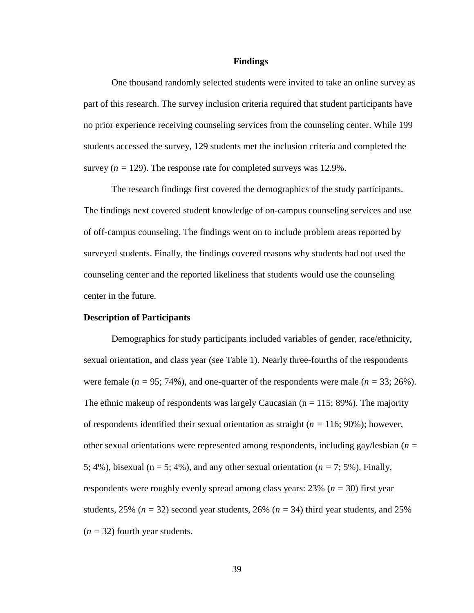#### **Findings**

One thousand randomly selected students were invited to take an online survey as part of this research. The survey inclusion criteria required that student participants have no prior experience receiving counseling services from the counseling center. While 199 students accessed the survey, 129 students met the inclusion criteria and completed the survey  $(n = 129)$ . The response rate for completed surveys was 12.9%.

The research findings first covered the demographics of the study participants. The findings next covered student knowledge of on-campus counseling services and use of off-campus counseling. The findings went on to include problem areas reported by surveyed students. Finally, the findings covered reasons why students had not used the counseling center and the reported likeliness that students would use the counseling center in the future.

#### **Description of Participants**

Demographics for study participants included variables of gender, race/ethnicity, sexual orientation, and class year (see Table 1). Nearly three-fourths of the respondents were female  $(n = 95; 74%)$ , and one-quarter of the respondents were male  $(n = 33; 26%)$ . The ethnic makeup of respondents was largely Caucasian  $(n = 115; 89\%)$ . The majority of respondents identified their sexual orientation as straight (*n =* 116; 90%); however, other sexual orientations were represented among respondents, including gay/lesbian (*n =*  5; 4%), bisexual ( $n = 5$ ; 4%), and any other sexual orientation ( $n = 7$ ; 5%). Finally, respondents were roughly evenly spread among class years: 23% (*n =* 30) first year students,  $25\%$  ( $n = 32$ ) second year students,  $26\%$  ( $n = 34$ ) third year students, and  $25\%$  $(n = 32)$  fourth year students.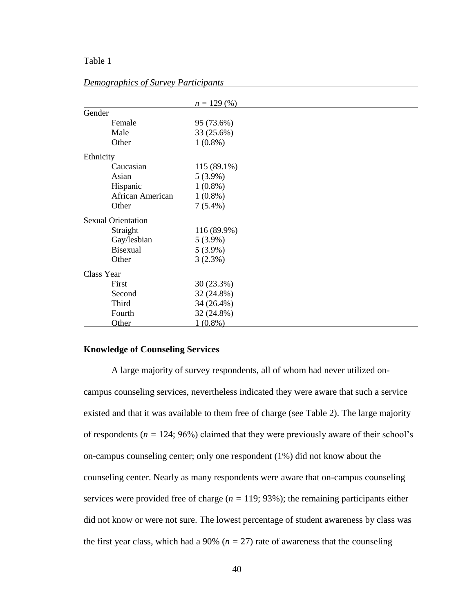# Table 1

|                           | $n = 129\,(%)$ |  |
|---------------------------|----------------|--|
| Gender                    |                |  |
| Female                    | 95 (73.6%)     |  |
| Male                      | 33 (25.6%)     |  |
| Other                     | $1(0.8\%)$     |  |
| Ethnicity                 |                |  |
| Caucasian                 | 115 (89.1%)    |  |
| Asian                     | $5(3.9\%)$     |  |
| Hispanic                  | $1(0.8\%)$     |  |
| African American          | $1(0.8\%)$     |  |
| Other                     | $7(5.4\%)$     |  |
| <b>Sexual Orientation</b> |                |  |
| Straight                  | 116 (89.9%)    |  |
| Gay/lesbian               | $5(3.9\%)$     |  |
| <b>Bisexual</b>           | $5(3.9\%)$     |  |
| Other                     | 3(2.3%)        |  |
| Class Year                |                |  |
| First                     | 30 (23.3%)     |  |
| Second                    | 32 (24.8%)     |  |
| Third                     | 34 (26.4%)     |  |
| Fourth                    | 32 (24.8%)     |  |
| Other                     | $1(0.8\%)$     |  |

## *Demographics of Survey Participants*

# **Knowledge of Counseling Services**

A large majority of survey respondents, all of whom had never utilized oncampus counseling services, nevertheless indicated they were aware that such a service existed and that it was available to them free of charge (see Table 2). The large majority of respondents ( $n = 124$ ; 96%) claimed that they were previously aware of their school's on-campus counseling center; only one respondent (1%) did not know about the counseling center. Nearly as many respondents were aware that on-campus counseling services were provided free of charge (*n =* 119; 93%); the remaining participants either did not know or were not sure. The lowest percentage of student awareness by class was the first year class, which had a 90% ( $n = 27$ ) rate of awareness that the counseling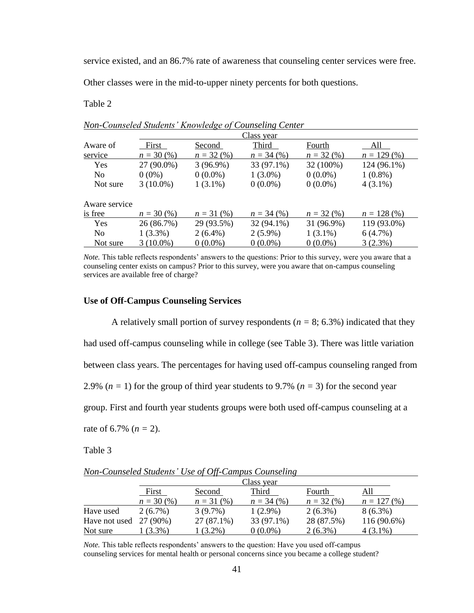service existed, and an 86.7% rate of awareness that counseling center services were free.

Other classes were in the mid-to-upper ninety percents for both questions.

Table 2

|                |              |              | Class year   |             |                |
|----------------|--------------|--------------|--------------|-------------|----------------|
| Aware of       | First        | Second       | Third        | Fourth      | All            |
| service        | $n = 30\,(%$ | $n = 32(%)$  | $n = 34$ (%) | $n = 32(%)$ | $n = 129\ (%)$ |
| <b>Yes</b>     | 27 (90.0%)   | $3(96.9\%)$  | 33 (97.1%)   | 32 (100%)   | 124 (96.1%)    |
| N <sub>0</sub> | $0(0\%)$     | $0(0.0\%)$   | $1(3.0\%)$   | $0(0.0\%)$  | $1(0.8\%)$     |
| Not sure       | $3(10.0\%)$  | $1(3.1\%)$   | $0(0.0\%)$   | $0(0.0\%)$  | $4(3.1\%)$     |
| Aware service  |              |              |              |             |                |
| is free        | $n = 30\,(%$ | $n = 31 (%)$ | $n = 34$ (%) | $n = 32(%)$ | $n = 128$ (%)  |
| <b>Yes</b>     | 26 (86.7%)   | 29 (93.5%)   | 32 (94.1%)   | 31 (96.9%)  | 119 (93.0%)    |
| N <sub>0</sub> | $1(3.3\%)$   | $2(6.4\%)$   | $2(5.9\%)$   | $1(3.1\%)$  | 6(4.7%)        |
| Not sure       | $3(10.0\%)$  | $0(0.0\%)$   | $0(0.0\%)$   | $0(0.0\%)$  | 3(2.3%)        |

| Non-Counseled Students' Knowledge of Counseling Center |  |  |  |
|--------------------------------------------------------|--|--|--|
|--------------------------------------------------------|--|--|--|

*Note.* This table reflects respondents' answers to the questions: Prior to this survey, were you aware that a counseling center exists on campus? Prior to this survey, were you aware that on-campus counseling services are available free of charge?

### **Use of Off-Campus Counseling Services**

A relatively small portion of survey respondents ( $n = 8$ ; 6.3%) indicated that they had used off-campus counseling while in college (see Table 3). There was little variation between class years. The percentages for having used off-campus counseling ranged from 2.9%  $(n = 1)$  for the group of third year students to 9.7%  $(n = 3)$  for the second year group. First and fourth year students groups were both used off-campus counseling at a rate of 6.7%  $(n = 2)$ .

Table 3

*Non-Counseled Students' Use of Off-Campus Counseling*

|                          | Class year   |             |              |             |               |  |
|--------------------------|--------------|-------------|--------------|-------------|---------------|--|
|                          | First        | Second      | Third        | Fourth      |               |  |
|                          | $n = 30\,(%$ | $n = 31(%)$ | $n = 34$ (%) | $n = 32(%)$ | $n = 127(96)$ |  |
| Have used                | $2(6.7\%)$   | $3(9.7\%)$  | $1(2.9\%)$   | $2(6.3\%)$  | $8(6.3\%)$    |  |
| Have not used $27(90\%)$ |              | 27 (87.1%)  | 33 (97.1%)   | 28 (87.5%)  | 116 (90.6%)   |  |
| Not sure                 | $(3.3\%)$    | $(3.2\%)$   | $0(0.0\%)$   | $2(6.3\%)$  | 4 (3.1%)      |  |

*Note.* This table reflects respondents' answers to the question: Have you used off-campus counseling services for mental health or personal concerns since you became a college student?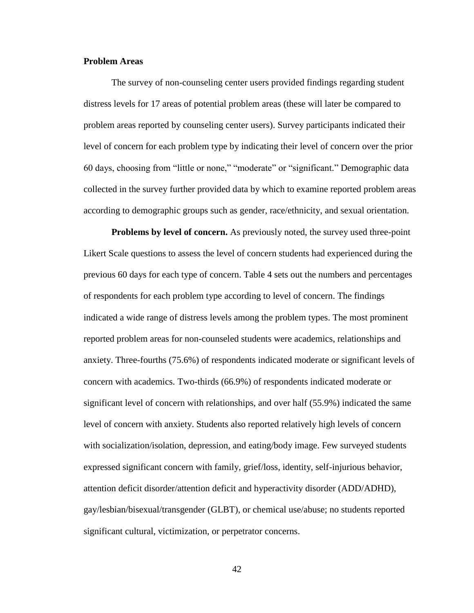### **Problem Areas**

The survey of non-counseling center users provided findings regarding student distress levels for 17 areas of potential problem areas (these will later be compared to problem areas reported by counseling center users). Survey participants indicated their level of concern for each problem type by indicating their level of concern over the prior 60 days, choosing from "little or none," "moderate" or "significant." Demographic data collected in the survey further provided data by which to examine reported problem areas according to demographic groups such as gender, race/ethnicity, and sexual orientation.

**Problems by level of concern.** As previously noted, the survey used three-point Likert Scale questions to assess the level of concern students had experienced during the previous 60 days for each type of concern. Table 4 sets out the numbers and percentages of respondents for each problem type according to level of concern. The findings indicated a wide range of distress levels among the problem types. The most prominent reported problem areas for non-counseled students were academics, relationships and anxiety. Three-fourths (75.6%) of respondents indicated moderate or significant levels of concern with academics. Two-thirds (66.9%) of respondents indicated moderate or significant level of concern with relationships, and over half (55.9%) indicated the same level of concern with anxiety. Students also reported relatively high levels of concern with socialization/isolation, depression, and eating/body image. Few surveyed students expressed significant concern with family, grief/loss, identity, self-injurious behavior, attention deficit disorder/attention deficit and hyperactivity disorder (ADD/ADHD), gay/lesbian/bisexual/transgender (GLBT), or chemical use/abuse; no students reported significant cultural, victimization, or perpetrator concerns.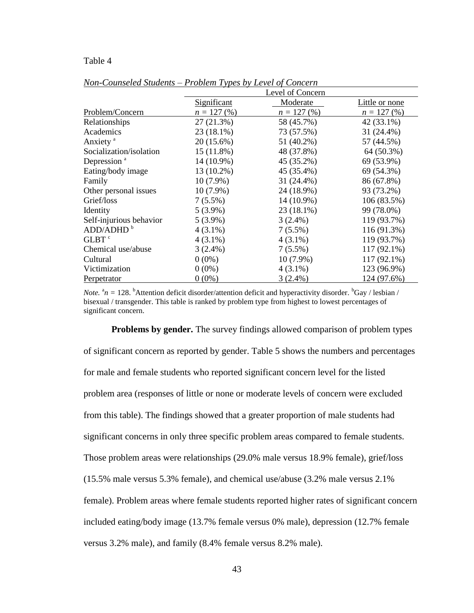### Table 4

|                         | Level of Concern   |               |                |  |
|-------------------------|--------------------|---------------|----------------|--|
|                         | <u>Significant</u> | Moderate      | Little or none |  |
| Problem/Concern         | $n = 127(96)$      | $n = 127(96)$ | $n = 127(96)$  |  |
| Relationships           | 27(21.3%)          | 58 (45.7%)    | 42 (33.1%)     |  |
| Academics               | 23 (18.1%)         | 73 (57.5%)    | 31 (24.4%)     |  |
| Anxiety <sup>a</sup>    | 20 (15.6%)         | 51 (40.2%)    | 57 (44.5%)     |  |
| Socialization/isolation | 15 (11.8%)         | 48 (37.8%)    | 64 (50.3%)     |  |
| Depression <sup>a</sup> | 14 (10.9%)         | 45 (35.2%)    | 69 (53.9%)     |  |
| Eating/body image       | 13 (10.2%)         | 45 (35.4%)    | 69 (54.3%)     |  |
| Family                  | $10(7.9\%)$        | 31 (24.4%)    | 86 (67.8%)     |  |
| Other personal issues   | $10(7.9\%)$        | 24 (18.9%)    | 93 (73.2%)     |  |
| Grief/loss              | $7(5.5\%)$         | 14 (10.9%)    | 106 (83.5%)    |  |
| Identity                | $5(3.9\%)$         | 23 (18.1%)    | 99 (78.0%)     |  |
| Self-injurious behavior | $5(3.9\%)$         | $3(2.4\%)$    | 119 (93.7%)    |  |
| ADD/ADHD <sup>b</sup>   | $4(3.1\%)$         | $7(5.5\%)$    | 116 (91.3%)    |  |
| GLBT <sup>c</sup>       | $4(3.1\%)$         | $4(3.1\%)$    | 119 (93.7%)    |  |
| Chemical use/abuse      | $3(2.4\%)$         | $7(5.5\%)$    | 117 (92.1%)    |  |
| Cultural                | $0(0\%)$           | $10(7.9\%)$   | 117 (92.1%)    |  |
| Victimization           | $0(0\%)$           | $4(3.1\%)$    | 123 (96.9%)    |  |
| Perpetrator             | $0(0\%)$           | $3(2.4\%)$    | 124 (97.6%)    |  |

*Non-Counseled Students* – *Problem Types by Level of Concern*

*Note.*  ${}^{\text{a}}n = 128$ . <sup>b</sup>Attention deficit disorder/attention deficit and hyperactivity disorder. <sup>b</sup>Gay / lesbian / bisexual / transgender. This table is ranked by problem type from highest to lowest percentages of significant concern.

**Problems by gender.** The survey findings allowed comparison of problem types of significant concern as reported by gender. Table 5 shows the numbers and percentages for male and female students who reported significant concern level for the listed problem area (responses of little or none or moderate levels of concern were excluded from this table). The findings showed that a greater proportion of male students had significant concerns in only three specific problem areas compared to female students. Those problem areas were relationships (29.0% male versus 18.9% female), grief/loss (15.5% male versus 5.3% female), and chemical use/abuse (3.2% male versus 2.1% female). Problem areas where female students reported higher rates of significant concern included eating/body image (13.7% female versus 0% male), depression (12.7% female versus 3.2% male), and family (8.4% female versus 8.2% male).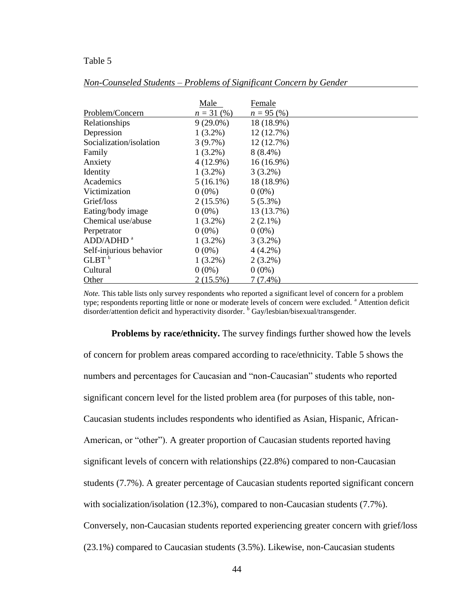### Table 5

|                         | Male         | Female       |
|-------------------------|--------------|--------------|
| Problem/Concern         | $n = 31$ (%) | $n = 95(%)$  |
| Relationships           | $9(29.0\%)$  | 18 (18.9%)   |
| Depression              | $1(3.2\%)$   | 12 (12.7%)   |
| Socialization/isolation | $3(9.7\%)$   | 12(12.7%)    |
| Family                  | $1(3.2\%)$   | $8(8.4\%)$   |
| Anxiety                 | $4(12.9\%)$  | $16(16.9\%)$ |
| Identity                | $1(3.2\%)$   | $3(3.2\%)$   |
| Academics               | $5(16.1\%)$  | 18 (18.9%)   |
| Victimization           | $0(0\%)$     | $0(0\%)$     |
| Grief/loss              | $2(15.5\%)$  | $5(5.3\%)$   |
| Eating/body image       | $0(0\%)$     | 13 (13.7%)   |
| Chemical use/abuse      | $1(3.2\%)$   | $2(2.1\%)$   |
| Perpetrator             | $0(0\%)$     | $0(0\%)$     |
| ADD/ADHD <sup>a</sup>   | $1(3.2\%)$   | $3(3.2\%)$   |
| Self-injurious behavior | $0(0\%)$     | $4(4.2\%)$   |
| $GLBT^b$                | $1(3.2\%)$   | $2(3.2\%)$   |
| Cultural                | $0(0\%)$     | $0(0\%)$     |
| Other                   | $2(15.5\%)$  | $7(7.4\%)$   |

*Non-Counseled Students* – *Problems of Significant Concern by Gender*

*Note.* This table lists only survey respondents who reported a significant level of concern for a problem type; respondents reporting little or none or moderate levels of concern were excluded. <sup>a</sup> Attention deficit disorder/attention deficit and hyperactivity disorder. <sup>b</sup> Gay/lesbian/bisexual/transgender.

**Problems by race/ethnicity.** The survey findings further showed how the levels of concern for problem areas compared according to race/ethnicity. Table 5 shows the numbers and percentages for Caucasian and "non-Caucasian" students who reported significant concern level for the listed problem area (for purposes of this table, non-Caucasian students includes respondents who identified as Asian, Hispanic, African-American, or "other"). A greater proportion of Caucasian students reported having significant levels of concern with relationships (22.8%) compared to non-Caucasian students (7.7%). A greater percentage of Caucasian students reported significant concern with socialization/isolation (12.3%), compared to non-Caucasian students (7.7%). Conversely, non-Caucasian students reported experiencing greater concern with grief/loss (23.1%) compared to Caucasian students (3.5%). Likewise, non-Caucasian students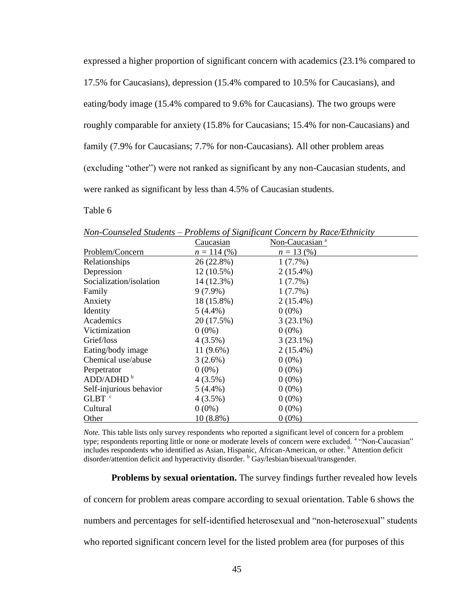expressed a higher proportion of significant concern with academics (23.1% compared to 17.5% for Caucasians), depression (15.4% compared to 10.5% for Caucasians), and eating/body image (15.4% compared to 9.6% for Caucasians). The two groups were roughly comparable for anxiety (15.8% for Caucasians; 15.4% for non-Caucasians) and family (7.9% for Caucasians; 7.7% for non-Caucasians). All other problem areas (excluding "other") were not ranked as significant by any non-Caucasian students, and were ranked as significant by less than 4.5% of Caucasian students.

# Table 6

|                         | Caucasian     | Non-Caucasian <sup>a</sup> |  |
|-------------------------|---------------|----------------------------|--|
| Problem/Concern         | $n = 114$ (%) | $n = 13(%)$                |  |
| Relationships           | 26 (22.8%)    | $1(7.7\%)$                 |  |
| Depression              | $12(10.5\%)$  | $2(15.4\%)$                |  |
| Socialization/isolation | 14 (12.3%)    | $1(7.7\%)$                 |  |
| Family                  | $9(7.9\%)$    | $1(7.7\%)$                 |  |
| Anxiety                 | $18(15.8\%)$  | $2(15.4\%)$                |  |
| Identity                | $5(4.4\%)$    | $0(0\%)$                   |  |
| Academics               | 20 (17.5%)    | $3(23.1\%)$                |  |
| Victimization           | $0(0\%)$      | $0(0\%)$                   |  |
| Grief/loss              | $4(3.5\%)$    | $3(23.1\%)$                |  |
| Eating/body image       | $11(9.6\%)$   | $2(15.4\%)$                |  |
| Chemical use/abuse      | $3(2.6\%)$    | $0(0\%)$                   |  |
| Perpetrator             | $0(0\%)$      | $0(0\%)$                   |  |
| ADD/ADHD <sup>b</sup>   | $4(3.5\%)$    | $0(0\%)$                   |  |
| Self-injurious behavior | $5(4.4\%)$    | $0(0\%)$                   |  |
| GLBT <sup>c</sup>       | $4(3.5\%)$    | $0(0\%)$                   |  |
| Cultural                | $0(0\%)$      | $0(0\%)$                   |  |
| Other                   | $10(8.8\%)$   | $0(0\%)$                   |  |

*Non-Counseled Students* – *Problems of Significant Concern by Race/Ethnicity*

*Note*. This table lists only survey respondents who reported a significant level of concern for a problem type; respondents reporting little or none or moderate levels of concern were excluded. <sup>a</sup> "Non-Caucasian" includes respondents who identified as Asian, Hispanic, African-American, or other. <sup>b</sup> Attention deficit disorder/attention deficit and hyperactivity disorder. <sup>b</sup> Gay/lesbian/bisexual/transgender.

**Problems by sexual orientation.** The survey findings further revealed how levels

of concern for problem areas compare according to sexual orientation. Table 6 shows the numbers and percentages for self-identified heterosexual and "non-heterosexual" students who reported significant concern level for the listed problem area (for purposes of this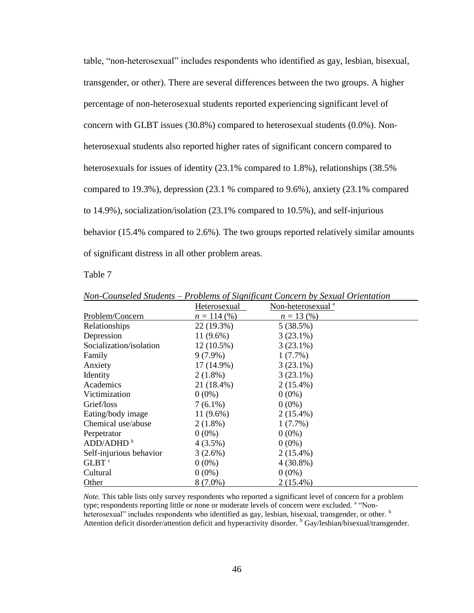table, "non-heterosexual" includes respondents who identified as gay, lesbian, bisexual, transgender, or other). There are several differences between the two groups. A higher percentage of non-heterosexual students reported experiencing significant level of concern with GLBT issues (30.8%) compared to heterosexual students (0.0%). Nonheterosexual students also reported higher rates of significant concern compared to heterosexuals for issues of identity (23.1% compared to 1.8%), relationships (38.5% compared to 19.3%), depression (23.1 % compared to 9.6%), anxiety (23.1% compared to 14.9%), socialization/isolation (23.1% compared to 10.5%), and self-injurious behavior (15.4% compared to 2.6%). The two groups reported relatively similar amounts of significant distress in all other problem areas.

Table 7

|                         | Heterosexual  | Non-heterosexual <sup>a</sup> |  |
|-------------------------|---------------|-------------------------------|--|
| Problem/Concern         | $n = 114$ (%) | $n = 13(%)$                   |  |
| Relationships           | 22 (19.3%)    | 5(38.5%)                      |  |
| Depression              | $11(9.6\%)$   | $3(23.1\%)$                   |  |
| Socialization/isolation | $12(10.5\%)$  | $3(23.1\%)$                   |  |
| Family                  | $9(7.9\%)$    | $1(7.7\%)$                    |  |
| Anxiety                 | 17 (14.9%)    | $3(23.1\%)$                   |  |
| Identity                | $2(1.8\%)$    | $3(23.1\%)$                   |  |
| Academics               | 21 (18.4%)    | $2(15.4\%)$                   |  |
| Victimization           | $0(0\%)$      | $0(0\%)$                      |  |
| Grief/loss              | $7(6.1\%)$    | $0(0\%)$                      |  |
| Eating/body image       | $11(9.6\%)$   | $2(15.4\%)$                   |  |
| Chemical use/abuse      | $2(1.8\%)$    | $1(7.7\%)$                    |  |
| Perpetrator             | $0(0\%)$      | $0(0\%)$                      |  |
| ADD/ADHD <sup>b</sup>   | $4(3.5\%)$    | $0(0\%)$                      |  |
| Self-injurious behavior | $3(2.6\%)$    | $2(15.4\%)$                   |  |
| GLBT <sup>c</sup>       | $0(0\%)$      | $4(30.8\%)$                   |  |
| Cultural                | $0(0\%)$      | $0(0\%)$                      |  |
| Other                   | $8(7.0\%)$    | $2(15.4\%)$                   |  |

*Non-Counseled Students* – *Problems of Significant Concern by Sexual Orientation*

*Note.* This table lists only survey respondents who reported a significant level of concern for a problem type; respondents reporting little or none or moderate levels of concern were excluded. <sup>a</sup> "Nonheterosexual" includes respondents who identified as gay, lesbian, bisexual, transgender, or other.  $<sup>b</sup>$ </sup> Attention deficit disorder/attention deficit and hyperactivity disorder. <sup>b</sup> Gay/lesbian/bisexual/transgender.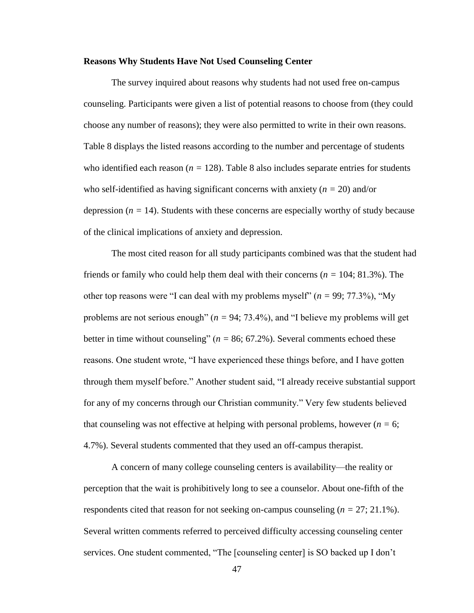### **Reasons Why Students Have Not Used Counseling Center**

The survey inquired about reasons why students had not used free on-campus counseling. Participants were given a list of potential reasons to choose from (they could choose any number of reasons); they were also permitted to write in their own reasons. Table 8 displays the listed reasons according to the number and percentage of students who identified each reason  $(n = 128)$ . Table 8 also includes separate entries for students who self-identified as having significant concerns with anxiety (*n =* 20) and/or depression  $(n = 14)$ . Students with these concerns are especially worthy of study because of the clinical implications of anxiety and depression.

The most cited reason for all study participants combined was that the student had friends or family who could help them deal with their concerns (*n =* 104; 81.3%). The other top reasons were "I can deal with my problems myself" (*n =* 99; 77.3%), "My problems are not serious enough" (*n =* 94; 73.4%), and "I believe my problems will get better in time without counseling"  $(n = 86; 67.2\%)$ . Several comments echoed these reasons. One student wrote, "I have experienced these things before, and I have gotten through them myself before." Another student said, "I already receive substantial support for any of my concerns through our Christian community." Very few students believed that counseling was not effective at helping with personal problems, however  $(n = 6)$ ; 4.7%). Several students commented that they used an off-campus therapist.

A concern of many college counseling centers is availability—the reality or perception that the wait is prohibitively long to see a counselor. About one-fifth of the respondents cited that reason for not seeking on-campus counseling (*n =* 27; 21.1%). Several written comments referred to perceived difficulty accessing counseling center services. One student commented, "The [counseling center] is SO backed up I don't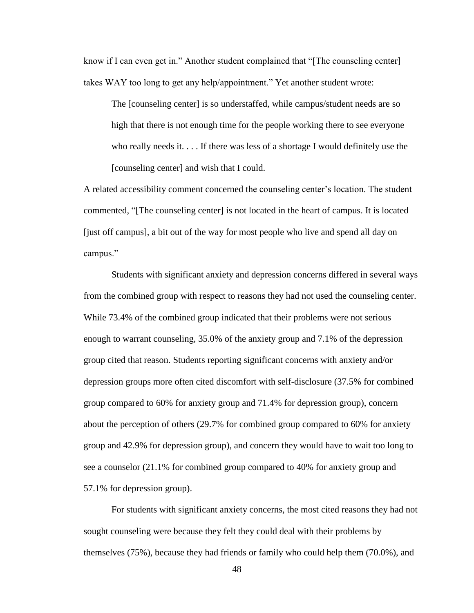know if I can even get in." Another student complained that "[The counseling center] takes WAY too long to get any help/appointment." Yet another student wrote:

The [counseling center] is so understaffed, while campus/student needs are so high that there is not enough time for the people working there to see everyone who really needs it. . . . If there was less of a shortage I would definitely use the [counseling center] and wish that I could.

A related accessibility comment concerned the counseling center's location. The student commented, "[The counseling center] is not located in the heart of campus. It is located [just off campus], a bit out of the way for most people who live and spend all day on campus."

Students with significant anxiety and depression concerns differed in several ways from the combined group with respect to reasons they had not used the counseling center. While 73.4% of the combined group indicated that their problems were not serious enough to warrant counseling, 35.0% of the anxiety group and 7.1% of the depression group cited that reason. Students reporting significant concerns with anxiety and/or depression groups more often cited discomfort with self-disclosure (37.5% for combined group compared to 60% for anxiety group and 71.4% for depression group), concern about the perception of others (29.7% for combined group compared to 60% for anxiety group and 42.9% for depression group), and concern they would have to wait too long to see a counselor (21.1% for combined group compared to 40% for anxiety group and 57.1% for depression group).

For students with significant anxiety concerns, the most cited reasons they had not sought counseling were because they felt they could deal with their problems by themselves (75%), because they had friends or family who could help them (70.0%), and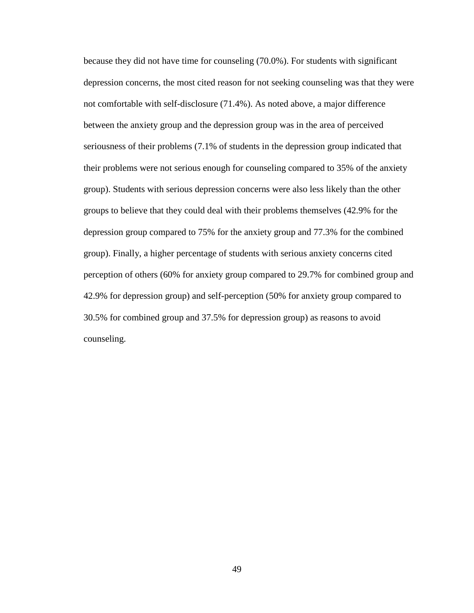because they did not have time for counseling (70.0%). For students with significant depression concerns, the most cited reason for not seeking counseling was that they were not comfortable with self-disclosure (71.4%). As noted above, a major difference between the anxiety group and the depression group was in the area of perceived seriousness of their problems (7.1% of students in the depression group indicated that their problems were not serious enough for counseling compared to 35% of the anxiety group). Students with serious depression concerns were also less likely than the other groups to believe that they could deal with their problems themselves (42.9% for the depression group compared to 75% for the anxiety group and 77.3% for the combined group). Finally, a higher percentage of students with serious anxiety concerns cited perception of others (60% for anxiety group compared to 29.7% for combined group and 42.9% for depression group) and self-perception (50% for anxiety group compared to 30.5% for combined group and 37.5% for depression group) as reasons to avoid counseling.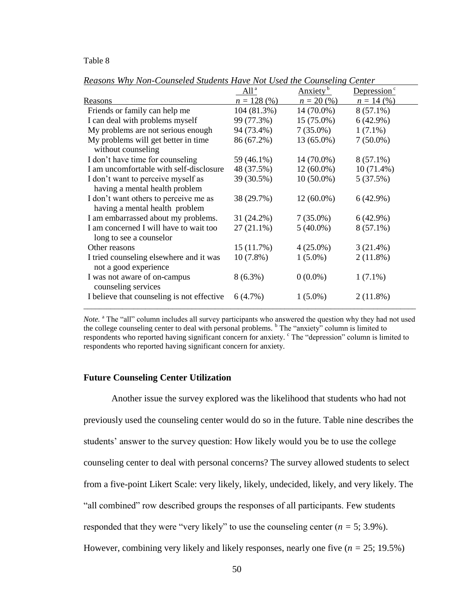### Table 8

|                                                                  | $All^a$      | Anxiety <sup>b</sup> | Depression $\degree$ |
|------------------------------------------------------------------|--------------|----------------------|----------------------|
| Reasons                                                          | $n = 128(%)$ | $n = 20\,(%$         | $n = 14(%)$          |
| Friends or family can help me                                    | 104 (81.3%)  | 14 (70.0%)           | $8(57.1\%)$          |
| I can deal with problems myself                                  | 99 (77.3%)   | 15 (75.0%)           | 6(42.9%)             |
| My problems are not serious enough                               | 94 (73.4%)   | $7(35.0\%)$          | $1(7.1\%)$           |
| My problems will get better in time<br>without counseling        | 86 (67.2%)   | 13 (65.0%)           | $7(50.0\%)$          |
| I don't have time for counseling                                 | 59 (46.1%)   | 14 (70.0%)           | $8(57.1\%)$          |
| I am uncomfortable with self-disclosure                          | 48 (37.5%)   | $12(60.0\%)$         | $10(71.4\%)$         |
| I don't want to perceive myself as                               | 39 (30.5%)   | $10(50.0\%)$         | 5(37.5%)             |
| having a mental health problem                                   |              |                      |                      |
| I don't want others to perceive me as                            | 38 (29.7%)   | $12(60.0\%)$         | 6(42.9%)             |
| having a mental health problem                                   |              |                      |                      |
| I am embarrassed about my problems.                              | 31 (24.2%)   | $7(35.0\%)$          | 6(42.9%)             |
| I am concerned I will have to wait too                           | $27(21.1\%)$ | $5(40.0\%)$          | $8(57.1\%)$          |
| long to see a counselor                                          |              |                      |                      |
| Other reasons                                                    | 15(11.7%)    | $4(25.0\%)$          | $3(21.4\%)$          |
| I tried counseling elsewhere and it was<br>not a good experience | $10(7.8\%)$  | $1(5.0\%)$           | 2(11.8%)             |
| I was not aware of on-campus<br>counseling services              | $8(6.3\%)$   | $0(0.0\%)$           | $1(7.1\%)$           |
| I believe that counseling is not effective                       | 6(4.7%)      | $1(5.0\%)$           | $2(11.8\%)$          |

*Reasons Why Non-Counseled Students Have Not Used the Counseling Center*

*Note.* <sup>a</sup> The "all" column includes all survey participants who answered the question why they had not used the college counseling center to deal with personal problems. <sup>b</sup> The "anxiety" column is limited to respondents who reported having significant concern for anxiety.  $\degree$  The "depression" column is limited to respondents who reported having significant concern for anxiety.

### **Future Counseling Center Utilization**

Another issue the survey explored was the likelihood that students who had not previously used the counseling center would do so in the future. Table nine describes the students' answer to the survey question: How likely would you be to use the college counseling center to deal with personal concerns? The survey allowed students to select from a five-point Likert Scale: very likely, likely, undecided, likely, and very likely. The "all combined" row described groups the responses of all participants. Few students responded that they were "very likely" to use the counseling center (*n =* 5; 3.9%). However, combining very likely and likely responses, nearly one five (*n =* 25; 19.5%)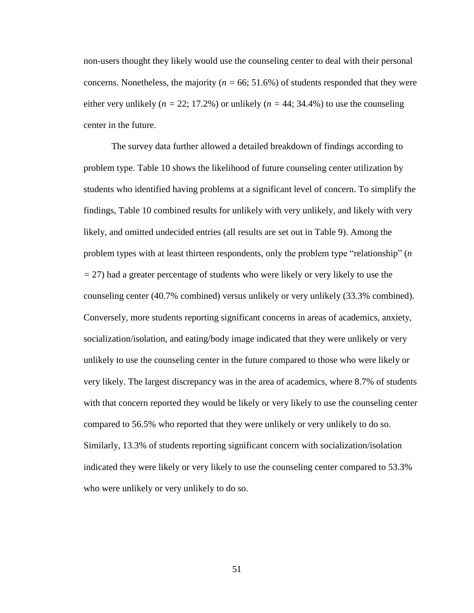non-users thought they likely would use the counseling center to deal with their personal concerns. Nonetheless, the majority ( $n = 66$ ; 51.6%) of students responded that they were either very unlikely ( $n = 22$ ; 17.2%) or unlikely ( $n = 44$ ; 34.4%) to use the counseling center in the future.

The survey data further allowed a detailed breakdown of findings according to problem type. Table 10 shows the likelihood of future counseling center utilization by students who identified having problems at a significant level of concern. To simplify the findings, Table 10 combined results for unlikely with very unlikely, and likely with very likely, and omitted undecided entries (all results are set out in Table 9). Among the problem types with at least thirteen respondents, only the problem type "relationship" (*n =* 27) had a greater percentage of students who were likely or very likely to use the counseling center (40.7% combined) versus unlikely or very unlikely (33.3% combined). Conversely, more students reporting significant concerns in areas of academics, anxiety, socialization/isolation, and eating/body image indicated that they were unlikely or very unlikely to use the counseling center in the future compared to those who were likely or very likely. The largest discrepancy was in the area of academics, where 8.7% of students with that concern reported they would be likely or very likely to use the counseling center compared to 56.5% who reported that they were unlikely or very unlikely to do so. Similarly, 13.3% of students reporting significant concern with socialization/isolation indicated they were likely or very likely to use the counseling center compared to 53.3% who were unlikely or very unlikely to do so.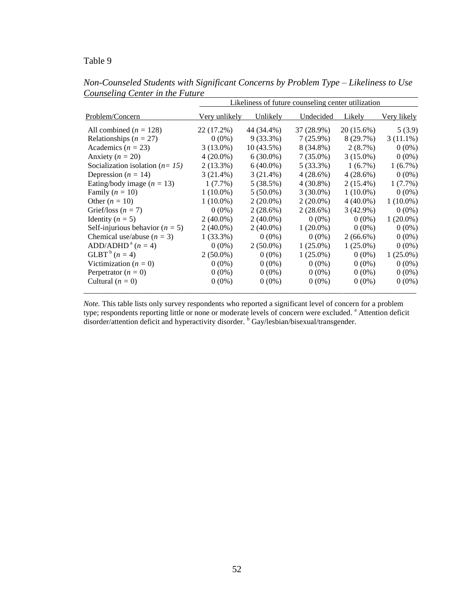# Table 9

|                                     | Likeliness of future counseling center utilization |              |             |             |             |
|-------------------------------------|----------------------------------------------------|--------------|-------------|-------------|-------------|
| Problem/Concern                     | Very unlikely                                      | Unlikely     | Undecided   | Likely      | Very likely |
| All combined ( $n = 128$ )          | 22 (17.2%)                                         | 44 (34.4%)   | 37 (28.9%)  | 20 (15.6%)  | 5(3.9)      |
| Relationships ( $n = 27$ )          | $0(0\%)$                                           | $9(33.3\%)$  | $7(25.9\%)$ | 8 (29.7%)   | $3(11.1\%)$ |
| Academics ( $n = 23$ )              | $3(13.0\%)$                                        | $10(43.5\%)$ | 8 (34.8%)   | 2(8.7%)     | $0(0\%)$    |
| Anxiety ( $n = 20$ )                | $4(20.0\%)$                                        | $6(30.0\%)$  | $7(35.0\%)$ | $3(15.0\%)$ | $0(0\%)$    |
| Socialization isolation ( $n=15$ )  | 2(13.3%)                                           | $6(40.0\%)$  | 5(33.3%)    | $1(6.7\%)$  | $1(6.7\%)$  |
| Depression ( $n = 14$ )             | 3(21.4%)                                           | 3(21.4%)     | 4(28.6%)    | 4(28.6%)    | $0(0\%)$    |
| Eating/body image ( $n = 13$ )      | $1(7.7\%)$                                         | 5(38.5%)     | $4(30.8\%)$ | $2(15.4\%)$ | $1(7.7\%)$  |
| Family $(n = 10)$                   | $1(10.0\%)$                                        | $5(50.0\%)$  | $3(30.0\%)$ | $1(10.0\%)$ | $0(0\%)$    |
| Other $(n = 10)$                    | $1(10.0\%)$                                        | $2(20.0\%)$  | $2(20.0\%)$ | $4(40.0\%)$ | $1(10.0\%)$ |
| Grief/loss ( $n = 7$ )              | $0(0\%)$                                           | 2(28.6%)     | 2(28.6%)    | $3(42.9\%)$ | $0(0\%)$    |
| Identity ( $n = 5$ )                | $2(40.0\%)$                                        | $2(40.0\%)$  | $0(0\%)$    | $0(0\%)$    | $1(20.0\%)$ |
| Self-injurious behavior ( $n = 5$ ) | $2(40.0\%)$                                        | $2(40.0\%)$  | $1(20.0\%)$ | $0(0\%)$    | $0(0\%)$    |
| Chemical use/abuse $(n = 3)$        | $1(33.3\%)$                                        | $0(0\%)$     | $0(0\%)$    | $2(66.6\%)$ | $0(0\%)$    |
| ADD/ADHD <sup>a</sup> $(n = 4)$     | $0(0\%)$                                           | $2(50.0\%)$  | $1(25.0\%)$ | $1(25.0\%)$ | $0(0\%)$    |
| $GLBT^b (n = 4)$                    | $2(50.0\%)$                                        | $0(0\%)$     | $1(25.0\%)$ | $0(0\%)$    | $1(25.0\%)$ |
| Victimization ( $n = 0$ )           | $0(0\%)$                                           | $0(0\%)$     | $0(0\%)$    | $0(0\%)$    | $0(0\%)$    |
| Perpetrator $(n = 0)$               | $0(0\%)$                                           | $0(0\%)$     | $0(0\%)$    | $0(0\%)$    | $0(0\%)$    |
| Cultural $(n = 0)$                  | $0(0\%)$                                           | $0(0\%)$     | $0(0\%)$    | $0(0\%)$    | $0(0\%)$    |

*Non-Counseled Students with Significant Concerns by Problem Type* – *Likeliness to Use Counseling Center in the Future*

*Note.* This table lists only survey respondents who reported a significant level of concern for a problem type; respondents reporting little or none or moderate levels of concern were excluded. <sup>a</sup> Attention deficit disorder/attention deficit and hyperactivity disorder. <sup>b</sup> Gay/lesbian/bisexual/transgender.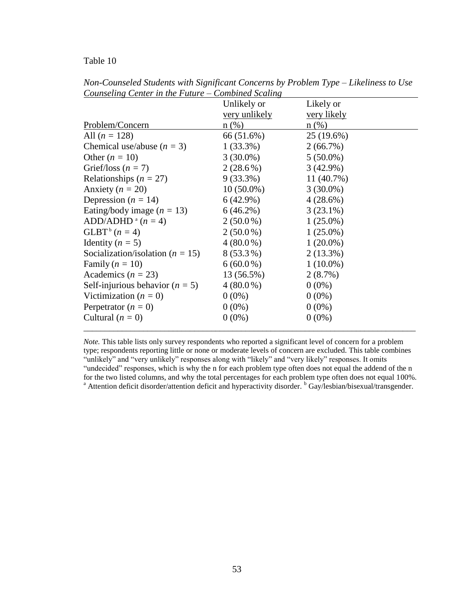# Table 10

|                                      | Unlikely or          | Likely or          |
|--------------------------------------|----------------------|--------------------|
|                                      | <u>very</u> unlikely | <u>very likely</u> |
| Problem/Concern                      | $n$ (%)              | $n$ (%)            |
| All $(n = 128)$                      | 66 (51.6%)           | $25(19.6\%)$       |
| Chemical use/abuse $(n = 3)$         | $1(33.3\%)$          | $2(66.7\%)$        |
| Other $(n = 10)$                     | $3(30.0\%)$          | $5(50.0\%)$        |
| Grief/loss $(n = 7)$                 | $2(28.6\%)$          | $3(42.9\%)$        |
| Relationships ( $n = 27$ )           | $9(33.3\%)$          | $11(40.7\%)$       |
| Anxiety ( $n = 20$ )                 | $10(50.0\%)$         | $3(30.0\%)$        |
| Depression ( $n = 14$ )              | 6(42.9%)             | $4(28.6\%)$        |
| Eating/body image $(n = 13)$         | $6(46.2\%)$          | $3(23.1\%)$        |
| ADD/ADHD <sup>a</sup> $(n = 4)$      | $2(50.0\%)$          | $1(25.0\%)$        |
| $GLBT^b$ $(n = 4)$                   | $2(50.0\%)$          | $1(25.0\%)$        |
| Identity ( $n = 5$ )                 | $4(80.0\%)$          | $1(20.0\%)$        |
| Socialization/isolation ( $n = 15$ ) | $8(53.3\%)$          | $2(13.3\%)$        |
| Family $(n = 10)$                    | $6(60.0\%)$          | $1(10.0\%)$        |
| Academics ( $n = 23$ )               | 13 (56.5%)           | 2(8.7%)            |
| Self-injurious behavior ( $n = 5$ )  | $4(80.0\%)$          | $0(0\%)$           |
| Victimization ( $n = 0$ )            | $0(0\%)$             | $0(0\%)$           |
| Perpetrator $(n = 0)$                | $0(0\%)$             | $0(0\%)$           |
| Cultural $(n = 0)$                   | $0(0\%)$             | $0(0\%)$           |

*Non-Counseled Students with Significant Concerns by Problem Type* – *Likeliness to Use Counseling Center in the Future – Combined Scaling*

*Note.* This table lists only survey respondents who reported a significant level of concern for a problem type; respondents reporting little or none or moderate levels of concern are excluded. This table combines "unlikely" and "very unlikely" responses along with "likely" and "very likely" responses. It omits "undecided" responses, which is why the n for each problem type often does not equal the addend of the n for the two listed columns, and why the total percentages for each problem type often does not equal 100%. <sup>a</sup> Attention deficit disorder/attention deficit and hyperactivity disorder. <sup>b</sup> Gay/lesbian/bisexual/transgender.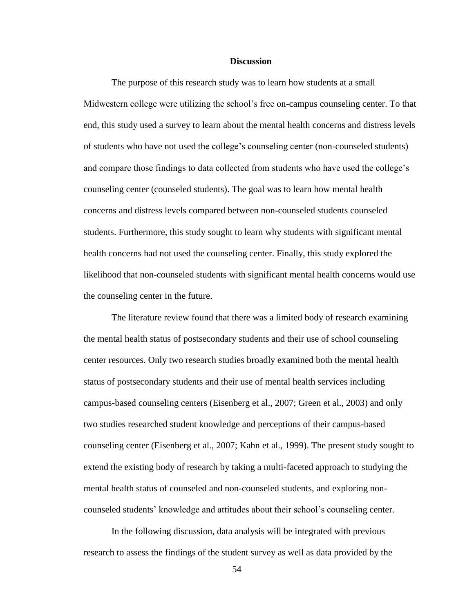### **Discussion**

The purpose of this research study was to learn how students at a small Midwestern college were utilizing the school's free on-campus counseling center. To that end, this study used a survey to learn about the mental health concerns and distress levels of students who have not used the college's counseling center (non-counseled students) and compare those findings to data collected from students who have used the college's counseling center (counseled students). The goal was to learn how mental health concerns and distress levels compared between non-counseled students counseled students. Furthermore, this study sought to learn why students with significant mental health concerns had not used the counseling center. Finally, this study explored the likelihood that non-counseled students with significant mental health concerns would use the counseling center in the future.

The literature review found that there was a limited body of research examining the mental health status of postsecondary students and their use of school counseling center resources. Only two research studies broadly examined both the mental health status of postsecondary students and their use of mental health services including campus-based counseling centers (Eisenberg et al., 2007; Green et al., 2003) and only two studies researched student knowledge and perceptions of their campus-based counseling center (Eisenberg et al., 2007; Kahn et al., 1999). The present study sought to extend the existing body of research by taking a multi-faceted approach to studying the mental health status of counseled and non-counseled students, and exploring noncounseled students' knowledge and attitudes about their school's counseling center.

In the following discussion, data analysis will be integrated with previous research to assess the findings of the student survey as well as data provided by the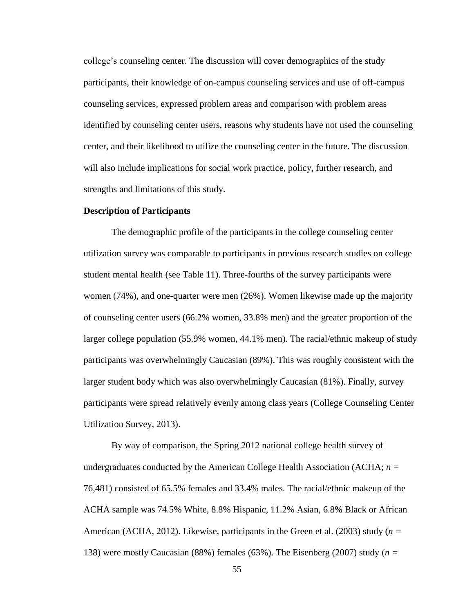college's counseling center. The discussion will cover demographics of the study participants, their knowledge of on-campus counseling services and use of off-campus counseling services, expressed problem areas and comparison with problem areas identified by counseling center users, reasons why students have not used the counseling center, and their likelihood to utilize the counseling center in the future. The discussion will also include implications for social work practice, policy, further research, and strengths and limitations of this study.

#### **Description of Participants**

The demographic profile of the participants in the college counseling center utilization survey was comparable to participants in previous research studies on college student mental health (see Table 11). Three-fourths of the survey participants were women (74%), and one-quarter were men (26%). Women likewise made up the majority of counseling center users (66.2% women, 33.8% men) and the greater proportion of the larger college population (55.9% women, 44.1% men). The racial/ethnic makeup of study participants was overwhelmingly Caucasian (89%). This was roughly consistent with the larger student body which was also overwhelmingly Caucasian (81%). Finally, survey participants were spread relatively evenly among class years (College Counseling Center Utilization Survey, 2013).

By way of comparison, the Spring 2012 national college health survey of undergraduates conducted by the American College Health Association (ACHA; *n =*  76,481) consisted of 65.5% females and 33.4% males. The racial/ethnic makeup of the ACHA sample was 74.5% White, 8.8% Hispanic, 11.2% Asian, 6.8% Black or African American (ACHA, 2012). Likewise, participants in the Green et al. (2003) study (*n =*  138) were mostly Caucasian (88%) females (63%). The Eisenberg (2007) study (*n =*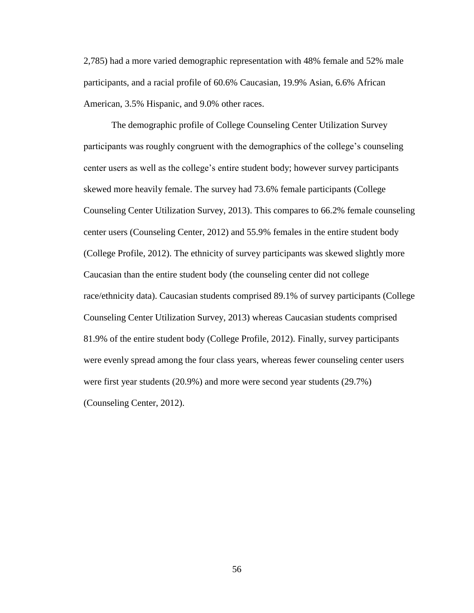2,785) had a more varied demographic representation with 48% female and 52% male participants, and a racial profile of 60.6% Caucasian, 19.9% Asian, 6.6% African American, 3.5% Hispanic, and 9.0% other races.

The demographic profile of College Counseling Center Utilization Survey participants was roughly congruent with the demographics of the college's counseling center users as well as the college's entire student body; however survey participants skewed more heavily female. The survey had 73.6% female participants (College Counseling Center Utilization Survey, 2013). This compares to 66.2% female counseling center users (Counseling Center, 2012) and 55.9% females in the entire student body (College Profile, 2012). The ethnicity of survey participants was skewed slightly more Caucasian than the entire student body (the counseling center did not college race/ethnicity data). Caucasian students comprised 89.1% of survey participants (College Counseling Center Utilization Survey, 2013) whereas Caucasian students comprised 81.9% of the entire student body (College Profile, 2012). Finally, survey participants were evenly spread among the four class years, whereas fewer counseling center users were first year students (20.9%) and more were second year students (29.7%) (Counseling Center, 2012).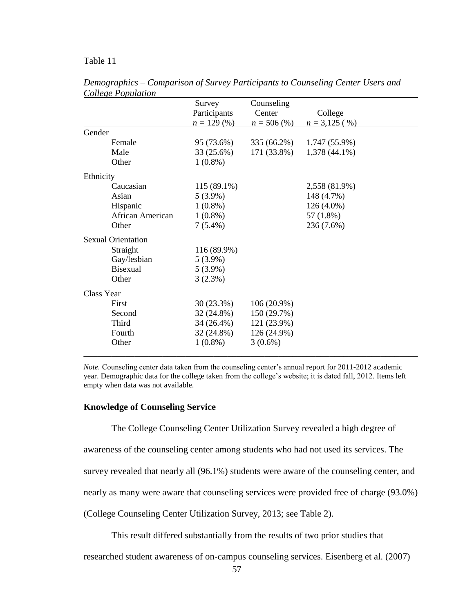# Table 11

|                           | Survey       | Counseling    |                 |
|---------------------------|--------------|---------------|-----------------|
|                           | Participants | Center        | College         |
|                           | $n = 129(%)$ | $n = 506\,(%$ | $n = 3,125(%)$  |
| Gender                    |              |               |                 |
| Female                    | 95 (73.6%)   | 335 (66.2%)   | 1,747 (55.9%)   |
| Male                      | 33 (25.6%)   | 171 (33.8%)   | $1,378(44.1\%)$ |
| Other                     | $1(0.8\%)$   |               |                 |
| Ethnicity                 |              |               |                 |
| Caucasian                 | 115 (89.1%)  |               | 2,558 (81.9%)   |
| Asian                     | $5(3.9\%)$   |               | 148 (4.7%)      |
| Hispanic                  | $1(0.8\%)$   |               | $126(4.0\%)$    |
| African American          | $1(0.8\%)$   |               | 57 (1.8%)       |
| Other                     | $7(5.4\%)$   |               | 236 (7.6%)      |
| <b>Sexual Orientation</b> |              |               |                 |
| Straight                  | 116 (89.9%)  |               |                 |
| Gay/lesbian               | $5(3.9\%)$   |               |                 |
| Bisexual                  | $5(3.9\%)$   |               |                 |
| Other                     | 3(2.3%)      |               |                 |
| Class Year                |              |               |                 |
| First                     | 30(23.3%)    | $106(20.9\%)$ |                 |
| Second                    | 32 (24.8%)   | 150 (29.7%)   |                 |
| Third                     | 34 (26.4%)   | 121 (23.9%)   |                 |
| Fourth                    | 32 (24.8%)   | 126 (24.9%)   |                 |
| Other                     | $1(0.8\%)$   | $3(0.6\%)$    |                 |
|                           |              |               |                 |

*Demographics* – *Comparison of Survey Participants to Counseling Center Users and College Population*

*Note.* Counseling center data taken from the counseling center's annual report for 2011-2012 academic year. Demographic data for the college taken from the college's website; it is dated fall, 2012. Items left empty when data was not available.

### **Knowledge of Counseling Service**

The College Counseling Center Utilization Survey revealed a high degree of

awareness of the counseling center among students who had not used its services. The

survey revealed that nearly all (96.1%) students were aware of the counseling center, and

nearly as many were aware that counseling services were provided free of charge (93.0%)

(College Counseling Center Utilization Survey, 2013; see Table 2).

This result differed substantially from the results of two prior studies that

researched student awareness of on-campus counseling services. Eisenberg et al. (2007)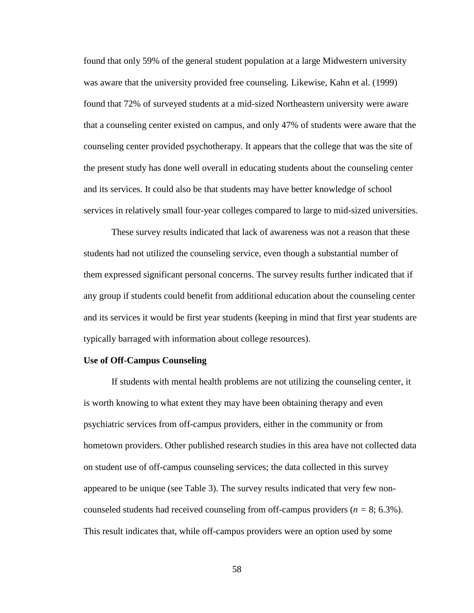found that only 59% of the general student population at a large Midwestern university was aware that the university provided free counseling. Likewise, Kahn et al. (1999) found that 72% of surveyed students at a mid-sized Northeastern university were aware that a counseling center existed on campus, and only 47% of students were aware that the counseling center provided psychotherapy. It appears that the college that was the site of the present study has done well overall in educating students about the counseling center and its services. It could also be that students may have better knowledge of school services in relatively small four-year colleges compared to large to mid-sized universities.

These survey results indicated that lack of awareness was not a reason that these students had not utilized the counseling service, even though a substantial number of them expressed significant personal concerns. The survey results further indicated that if any group if students could benefit from additional education about the counseling center and its services it would be first year students (keeping in mind that first year students are typically barraged with information about college resources).

#### **Use of Off-Campus Counseling**

If students with mental health problems are not utilizing the counseling center, it is worth knowing to what extent they may have been obtaining therapy and even psychiatric services from off-campus providers, either in the community or from hometown providers. Other published research studies in this area have not collected data on student use of off-campus counseling services; the data collected in this survey appeared to be unique (see Table 3). The survey results indicated that very few noncounseled students had received counseling from off-campus providers (*n =* 8; 6.3%). This result indicates that, while off-campus providers were an option used by some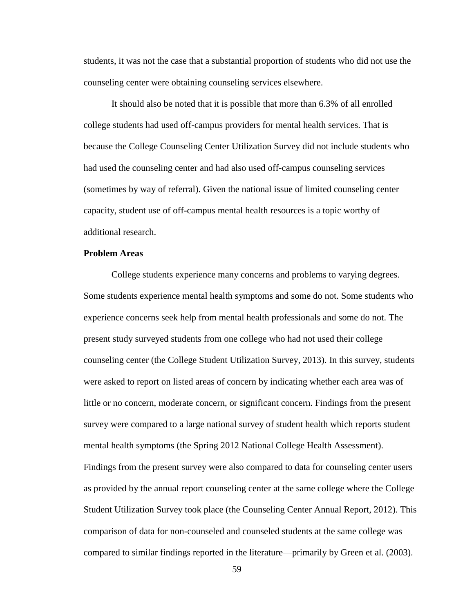students, it was not the case that a substantial proportion of students who did not use the counseling center were obtaining counseling services elsewhere.

It should also be noted that it is possible that more than 6.3% of all enrolled college students had used off-campus providers for mental health services. That is because the College Counseling Center Utilization Survey did not include students who had used the counseling center and had also used off-campus counseling services (sometimes by way of referral). Given the national issue of limited counseling center capacity, student use of off-campus mental health resources is a topic worthy of additional research.

### **Problem Areas**

College students experience many concerns and problems to varying degrees. Some students experience mental health symptoms and some do not. Some students who experience concerns seek help from mental health professionals and some do not. The present study surveyed students from one college who had not used their college counseling center (the College Student Utilization Survey, 2013). In this survey, students were asked to report on listed areas of concern by indicating whether each area was of little or no concern, moderate concern, or significant concern. Findings from the present survey were compared to a large national survey of student health which reports student mental health symptoms (the Spring 2012 National College Health Assessment). Findings from the present survey were also compared to data for counseling center users as provided by the annual report counseling center at the same college where the College Student Utilization Survey took place (the Counseling Center Annual Report, 2012). This comparison of data for non-counseled and counseled students at the same college was compared to similar findings reported in the literature—primarily by Green et al. (2003).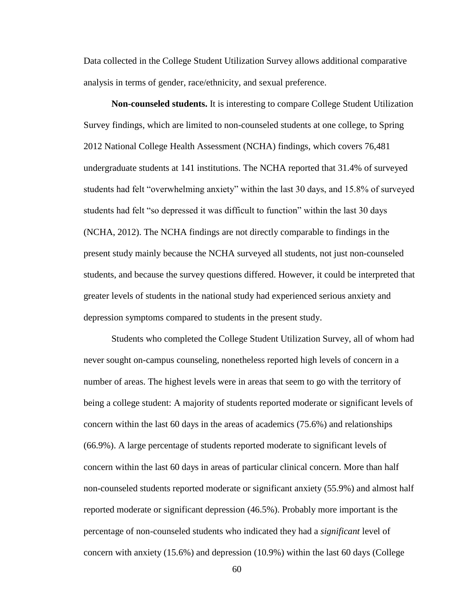Data collected in the College Student Utilization Survey allows additional comparative analysis in terms of gender, race/ethnicity, and sexual preference.

**Non-counseled students.** It is interesting to compare College Student Utilization Survey findings, which are limited to non-counseled students at one college, to Spring 2012 National College Health Assessment (NCHA) findings, which covers 76,481 undergraduate students at 141 institutions. The NCHA reported that 31.4% of surveyed students had felt "overwhelming anxiety" within the last 30 days, and 15.8% of surveyed students had felt "so depressed it was difficult to function" within the last 30 days (NCHA, 2012). The NCHA findings are not directly comparable to findings in the present study mainly because the NCHA surveyed all students, not just non-counseled students, and because the survey questions differed. However, it could be interpreted that greater levels of students in the national study had experienced serious anxiety and depression symptoms compared to students in the present study.

Students who completed the College Student Utilization Survey, all of whom had never sought on-campus counseling, nonetheless reported high levels of concern in a number of areas. The highest levels were in areas that seem to go with the territory of being a college student: A majority of students reported moderate or significant levels of concern within the last 60 days in the areas of academics (75.6%) and relationships (66.9%). A large percentage of students reported moderate to significant levels of concern within the last 60 days in areas of particular clinical concern. More than half non-counseled students reported moderate or significant anxiety (55.9%) and almost half reported moderate or significant depression (46.5%). Probably more important is the percentage of non-counseled students who indicated they had a *significant* level of concern with anxiety (15.6%) and depression (10.9%) within the last 60 days (College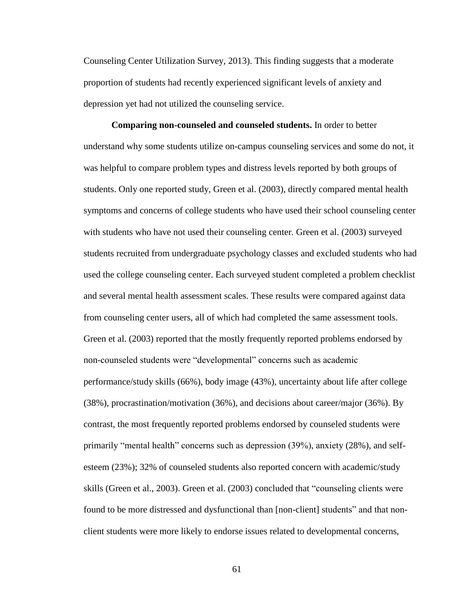Counseling Center Utilization Survey, 2013). This finding suggests that a moderate proportion of students had recently experienced significant levels of anxiety and depression yet had not utilized the counseling service.

**Comparing non-counseled and counseled students.** In order to better understand why some students utilize on-campus counseling services and some do not, it was helpful to compare problem types and distress levels reported by both groups of students. Only one reported study, Green et al. (2003), directly compared mental health symptoms and concerns of college students who have used their school counseling center with students who have not used their counseling center. Green et al. (2003) surveyed students recruited from undergraduate psychology classes and excluded students who had used the college counseling center. Each surveyed student completed a problem checklist and several mental health assessment scales. These results were compared against data from counseling center users, all of which had completed the same assessment tools. Green et al. (2003) reported that the mostly frequently reported problems endorsed by non-counseled students were "developmental" concerns such as academic performance/study skills (66%), body image (43%), uncertainty about life after college (38%), procrastination/motivation (36%), and decisions about career/major (36%). By contrast, the most frequently reported problems endorsed by counseled students were primarily "mental health" concerns such as depression (39%), anxiety (28%), and selfesteem (23%); 32% of counseled students also reported concern with academic/study skills (Green et al., 2003). Green et al. (2003) concluded that "counseling clients were found to be more distressed and dysfunctional than [non-client] students" and that nonclient students were more likely to endorse issues related to developmental concerns,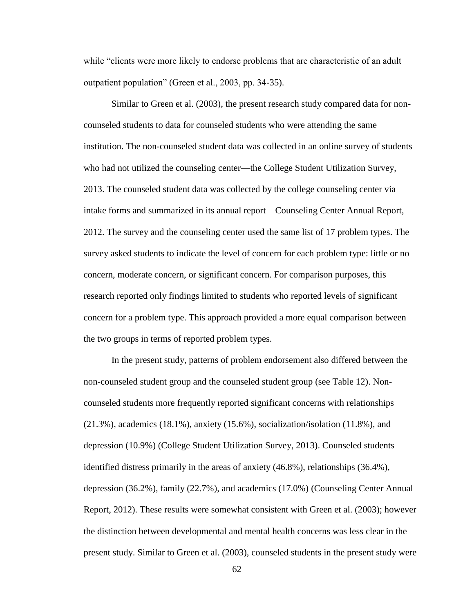while "clients were more likely to endorse problems that are characteristic of an adult outpatient population" (Green et al., 2003, pp. 34-35).

Similar to Green et al. (2003), the present research study compared data for noncounseled students to data for counseled students who were attending the same institution. The non-counseled student data was collected in an online survey of students who had not utilized the counseling center—the College Student Utilization Survey, 2013. The counseled student data was collected by the college counseling center via intake forms and summarized in its annual report—Counseling Center Annual Report, 2012. The survey and the counseling center used the same list of 17 problem types. The survey asked students to indicate the level of concern for each problem type: little or no concern, moderate concern, or significant concern. For comparison purposes, this research reported only findings limited to students who reported levels of significant concern for a problem type. This approach provided a more equal comparison between the two groups in terms of reported problem types.

In the present study, patterns of problem endorsement also differed between the non-counseled student group and the counseled student group (see Table 12). Noncounseled students more frequently reported significant concerns with relationships  $(21.3\%)$ , academics  $(18.1\%)$ , anxiety  $(15.6\%)$ , socialization/isolation  $(11.8\%)$ , and depression (10.9%) (College Student Utilization Survey, 2013). Counseled students identified distress primarily in the areas of anxiety (46.8%), relationships (36.4%), depression (36.2%), family (22.7%), and academics (17.0%) (Counseling Center Annual Report, 2012). These results were somewhat consistent with Green et al. (2003); however the distinction between developmental and mental health concerns was less clear in the present study. Similar to Green et al. (2003), counseled students in the present study were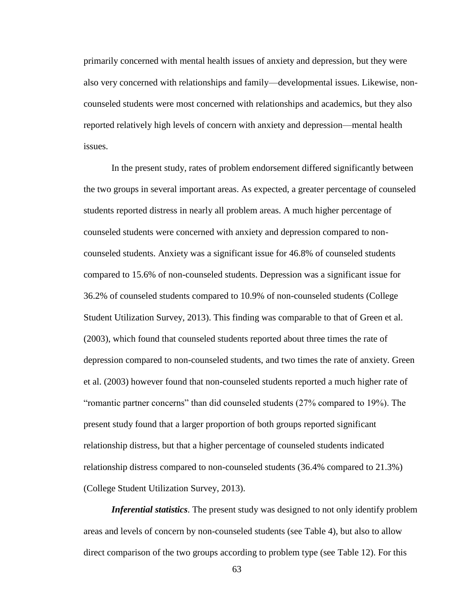primarily concerned with mental health issues of anxiety and depression, but they were also very concerned with relationships and family—developmental issues. Likewise, noncounseled students were most concerned with relationships and academics, but they also reported relatively high levels of concern with anxiety and depression—mental health issues.

In the present study, rates of problem endorsement differed significantly between the two groups in several important areas. As expected, a greater percentage of counseled students reported distress in nearly all problem areas. A much higher percentage of counseled students were concerned with anxiety and depression compared to noncounseled students. Anxiety was a significant issue for 46.8% of counseled students compared to 15.6% of non-counseled students. Depression was a significant issue for 36.2% of counseled students compared to 10.9% of non-counseled students (College Student Utilization Survey, 2013). This finding was comparable to that of Green et al. (2003), which found that counseled students reported about three times the rate of depression compared to non-counseled students, and two times the rate of anxiety. Green et al. (2003) however found that non-counseled students reported a much higher rate of "romantic partner concerns" than did counseled students (27% compared to 19%). The present study found that a larger proportion of both groups reported significant relationship distress, but that a higher percentage of counseled students indicated relationship distress compared to non-counseled students (36.4% compared to 21.3%) (College Student Utilization Survey, 2013).

*Inferential statistics*. The present study was designed to not only identify problem areas and levels of concern by non-counseled students (see Table 4), but also to allow direct comparison of the two groups according to problem type (see Table 12). For this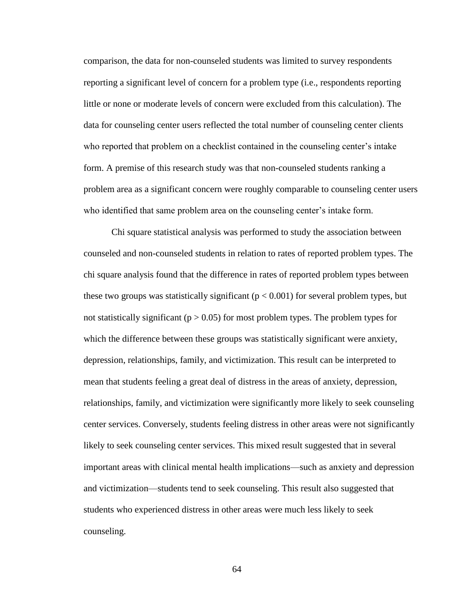comparison, the data for non-counseled students was limited to survey respondents reporting a significant level of concern for a problem type (i.e., respondents reporting little or none or moderate levels of concern were excluded from this calculation). The data for counseling center users reflected the total number of counseling center clients who reported that problem on a checklist contained in the counseling center's intake form. A premise of this research study was that non-counseled students ranking a problem area as a significant concern were roughly comparable to counseling center users who identified that same problem area on the counseling center's intake form.

Chi square statistical analysis was performed to study the association between counseled and non-counseled students in relation to rates of reported problem types. The chi square analysis found that the difference in rates of reported problem types between these two groups was statistically significant ( $p < 0.001$ ) for several problem types, but not statistically significant ( $p > 0.05$ ) for most problem types. The problem types for which the difference between these groups was statistically significant were anxiety, depression, relationships, family, and victimization. This result can be interpreted to mean that students feeling a great deal of distress in the areas of anxiety, depression, relationships, family, and victimization were significantly more likely to seek counseling center services. Conversely, students feeling distress in other areas were not significantly likely to seek counseling center services. This mixed result suggested that in several important areas with clinical mental health implications—such as anxiety and depression and victimization—students tend to seek counseling. This result also suggested that students who experienced distress in other areas were much less likely to seek counseling.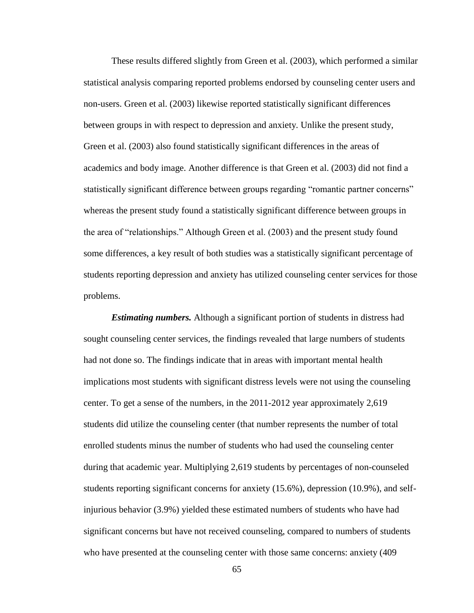These results differed slightly from Green et al. (2003), which performed a similar statistical analysis comparing reported problems endorsed by counseling center users and non-users. Green et al. (2003) likewise reported statistically significant differences between groups in with respect to depression and anxiety. Unlike the present study, Green et al. (2003) also found statistically significant differences in the areas of academics and body image. Another difference is that Green et al. (2003) did not find a statistically significant difference between groups regarding "romantic partner concerns" whereas the present study found a statistically significant difference between groups in the area of "relationships." Although Green et al. (2003) and the present study found some differences, a key result of both studies was a statistically significant percentage of students reporting depression and anxiety has utilized counseling center services for those problems.

*Estimating numbers.* Although a significant portion of students in distress had sought counseling center services, the findings revealed that large numbers of students had not done so. The findings indicate that in areas with important mental health implications most students with significant distress levels were not using the counseling center. To get a sense of the numbers, in the 2011-2012 year approximately 2,619 students did utilize the counseling center (that number represents the number of total enrolled students minus the number of students who had used the counseling center during that academic year. Multiplying 2,619 students by percentages of non-counseled students reporting significant concerns for anxiety (15.6%), depression (10.9%), and selfinjurious behavior (3.9%) yielded these estimated numbers of students who have had significant concerns but have not received counseling, compared to numbers of students who have presented at the counseling center with those same concerns: anxiety (409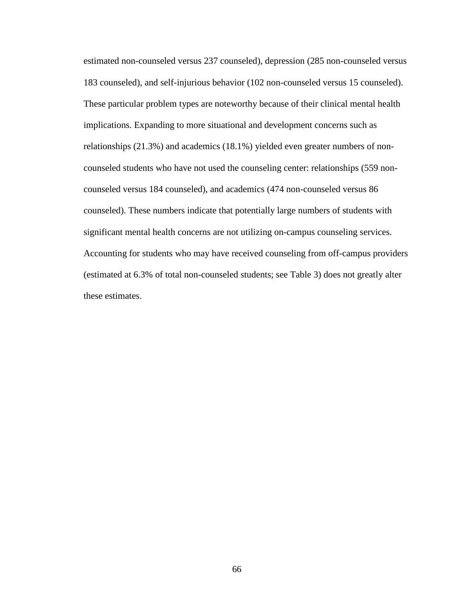estimated non-counseled versus 237 counseled), depression (285 non-counseled versus 183 counseled), and self-injurious behavior (102 non-counseled versus 15 counseled). These particular problem types are noteworthy because of their clinical mental health implications. Expanding to more situational and development concerns such as relationships (21.3%) and academics (18.1%) yielded even greater numbers of noncounseled students who have not used the counseling center: relationships (559 noncounseled versus 184 counseled), and academics (474 non-counseled versus 86 counseled). These numbers indicate that potentially large numbers of students with significant mental health concerns are not utilizing on-campus counseling services. Accounting for students who may have received counseling from off-campus providers (estimated at 6.3% of total non-counseled students; see Table 3) does not greatly alter these estimates.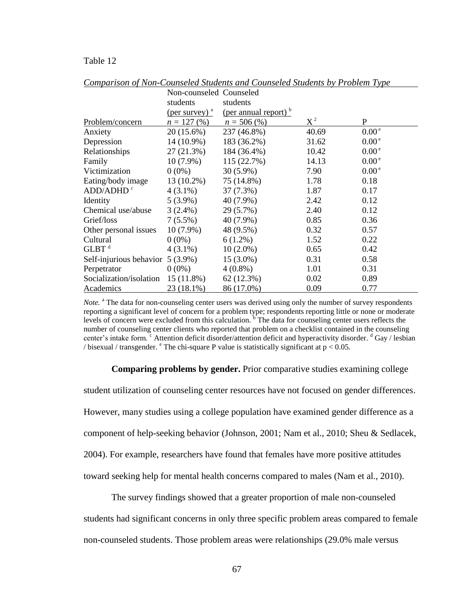#### Table 12

|                         | Non-counseled Counseled          |                                  |       |                   |
|-------------------------|----------------------------------|----------------------------------|-------|-------------------|
|                         | students                         | students                         |       |                   |
|                         | $(\text{per survey})^{\text{a}}$ | (per annual report) <sup>b</sup> |       |                   |
| Problem/concern         | $n = 127(%)$                     | $n = 506\,(%$                    | $X^2$ | P                 |
| Anxiety                 | 20 (15.6%)                       | 237 (46.8%)                      | 40.69 | 0.00 <sup>e</sup> |
| Depression              | 14 (10.9%)                       | 183 (36.2%)                      | 31.62 | 0.00 <sup>e</sup> |
| Relationships           | 27(21.3%)                        | 184 (36.4%)                      | 10.42 | 0.00 <sup>e</sup> |
| Family                  | $10(7.9\%)$                      | 115 (22.7%)                      | 14.13 | 0.00 <sup>e</sup> |
| Victimization           | $0(0\%)$                         | $30(5.9\%)$                      | 7.90  | 0.00 <sup>e</sup> |
| Eating/body image       | 13 (10.2%)                       | 75 (14.8%)                       | 1.78  | 0.18              |
| ADD/ADHD <sup>c</sup>   | $4(3.1\%)$                       | 37 (7.3%)                        | 1.87  | 0.17              |
| Identity                | $5(3.9\%)$                       | 40 (7.9%)                        | 2.42  | 0.12              |
| Chemical use/abuse      | $3(2.4\%)$                       | 29 (5.7%)                        | 2.40  | 0.12              |
| Grief/loss              | $7(5.5\%)$                       | 40 (7.9%)                        | 0.85  | 0.36              |
| Other personal issues   | $10(7.9\%)$                      | 48 (9.5%)                        | 0.32  | 0.57              |
| Cultural                | $0(0\%)$                         | $6(1.2\%)$                       | 1.52  | 0.22              |
| $GLBT$ <sup>d</sup>     | $4(3.1\%)$                       | $10(2.0\%)$                      | 0.65  | 0.42              |
| Self-injurious behavior | $5(3.9\%)$                       | $15(3.0\%)$                      | 0.31  | 0.58              |
| Perpetrator             | $0(0\%)$                         | $4(0.8\%)$                       | 1.01  | 0.31              |
| Socialization/isolation | $15(11.8\%)$                     | 62(12.3%)                        | 0.02  | 0.89              |
| <b>Academics</b>        | $23(18.1\%)$                     | 86 (17.0%)                       | 0.09  | 0.77              |

*Comparison of Non-Counseled Students and Counseled Students by Problem Type*

*Note.* <sup>a</sup> The data for non-counseling center users was derived using only the number of survey respondents reporting a significant level of concern for a problem type; respondents reporting little or none or moderate levels of concern were excluded from this calculation.  $\overline{b}$  The data for counseling center users reflects the number of counseling center clients who reported that problem on a checklist contained in the counseling center's intake form. <sup>c</sup> Attention deficit disorder/attention deficit and hyperactivity disorder. <sup>d</sup> Gay / lesbian / bisexual / transgender.  $^{\circ}$  The chi-square P value is statistically significant at  $p < 0.05$ .

#### **Comparing problems by gender.** Prior comparative studies examining college

student utilization of counseling center resources have not focused on gender differences. However, many studies using a college population have examined gender difference as a component of help-seeking behavior (Johnson, 2001; Nam et al., 2010; Sheu & Sedlacek, 2004). For example, researchers have found that females have more positive attitudes toward seeking help for mental health concerns compared to males (Nam et al., 2010).

The survey findings showed that a greater proportion of male non-counseled

students had significant concerns in only three specific problem areas compared to female non-counseled students. Those problem areas were relationships (29.0% male versus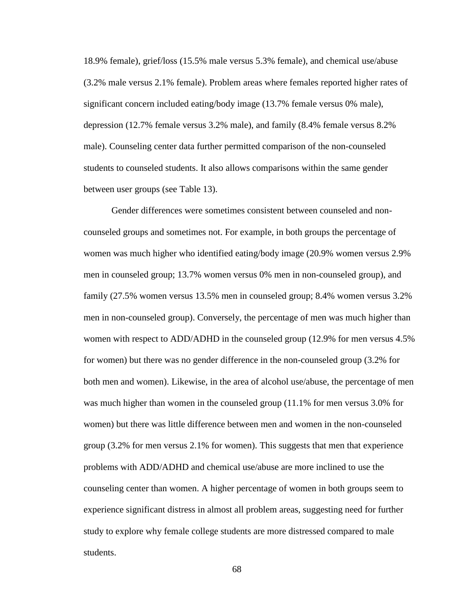18.9% female), grief/loss (15.5% male versus 5.3% female), and chemical use/abuse (3.2% male versus 2.1% female). Problem areas where females reported higher rates of significant concern included eating/body image (13.7% female versus 0% male), depression (12.7% female versus 3.2% male), and family (8.4% female versus 8.2% male). Counseling center data further permitted comparison of the non-counseled students to counseled students. It also allows comparisons within the same gender between user groups (see Table 13).

Gender differences were sometimes consistent between counseled and noncounseled groups and sometimes not. For example, in both groups the percentage of women was much higher who identified eating/body image (20.9% women versus 2.9% men in counseled group; 13.7% women versus 0% men in non-counseled group), and family (27.5% women versus 13.5% men in counseled group; 8.4% women versus 3.2% men in non-counseled group). Conversely, the percentage of men was much higher than women with respect to ADD/ADHD in the counseled group (12.9% for men versus 4.5% for women) but there was no gender difference in the non-counseled group (3.2% for both men and women). Likewise, in the area of alcohol use/abuse, the percentage of men was much higher than women in the counseled group (11.1% for men versus 3.0% for women) but there was little difference between men and women in the non-counseled group (3.2% for men versus 2.1% for women). This suggests that men that experience problems with ADD/ADHD and chemical use/abuse are more inclined to use the counseling center than women. A higher percentage of women in both groups seem to experience significant distress in almost all problem areas, suggesting need for further study to explore why female college students are more distressed compared to male students.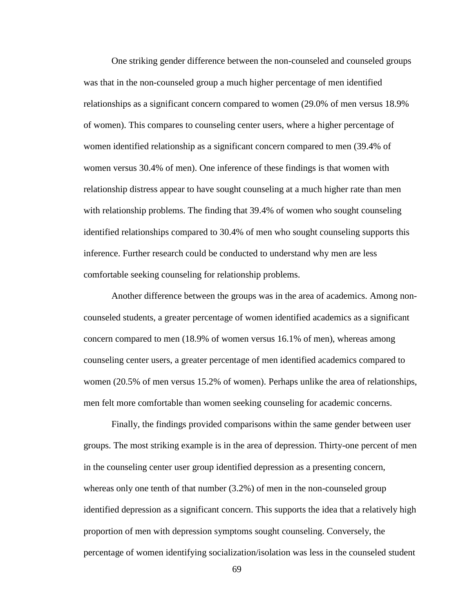One striking gender difference between the non-counseled and counseled groups was that in the non-counseled group a much higher percentage of men identified relationships as a significant concern compared to women (29.0% of men versus 18.9% of women). This compares to counseling center users, where a higher percentage of women identified relationship as a significant concern compared to men (39.4% of women versus 30.4% of men). One inference of these findings is that women with relationship distress appear to have sought counseling at a much higher rate than men with relationship problems. The finding that 39.4% of women who sought counseling identified relationships compared to 30.4% of men who sought counseling supports this inference. Further research could be conducted to understand why men are less comfortable seeking counseling for relationship problems.

Another difference between the groups was in the area of academics. Among noncounseled students, a greater percentage of women identified academics as a significant concern compared to men (18.9% of women versus 16.1% of men), whereas among counseling center users, a greater percentage of men identified academics compared to women (20.5% of men versus 15.2% of women). Perhaps unlike the area of relationships, men felt more comfortable than women seeking counseling for academic concerns.

Finally, the findings provided comparisons within the same gender between user groups. The most striking example is in the area of depression. Thirty-one percent of men in the counseling center user group identified depression as a presenting concern, whereas only one tenth of that number (3.2%) of men in the non-counseled group identified depression as a significant concern. This supports the idea that a relatively high proportion of men with depression symptoms sought counseling. Conversely, the percentage of women identifying socialization/isolation was less in the counseled student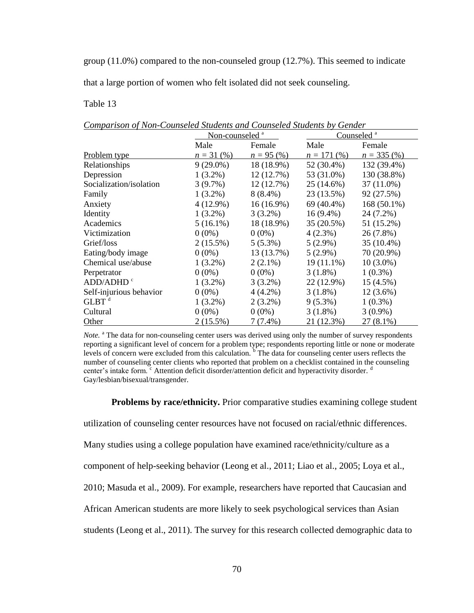group (11.0%) compared to the non-counseled group (12.7%). This seemed to indicate

that a large portion of women who felt isolated did not seek counseling.

### Table 13

*Comparison of Non-Counseled Students and Counseled Students by Gender*

|                         | Non-counseled <sup>a</sup> |              | Counseled <sup>a</sup> |              |
|-------------------------|----------------------------|--------------|------------------------|--------------|
|                         | Male                       | Female       | Male                   | Female       |
| Problem type            | $n = 31 (%)$               | $n = 95(%)$  | $n = 171(%)$           | $n = 335(%)$ |
| Relationships           | $9(29.0\%)$                | 18 (18.9%)   | 52 (30.4%)             | 132 (39.4%)  |
| Depression              | $1(3.2\%)$                 | 12(12.7%)    | 53 (31.0%)             | 130 (38.8%)  |
| Socialization/isolation | $3(9.7\%)$                 | 12(12.7%)    | 25 (14.6%)             | 37 (11.0%)   |
| Family                  | $1(3.2\%)$                 | $8(8.4\%)$   | 23 (13.5%)             | 92 (27.5%)   |
| Anxiety                 | $4(12.9\%)$                | $16(16.9\%)$ | 69 (40.4%)             | 168 (50.1%)  |
| Identity                | $1(3.2\%)$                 | $3(3.2\%)$   | $16(9.4\%)$            | 24 (7.2%)    |
| Academics               | $5(16.1\%)$                | 18 (18.9%)   | 35 (20.5%)             | 51 (15.2%)   |
| Victimization           | $0(0\%)$                   | $0(0\%)$     | $4(2.3\%)$             | 26 (7.8%)    |
| Grief/loss              | $2(15.5\%)$                | $5(5.3\%)$   | $5(2.9\%)$             | 35 (10.4%)   |
| Eating/body image       | $0(0\%)$                   | 13 (13.7%)   | $5(2.9\%)$             | 70 (20.9%)   |
| Chemical use/abuse      | $1(3.2\%)$                 | $2(2.1\%)$   | $19(11.1\%)$           | $10(3.0\%)$  |
| Perpetrator             | $0(0\%)$                   | $0(0\%)$     | $3(1.8\%)$             | $1(0.3\%)$   |
| ADD/ADHD <sup>c</sup>   | $1(3.2\%)$                 | $3(3.2\%)$   | 22 (12.9%)             | 15(4.5%)     |
| Self-injurious behavior | $0(0\%)$                   | $4(4.2\%)$   | $3(1.8\%)$             | $12(3.6\%)$  |
| $GLBT$ <sup>d</sup>     | $1(3.2\%)$                 | $2(3.2\%)$   | $9(5.3\%)$             | $1(0.3\%)$   |
| Cultural                | $0(0\%)$                   | $0(0\%)$     | $3(1.8\%)$             | $3(0.9\%)$   |
| Other                   | $2(15.5\%)$                | $7(7.4\%)$   | 21 (12.3%)             | $27(8.1\%)$  |

Note.<sup>a</sup> The data for non-counseling center users was derived using only the number of survey respondents reporting a significant level of concern for a problem type; respondents reporting little or none or moderate levels of concern were excluded from this calculation. <sup>b</sup> The data for counseling center users reflects the number of counseling center clients who reported that problem on a checklist contained in the counseling center's intake form. <sup>c</sup> Attention deficit disorder/attention deficit and hyperactivity disorder. <sup>d</sup> Gay/lesbian/bisexual/transgender.

**Problems by race/ethnicity.** Prior comparative studies examining college student

utilization of counseling center resources have not focused on racial/ethnic differences.

Many studies using a college population have examined race/ethnicity/culture as a

component of help-seeking behavior (Leong et al., 2011; Liao et al., 2005; Loya et al.,

2010; Masuda et al., 2009). For example, researchers have reported that Caucasian and

African American students are more likely to seek psychological services than Asian

students (Leong et al., 2011). The survey for this research collected demographic data to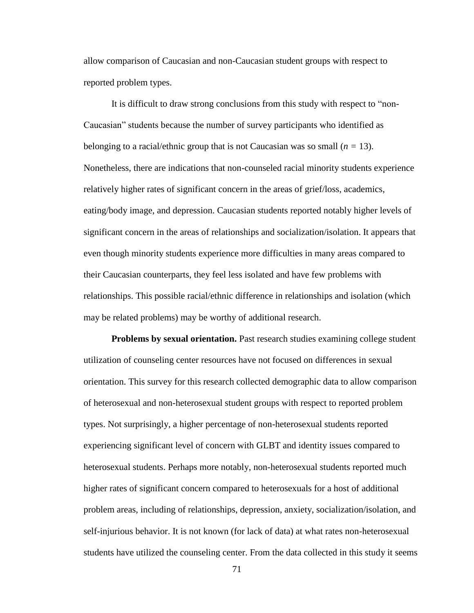allow comparison of Caucasian and non-Caucasian student groups with respect to reported problem types.

It is difficult to draw strong conclusions from this study with respect to "non-Caucasian" students because the number of survey participants who identified as belonging to a racial/ethnic group that is not Caucasian was so small  $(n = 13)$ . Nonetheless, there are indications that non-counseled racial minority students experience relatively higher rates of significant concern in the areas of grief/loss, academics, eating/body image, and depression. Caucasian students reported notably higher levels of significant concern in the areas of relationships and socialization/isolation. It appears that even though minority students experience more difficulties in many areas compared to their Caucasian counterparts, they feel less isolated and have few problems with relationships. This possible racial/ethnic difference in relationships and isolation (which may be related problems) may be worthy of additional research.

**Problems by sexual orientation.** Past research studies examining college student utilization of counseling center resources have not focused on differences in sexual orientation. This survey for this research collected demographic data to allow comparison of heterosexual and non-heterosexual student groups with respect to reported problem types. Not surprisingly, a higher percentage of non-heterosexual students reported experiencing significant level of concern with GLBT and identity issues compared to heterosexual students. Perhaps more notably, non-heterosexual students reported much higher rates of significant concern compared to heterosexuals for a host of additional problem areas, including of relationships, depression, anxiety, socialization/isolation, and self-injurious behavior. It is not known (for lack of data) at what rates non-heterosexual students have utilized the counseling center. From the data collected in this study it seems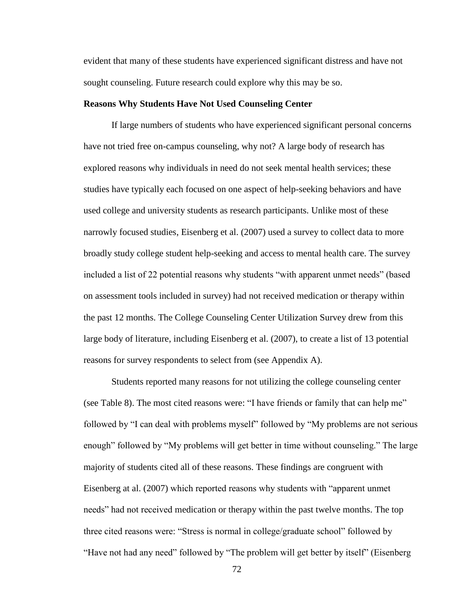evident that many of these students have experienced significant distress and have not sought counseling. Future research could explore why this may be so.

#### **Reasons Why Students Have Not Used Counseling Center**

If large numbers of students who have experienced significant personal concerns have not tried free on-campus counseling, why not? A large body of research has explored reasons why individuals in need do not seek mental health services; these studies have typically each focused on one aspect of help-seeking behaviors and have used college and university students as research participants. Unlike most of these narrowly focused studies, Eisenberg et al. (2007) used a survey to collect data to more broadly study college student help-seeking and access to mental health care. The survey included a list of 22 potential reasons why students "with apparent unmet needs" (based on assessment tools included in survey) had not received medication or therapy within the past 12 months. The College Counseling Center Utilization Survey drew from this large body of literature, including Eisenberg et al. (2007), to create a list of 13 potential reasons for survey respondents to select from (see Appendix A).

Students reported many reasons for not utilizing the college counseling center (see Table 8). The most cited reasons were: "I have friends or family that can help me" followed by "I can deal with problems myself" followed by "My problems are not serious enough" followed by "My problems will get better in time without counseling." The large majority of students cited all of these reasons. These findings are congruent with Eisenberg at al. (2007) which reported reasons why students with "apparent unmet needs" had not received medication or therapy within the past twelve months. The top three cited reasons were: "Stress is normal in college/graduate school" followed by "Have not had any need" followed by "The problem will get better by itself" (Eisenberg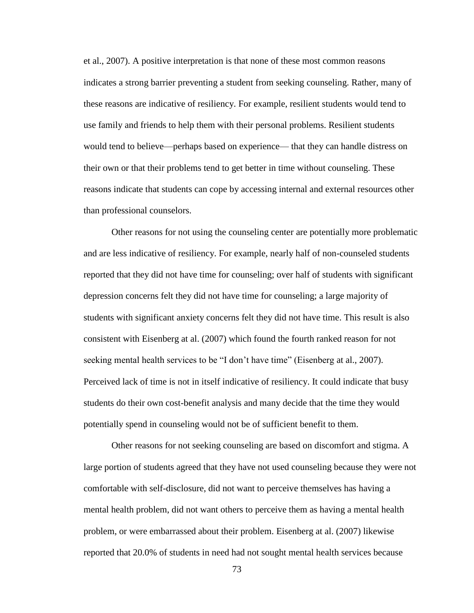et al., 2007). A positive interpretation is that none of these most common reasons indicates a strong barrier preventing a student from seeking counseling. Rather, many of these reasons are indicative of resiliency. For example, resilient students would tend to use family and friends to help them with their personal problems. Resilient students would tend to believe—perhaps based on experience— that they can handle distress on their own or that their problems tend to get better in time without counseling. These reasons indicate that students can cope by accessing internal and external resources other than professional counselors.

Other reasons for not using the counseling center are potentially more problematic and are less indicative of resiliency. For example, nearly half of non-counseled students reported that they did not have time for counseling; over half of students with significant depression concerns felt they did not have time for counseling; a large majority of students with significant anxiety concerns felt they did not have time. This result is also consistent with Eisenberg at al. (2007) which found the fourth ranked reason for not seeking mental health services to be "I don't have time" (Eisenberg at al., 2007). Perceived lack of time is not in itself indicative of resiliency. It could indicate that busy students do their own cost-benefit analysis and many decide that the time they would potentially spend in counseling would not be of sufficient benefit to them.

Other reasons for not seeking counseling are based on discomfort and stigma. A large portion of students agreed that they have not used counseling because they were not comfortable with self-disclosure, did not want to perceive themselves has having a mental health problem, did not want others to perceive them as having a mental health problem, or were embarrassed about their problem. Eisenberg at al. (2007) likewise reported that 20.0% of students in need had not sought mental health services because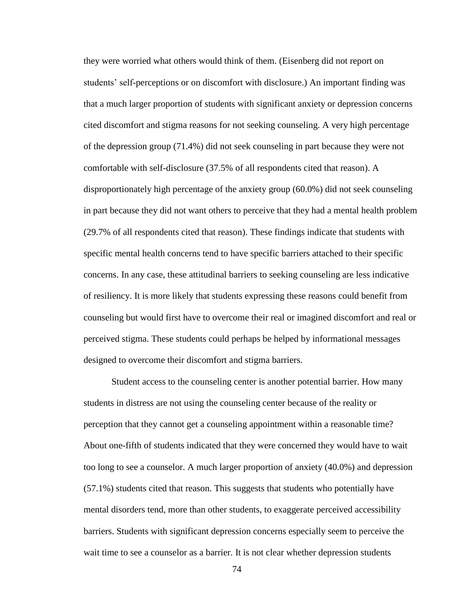they were worried what others would think of them. (Eisenberg did not report on students' self-perceptions or on discomfort with disclosure.) An important finding was that a much larger proportion of students with significant anxiety or depression concerns cited discomfort and stigma reasons for not seeking counseling. A very high percentage of the depression group (71.4%) did not seek counseling in part because they were not comfortable with self-disclosure (37.5% of all respondents cited that reason). A disproportionately high percentage of the anxiety group (60.0%) did not seek counseling in part because they did not want others to perceive that they had a mental health problem (29.7% of all respondents cited that reason). These findings indicate that students with specific mental health concerns tend to have specific barriers attached to their specific concerns. In any case, these attitudinal barriers to seeking counseling are less indicative of resiliency. It is more likely that students expressing these reasons could benefit from counseling but would first have to overcome their real or imagined discomfort and real or perceived stigma. These students could perhaps be helped by informational messages designed to overcome their discomfort and stigma barriers.

Student access to the counseling center is another potential barrier. How many students in distress are not using the counseling center because of the reality or perception that they cannot get a counseling appointment within a reasonable time? About one-fifth of students indicated that they were concerned they would have to wait too long to see a counselor. A much larger proportion of anxiety (40.0%) and depression (57.1%) students cited that reason. This suggests that students who potentially have mental disorders tend, more than other students, to exaggerate perceived accessibility barriers. Students with significant depression concerns especially seem to perceive the wait time to see a counselor as a barrier. It is not clear whether depression students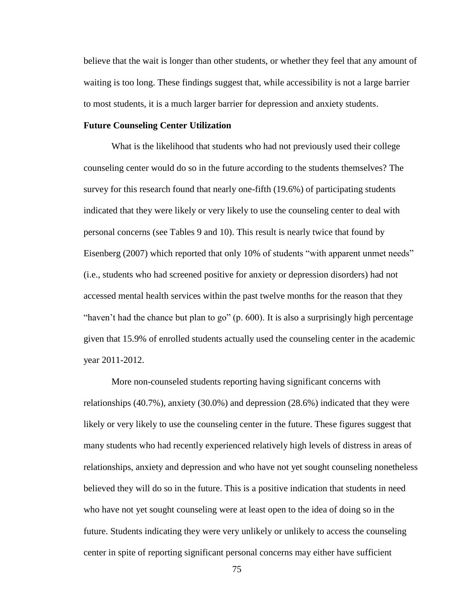believe that the wait is longer than other students, or whether they feel that any amount of waiting is too long. These findings suggest that, while accessibility is not a large barrier to most students, it is a much larger barrier for depression and anxiety students.

#### **Future Counseling Center Utilization**

What is the likelihood that students who had not previously used their college counseling center would do so in the future according to the students themselves? The survey for this research found that nearly one-fifth (19.6%) of participating students indicated that they were likely or very likely to use the counseling center to deal with personal concerns (see Tables 9 and 10). This result is nearly twice that found by Eisenberg (2007) which reported that only 10% of students "with apparent unmet needs" (i.e., students who had screened positive for anxiety or depression disorders) had not accessed mental health services within the past twelve months for the reason that they "haven't had the chance but plan to go" (p. 600). It is also a surprisingly high percentage given that 15.9% of enrolled students actually used the counseling center in the academic year 2011-2012.

More non-counseled students reporting having significant concerns with relationships (40.7%), anxiety (30.0%) and depression (28.6%) indicated that they were likely or very likely to use the counseling center in the future. These figures suggest that many students who had recently experienced relatively high levels of distress in areas of relationships, anxiety and depression and who have not yet sought counseling nonetheless believed they will do so in the future. This is a positive indication that students in need who have not yet sought counseling were at least open to the idea of doing so in the future. Students indicating they were very unlikely or unlikely to access the counseling center in spite of reporting significant personal concerns may either have sufficient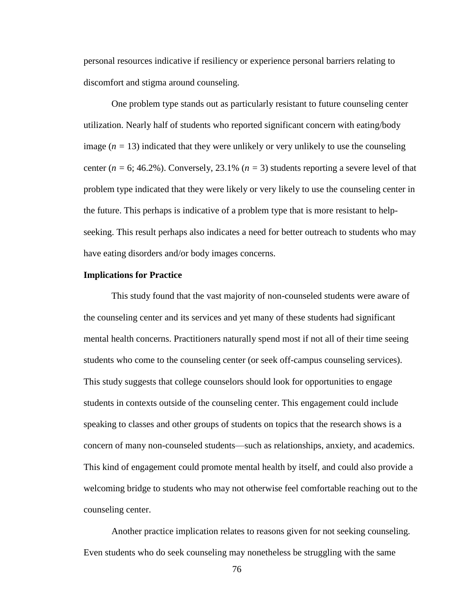personal resources indicative if resiliency or experience personal barriers relating to discomfort and stigma around counseling.

One problem type stands out as particularly resistant to future counseling center utilization. Nearly half of students who reported significant concern with eating/body image  $(n = 13)$  indicated that they were unlikely or very unlikely to use the counseling center ( $n = 6$ ; 46.2%). Conversely, 23.1% ( $n = 3$ ) students reporting a severe level of that problem type indicated that they were likely or very likely to use the counseling center in the future. This perhaps is indicative of a problem type that is more resistant to helpseeking. This result perhaps also indicates a need for better outreach to students who may have eating disorders and/or body images concerns.

#### **Implications for Practice**

This study found that the vast majority of non-counseled students were aware of the counseling center and its services and yet many of these students had significant mental health concerns. Practitioners naturally spend most if not all of their time seeing students who come to the counseling center (or seek off-campus counseling services). This study suggests that college counselors should look for opportunities to engage students in contexts outside of the counseling center. This engagement could include speaking to classes and other groups of students on topics that the research shows is a concern of many non-counseled students—such as relationships, anxiety, and academics. This kind of engagement could promote mental health by itself, and could also provide a welcoming bridge to students who may not otherwise feel comfortable reaching out to the counseling center.

Another practice implication relates to reasons given for not seeking counseling. Even students who do seek counseling may nonetheless be struggling with the same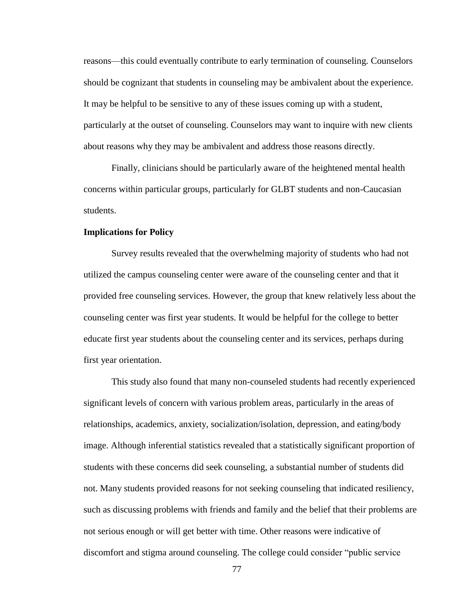reasons—this could eventually contribute to early termination of counseling. Counselors should be cognizant that students in counseling may be ambivalent about the experience. It may be helpful to be sensitive to any of these issues coming up with a student, particularly at the outset of counseling. Counselors may want to inquire with new clients about reasons why they may be ambivalent and address those reasons directly.

Finally, clinicians should be particularly aware of the heightened mental health concerns within particular groups, particularly for GLBT students and non-Caucasian students.

#### **Implications for Policy**

Survey results revealed that the overwhelming majority of students who had not utilized the campus counseling center were aware of the counseling center and that it provided free counseling services. However, the group that knew relatively less about the counseling center was first year students. It would be helpful for the college to better educate first year students about the counseling center and its services, perhaps during first year orientation.

This study also found that many non-counseled students had recently experienced significant levels of concern with various problem areas, particularly in the areas of relationships, academics, anxiety, socialization/isolation, depression, and eating/body image. Although inferential statistics revealed that a statistically significant proportion of students with these concerns did seek counseling, a substantial number of students did not. Many students provided reasons for not seeking counseling that indicated resiliency, such as discussing problems with friends and family and the belief that their problems are not serious enough or will get better with time. Other reasons were indicative of discomfort and stigma around counseling. The college could consider "public service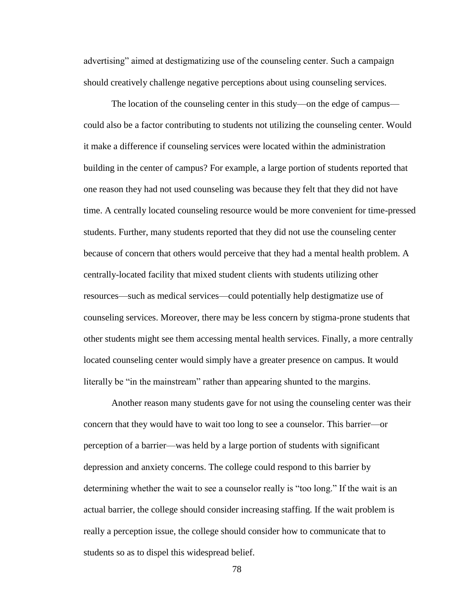advertising" aimed at destigmatizing use of the counseling center. Such a campaign should creatively challenge negative perceptions about using counseling services.

The location of the counseling center in this study—on the edge of campus could also be a factor contributing to students not utilizing the counseling center. Would it make a difference if counseling services were located within the administration building in the center of campus? For example, a large portion of students reported that one reason they had not used counseling was because they felt that they did not have time. A centrally located counseling resource would be more convenient for time-pressed students. Further, many students reported that they did not use the counseling center because of concern that others would perceive that they had a mental health problem. A centrally-located facility that mixed student clients with students utilizing other resources—such as medical services—could potentially help destigmatize use of counseling services. Moreover, there may be less concern by stigma-prone students that other students might see them accessing mental health services. Finally, a more centrally located counseling center would simply have a greater presence on campus. It would literally be "in the mainstream" rather than appearing shunted to the margins.

Another reason many students gave for not using the counseling center was their concern that they would have to wait too long to see a counselor. This barrier—or perception of a barrier—was held by a large portion of students with significant depression and anxiety concerns. The college could respond to this barrier by determining whether the wait to see a counselor really is "too long." If the wait is an actual barrier, the college should consider increasing staffing. If the wait problem is really a perception issue, the college should consider how to communicate that to students so as to dispel this widespread belief.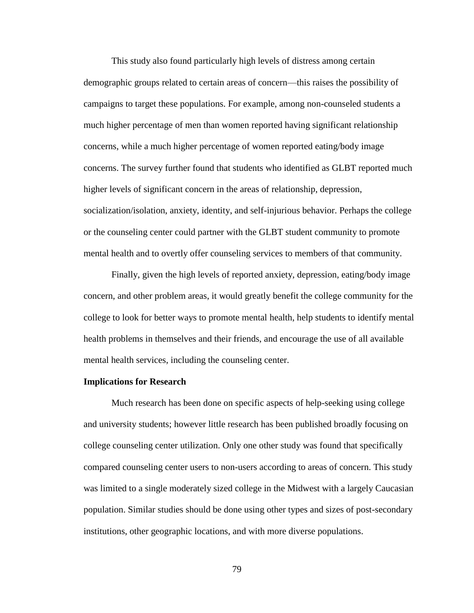This study also found particularly high levels of distress among certain demographic groups related to certain areas of concern—this raises the possibility of campaigns to target these populations. For example, among non-counseled students a much higher percentage of men than women reported having significant relationship concerns, while a much higher percentage of women reported eating/body image concerns. The survey further found that students who identified as GLBT reported much higher levels of significant concern in the areas of relationship, depression, socialization/isolation, anxiety, identity, and self-injurious behavior. Perhaps the college or the counseling center could partner with the GLBT student community to promote mental health and to overtly offer counseling services to members of that community.

Finally, given the high levels of reported anxiety, depression, eating/body image concern, and other problem areas, it would greatly benefit the college community for the college to look for better ways to promote mental health, help students to identify mental health problems in themselves and their friends, and encourage the use of all available mental health services, including the counseling center.

#### **Implications for Research**

Much research has been done on specific aspects of help-seeking using college and university students; however little research has been published broadly focusing on college counseling center utilization. Only one other study was found that specifically compared counseling center users to non-users according to areas of concern. This study was limited to a single moderately sized college in the Midwest with a largely Caucasian population. Similar studies should be done using other types and sizes of post-secondary institutions, other geographic locations, and with more diverse populations.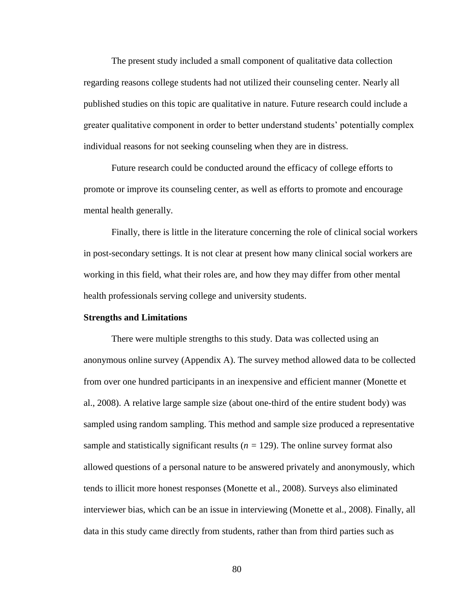The present study included a small component of qualitative data collection regarding reasons college students had not utilized their counseling center. Nearly all published studies on this topic are qualitative in nature. Future research could include a greater qualitative component in order to better understand students' potentially complex individual reasons for not seeking counseling when they are in distress.

Future research could be conducted around the efficacy of college efforts to promote or improve its counseling center, as well as efforts to promote and encourage mental health generally.

Finally, there is little in the literature concerning the role of clinical social workers in post-secondary settings. It is not clear at present how many clinical social workers are working in this field, what their roles are, and how they may differ from other mental health professionals serving college and university students.

#### **Strengths and Limitations**

There were multiple strengths to this study. Data was collected using an anonymous online survey (Appendix A). The survey method allowed data to be collected from over one hundred participants in an inexpensive and efficient manner (Monette et al., 2008). A relative large sample size (about one-third of the entire student body) was sampled using random sampling. This method and sample size produced a representative sample and statistically significant results  $(n = 129)$ . The online survey format also allowed questions of a personal nature to be answered privately and anonymously, which tends to illicit more honest responses (Monette et al., 2008). Surveys also eliminated interviewer bias, which can be an issue in interviewing (Monette et al., 2008). Finally, all data in this study came directly from students, rather than from third parties such as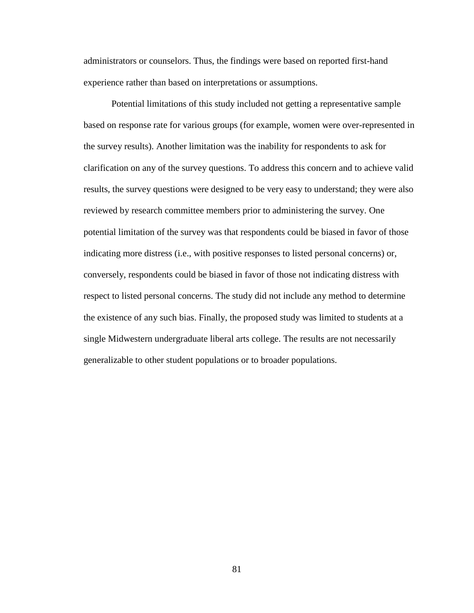administrators or counselors. Thus, the findings were based on reported first-hand experience rather than based on interpretations or assumptions.

Potential limitations of this study included not getting a representative sample based on response rate for various groups (for example, women were over-represented in the survey results). Another limitation was the inability for respondents to ask for clarification on any of the survey questions. To address this concern and to achieve valid results, the survey questions were designed to be very easy to understand; they were also reviewed by research committee members prior to administering the survey. One potential limitation of the survey was that respondents could be biased in favor of those indicating more distress (i.e., with positive responses to listed personal concerns) or, conversely, respondents could be biased in favor of those not indicating distress with respect to listed personal concerns. The study did not include any method to determine the existence of any such bias. Finally, the proposed study was limited to students at a single Midwestern undergraduate liberal arts college. The results are not necessarily generalizable to other student populations or to broader populations.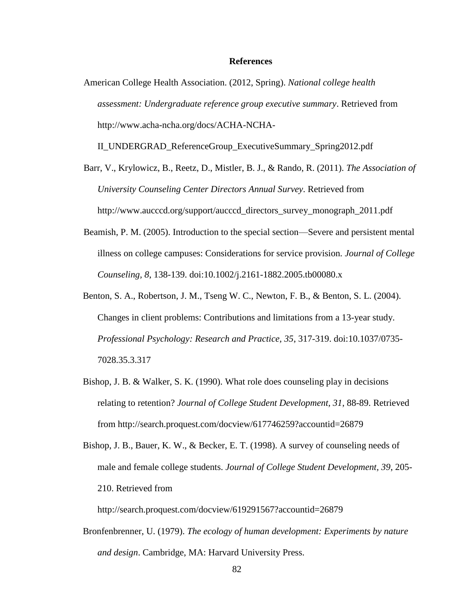#### **References**

American College Health Association. (2012, Spring). *National college health assessment: Undergraduate reference group executive summary*. Retrieved from [http://www.acha-ncha.org/docs/ACHA-NCHA-](http://www.acha-ncha.org/docs/ACHA-NCHA-II_UNDERGRAD_ReferenceGroup_ExecutiveSummary_Spring2012.pdf)

[II\\_UNDERGRAD\\_ReferenceGroup\\_ExecutiveSummary\\_Spring2012.pdf](http://www.acha-ncha.org/docs/ACHA-NCHA-II_UNDERGRAD_ReferenceGroup_ExecutiveSummary_Spring2012.pdf)

Barr, V., Krylowicz, B., Reetz, D., Mistler, B. J., & Rando, R. (2011). *The Association of University Counseling Center Directors Annual Survey*. Retrieved from [http://www.aucccd.org/support/aucccd\\_directors\\_survey\\_monograph\\_2011.pdf](http://www.aucccd.org/support/aucccd_directors_survey_monograph_2011.pdf)

- Beamish, P. M. (2005). Introduction to the special section—Severe and persistent mental illness on college campuses: Considerations for service provision*. Journal of College Counseling, 8*, 138-139. doi:10.1002/j.2161-1882.2005.tb00080.x
- Benton, S. A., Robertson, J. M., Tseng W. C., Newton, F. B., & Benton, S. L. (2004). Changes in client problems: Contributions and limitations from a 13-year study. *Professional Psychology: Research and Practice, 35*, 317-319. doi[:10.1037/0735-](http://psycnet.apa.org/doi/10.1037/0735-7028.35.3.317) [7028.35.3.317](http://psycnet.apa.org/doi/10.1037/0735-7028.35.3.317)
- Bishop, J. B. & Walker, S. K. (1990). What role does counseling play in decisions relating to retention? *Journal of College Student Development, 31*, 88-89. Retrieved from http://search.proquest.com/docview/617746259?accountid=26879
- Bishop, J. B., Bauer, K. W., & Becker, E. T. (1998). A survey of counseling needs of male and female college students. *Journal of College Student Development, 39*, 205- 210. Retrieved from

http://search.proquest.com/docview/619291567?accountid=26879

Bronfenbrenner, U. (1979). *The ecology of human development: Experiments by nature and design*. Cambridge, MA: Harvard University Press.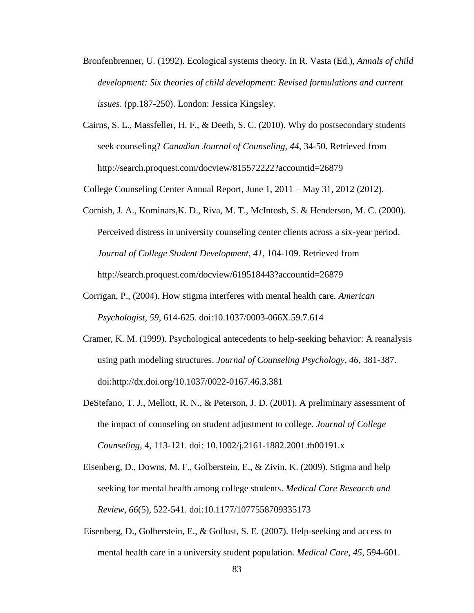- Bronfenbrenner, U. (1992). Ecological systems theory. In R. Vasta (Ed.), *Annals of child development: Six theories of child development: Revised formulations and current issues*. (pp.187-250). London: Jessica Kingsley.
- Cairns, S. L., Massfeller, H. F., & Deeth, S. C. (2010). Why do postsecondary students seek counseling? *Canadian Journal of Counseling, 44*, 34-50. Retrieved from http://search.proquest.com/docview/815572222?accountid=26879

College Counseling Center Annual Report, June 1, 2011 – May 31, 2012 (2012).

- Cornish, J. A., Kominars,K. D., Riva, M. T., McIntosh, S. & Henderson, M. C. (2000). Perceived distress in university counseling center clients across a six-year period. *Journal of College Student Development, 41*, 104-109. Retrieved from http://search.proquest.com/docview/619518443?accountid=26879
- Corrigan, P., (2004). How stigma interferes with mental health care. *American Psychologist, 59*, 614-625. doi:10.1037/0003-066X.59.7.614
- Cramer, K. M. (1999). Psychological antecedents to help-seeking behavior: A reanalysis using path modeling structures. *Journal of Counseling Psychology, 46*, 381-387. doi:http://dx.doi.org/10.1037/0022-0167.46.3.381
- DeStefano, T. J., Mellott, R. N., & Peterson, J. D. (2001). A preliminary assessment of the impact of counseling on student adjustment to college. *Journal of College Counseling*, 4, 113-121. doi: 10.1002/j.2161-1882.2001.tb00191.x
- Eisenberg, D., Downs, M. F., Golberstein, E., & Zivin, K. (2009). Stigma and help seeking for mental health among college students. *Medical Care Research and Review, 66*(5), 522-541. doi:10.1177/1077558709335173
- Eisenberg, D., Golberstein, E., & Gollust, S. E. (2007). Help-seeking and access to mental health care in a university student population. *Medical Care, 45*, 594-601.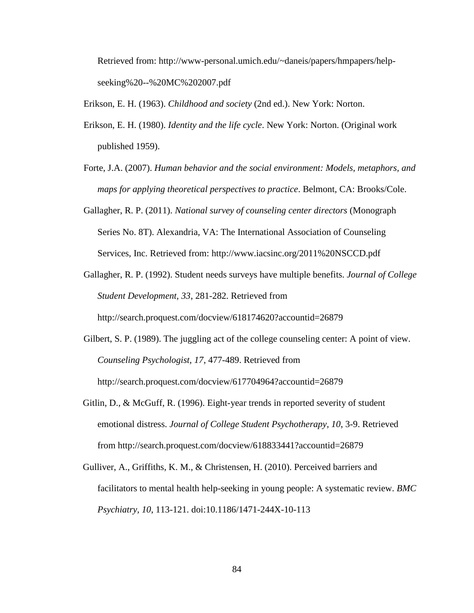Retrieved from: [http://www-personal.umich.edu/~daneis/papers/hmpapers/help](http://www-personal.umich.edu/~daneis/papers/hmpapers/help-seeking%20--%20MC%202007.pdf)[seeking%20--%20MC%202007.pdf](http://www-personal.umich.edu/~daneis/papers/hmpapers/help-seeking%20--%20MC%202007.pdf)

Erikson, E. H. (1963). *Childhood and society* (2nd ed.). New York: Norton.

- Erikson, E. H. (1980). *Identity and the life cycle*. New York: Norton. (Original work published 1959).
- Forte, J.A. (2007). *Human behavior and the social environment: Models, metaphors, and maps for applying theoretical perspectives to practice*. Belmont, CA: Brooks/Cole.
- Gallagher, R. P. (2011). *National survey of counseling center directors* (Monograph Series No. 8T). Alexandria, VA: The International Association of Counseling Services, Inc. Retrieved from:<http://www.iacsinc.org/2011%20NSCCD.pdf>
- Gallagher, R. P. (1992). Student needs surveys have multiple benefits. *Journal of College Student Development, 33*, 281-282. Retrieved from

http://search.proquest.com/docview/618174620?accountid=26879

- Gilbert, S. P. (1989). The juggling act of the college counseling center: A point of view. *Counseling Psychologist, 17*, 477-489. Retrieved from http://search.proquest.com/docview/617704964?accountid=26879
- Gitlin, D., & McGuff, R. (1996). Eight-year trends in reported severity of student emotional distress. *Journal of College Student Psychotherapy, 10*, 3-9. Retrieved from http://search.proquest.com/docview/618833441?accountid=26879
- Gulliver, A., Griffiths, K. M., & Christensen, H. (2010). Perceived barriers and facilitators to mental health help-seeking in young people: A systematic review. *BMC Psychiatry, 10*, 113-121. doi:10.1186/1471-244X-10-113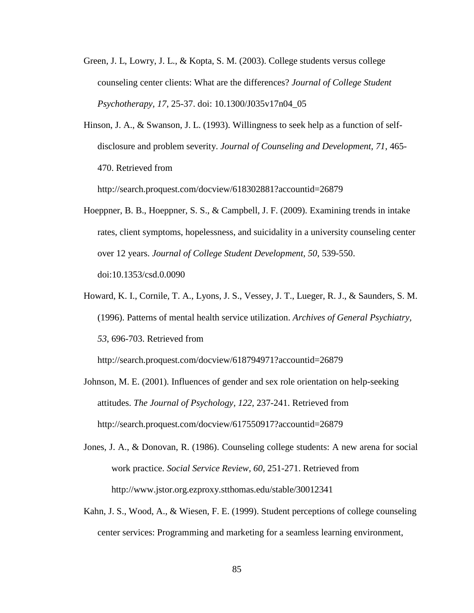- Green, J. L, Lowry, J. L., & Kopta, S. M. (2003). College students versus college counseling center clients: What are the differences? *Journal of College Student Psychotherapy, 17*, 25-37. doi: 10.1300/J035v17n04\_05
- Hinson, J. A., & Swanson, J. L. (1993). Willingness to seek help as a function of selfdisclosure and problem severity. *Journal of Counseling and Development, 71*, 465- 470. Retrieved from

http://search.proquest.com/docview/618302881?accountid=26879

- Hoeppner, B. B., Hoeppner, S. S., & Campbell, J. F. (2009). Examining trends in intake rates, client symptoms, hopelessness, and suicidality in a university counseling center over 12 years. *Journal of College Student Development, 50*, 539-550. doi:10.1353/csd.0.0090
- Howard, K. I., Cornile, T. A., Lyons, J. S., Vessey, J. T., Lueger, R. J., & Saunders, S. M. (1996). Patterns of mental health service utilization. *Archives of General Psychiatry, 53*, 696-703. Retrieved from

http://search.proquest.com/docview/618794971?accountid=26879

- Johnson, M. E. (2001). Influences of gender and sex role orientation on help-seeking attitudes. *The Journal of Psychology, 122*, 237-241. Retrieved from http://search.proquest.com/docview/617550917?accountid=26879
- Jones, J. A., & Donovan, R. (1986). Counseling college students: A new arena for social work practice. *Social Service Review, 60*, 251-271. Retrieved from <http://www.jstor.org.ezproxy.stthomas.edu/stable/30012341>
- Kahn, J. S., Wood, A., & Wiesen, F. E. (1999). Student perceptions of college counseling center services: Programming and marketing for a seamless learning environment,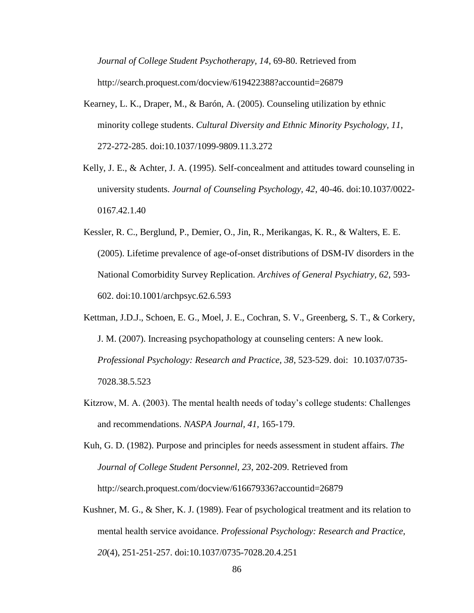*Journal of College Student Psychotherapy, 14*, 69-80. Retrieved from http://search.proquest.com/docview/619422388?accountid=26879

- Kearney, L. K., Draper, M., & Barón, A. (2005). Counseling utilization by ethnic minority college students. *Cultural Diversity and Ethnic Minority Psychology, 11*, 272-272-285. doi:10.1037/1099-9809.11.3.272
- Kelly, J. E., & Achter, J. A. (1995). Self-concealment and attitudes toward counseling in university students. *Journal of Counseling Psychology, 42*, 40-46. doi:10.1037/0022- 0167.42.1.40
- Kessler, R. C., Berglund, P., Demier, O., Jin, R., Merikangas, K. R., & Walters, E. E. (2005). Lifetime prevalence of age-of-onset distributions of DSM-IV disorders in the National Comorbidity Survey Replication. *Archives of General Psychiatry, 62*, 593- 602. doi:10.1001/archpsyc.62.6.593
- Kettman, J.D.J., Schoen, E. G., Moel, J. E., Cochran, S. V., Greenberg, S. T., & Corkery, J. M. (2007). Increasing psychopathology at counseling centers: A new look. *Professional Psychology: Research and Practice, 38*, 523-529. doi: [10.1037/0735-](http://psycnet.apa.org/doi/10.1037/0735-7028.38.5.523) [7028.38.5.523](http://psycnet.apa.org/doi/10.1037/0735-7028.38.5.523)
- Kitzrow, M. A. (2003). The mental health needs of today's college students: Challenges and recommendations. *NASPA Journal, 41,* 165-179.

Kuh, G. D. (1982). Purpose and principles for needs assessment in student affairs. *The Journal of College Student Personnel, 23*, 202-209. Retrieved from http://search.proquest.com/docview/616679336?accountid=26879

Kushner, M. G., & Sher, K. J. (1989). Fear of psychological treatment and its relation to mental health service avoidance. *Professional Psychology: Research and Practice, 20*(4), 251-251-257. doi:10.1037/0735-7028.20.4.251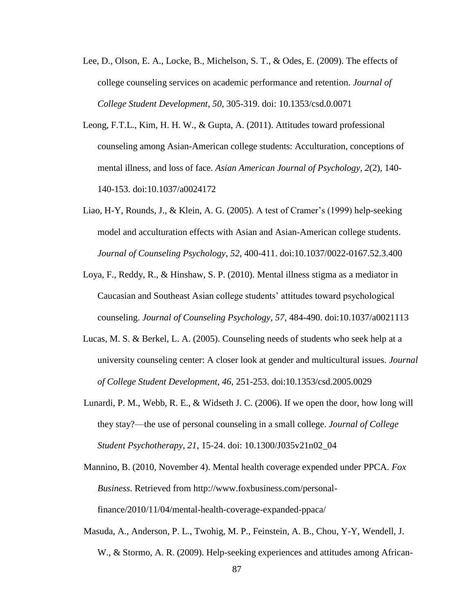- Lee, D., Olson, E. A., Locke, B., Michelson, S. T., & Odes, E. (2009). The effects of college counseling services on academic performance and retention. *Journal of College Student Development, 50*, 305-319. doi: 10.1353/csd.0.0071
- Leong, F.T.L., Kim, H. H. W., & Gupta, A. (2011). Attitudes toward professional counseling among Asian-American college students: Acculturation, conceptions of mental illness, and loss of face. *Asian American Journal of Psychology, 2*(2), 140- 140-153. doi:10.1037/a0024172
- Liao, H-Y, Rounds, J., & Klein, A. G. (2005). A test of Cramer's (1999) help-seeking model and acculturation effects with Asian and Asian-American college students. *Journal of Counseling Psychology*, *52*, 400-411. doi:10.1037/0022-0167.52.3.400
- Loya, F., Reddy, R., & Hinshaw, S. P. (2010). Mental illness stigma as a mediator in Caucasian and Southeast Asian college students' attitudes toward psychological counseling. *Journal of Counseling Psychology, 57*, 484-490. doi:10.1037/a0021113
- Lucas, M. S. & Berkel, L. A. (2005). Counseling needs of students who seek help at a university counseling center: A closer look at gender and multicultural issues. *Journal of College Student Development, 46*, 251-253. doi:10.1353/csd.2005.0029
- Lunardi, P. M., Webb, R. E., & Widseth J. C. (2006). If we open the door, how long will they stay?—the use of personal counseling in a small college. *Journal of College Student Psychotherapy, 21*, 15-24. doi: 10.1300/J035v21n02\_04
- Mannino, B. (2010, November 4). Mental health coverage expended under PPCA. *Fox Business*. Retrieved from http://www.foxbusiness.com/personalfinance/2010/11/04/mental-health-coverage-expanded-ppaca/
- Masuda, A., Anderson, P. L., Twohig, M. P., Feinstein, A. B., Chou, Y-Y, Wendell, J. W., & Stormo, A. R. (2009). Help-seeking experiences and attitudes among African-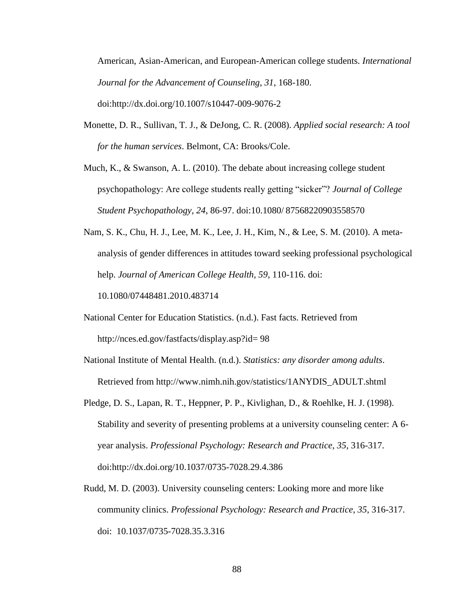American, Asian-American, and European-American college students. *International Journal for the Advancement of Counseling, 31*, 168-180. doi:http://dx.doi.org/10.1007/s10447-009-9076-2

- Monette, D. R., Sullivan, T. J., & DeJong, C. R. (2008). *Applied social research: A tool for the human services*. Belmont, CA: Brooks/Cole.
- Much, K., & Swanson, A. L. (2010). The debate about increasing college student psychopathology: Are college students really getting "sicker"? *Journal of College Student Psychopathology, 24*, 86-97. doi:10.1080/ 87568220903558570
- Nam, S. K., Chu, H. J., Lee, M. K., Lee, J. H., Kim, N., & Lee, S. M. (2010). A metaanalysis of gender differences in attitudes toward seeking professional psychological help. *Journal of American College Health, 59*, 110-116. doi:

10.1080/07448481.2010.483714

- National Center for Education Statistics. (n.d.). Fast facts. Retrieved from http://nces.ed.gov/fastfacts/display.asp?id= 98
- National Institute of Mental Health. (n.d.). *Statistics: any disorder among adults*. Retrieved from http://www.nimh.nih.gov/statistics/1ANYDIS\_ADULT.shtml
- Pledge, D. S., Lapan, R. T., Heppner, P. P., Kivlighan, D., & Roehlke, H. J. (1998). Stability and severity of presenting problems at a university counseling center: A 6 year analysis. *Professional Psychology: Research and Practice, 35*, 316-317. doi:http://dx.doi.org/10.1037/0735-7028.29.4.386
- Rudd, M. D. (2003). University counseling centers: Looking more and more like community clinics. *Professional Psychology: Research and Practice, 35*, 316-317. doi: [10.1037/0735-7028.35.3.316](http://psycnet.apa.org/doi/10.1037/0735-7028.35.3.316)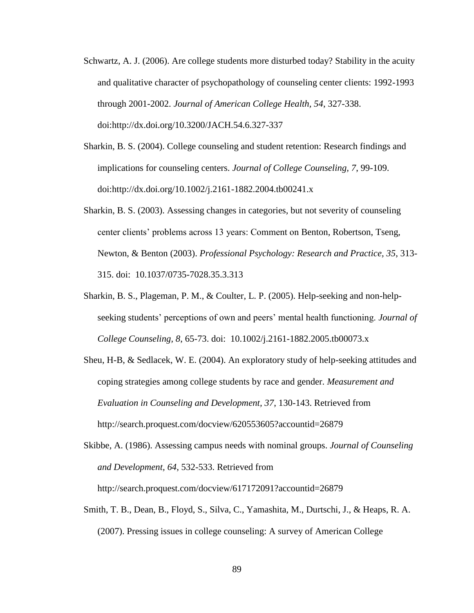- Schwartz, A. J. (2006). Are college students more disturbed today? Stability in the acuity and qualitative character of psychopathology of counseling center clients: 1992-1993 through 2001-2002. *Journal of American College Health, 54*, 327-338. doi:http://dx.doi.org/10.3200/JACH.54.6.327-337
- Sharkin, B. S. (2004). College counseling and student retention: Research findings and implications for counseling centers. *Journal of College Counseling, 7*, 99-109. doi:http://dx.doi.org/10.1002/j.2161-1882.2004.tb00241.x
- Sharkin, B. S. (2003). Assessing changes in categories, but not severity of counseling center clients' problems across 13 years: Comment on Benton, Robertson, Tseng, Newton, & Benton (2003). *Professional Psychology: Research and Practice, 35*, 313- 315. doi: [10.1037/0735-7028.35.3.313](http://psycnet.apa.org/doi/10.1037/0735-7028.35.3.313)
- Sharkin, B. S., Plageman, P. M., & Coulter, L. P. (2005). Help-seeking and non-helpseeking students' perceptions of own and peers' mental health functioning. *Journal of College Counseling, 8*, 65-73. doi: 10.1002/j.2161-1882.2005.tb00073.x
- Sheu, H-B, & Sedlacek, W. E. (2004). An exploratory study of help-seeking attitudes and coping strategies among college students by race and gender. *Measurement and Evaluation in Counseling and Development, 37*, 130-143. Retrieved from http://search.proquest.com/docview/620553605?accountid=26879
- Skibbe, A. (1986). Assessing campus needs with nominal groups. *Journal of Counseling and Development, 64*, 532-533. Retrieved from http://search.proquest.com/docview/617172091?accountid=26879
- Smith, T. B., Dean, B., Floyd, S., Silva, C., Yamashita, M., Durtschi, J., & Heaps, R. A. (2007). Pressing issues in college counseling: A survey of American College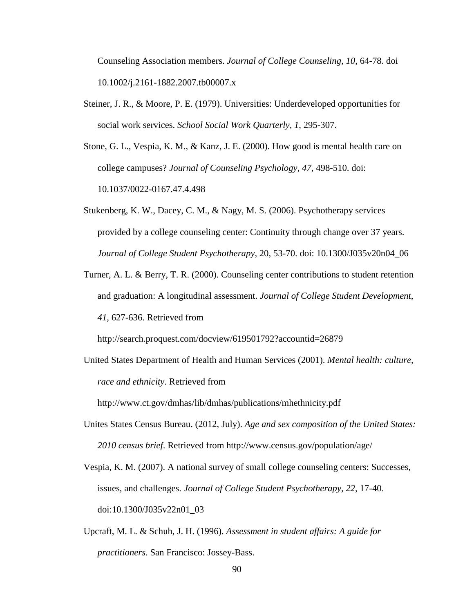Counseling Association members. *Journal of College Counseling, 10*, 64-78. doi 10.1002/j.2161-1882.2007.tb00007.x

- Steiner, J. R., & Moore, P. E. (1979). Universities: Underdeveloped opportunities for social work services. *School Social Work Quarterly, 1*, 295-307.
- Stone, G. L., Vespia, K. M., & Kanz, J. E. (2000). How good is mental health care on college campuses? *Journal of Counseling Psychology, 47*, 498-510. doi: [10.1037/0022-0167.47.4.498](http://psycnet.apa.org/doi/10.1037/0022-0167.47.4.498)
- Stukenberg, K. W., Dacey, C. M., & Nagy, M. S. (2006). Psychotherapy services provided by a college counseling center: Continuity through change over 37 years. *Journal of College Student Psychotherapy*, 20, 53-70. doi: 10.1300/J035v20n04\_06
- Turner, A. L. & Berry, T. R. (2000). Counseling center contributions to student retention and graduation: A longitudinal assessment. *Journal of College Student Development, 41*, 627-636. Retrieved from

http://search.proquest.com/docview/619501792?accountid=26879

United States Department of Health and Human Services (2001). *Mental health: culture, race and ethnicity*. Retrieved from

http://www.ct.gov/dmhas/lib/dmhas/publications/mhethnicity.pdf

- Unites States Census Bureau. (2012, July). *Age and sex composition of the United States: 2010 census brief*. Retrieved from http://www.census.gov/population/age/
- Vespia, K. M. (2007). A national survey of small college counseling centers: Successes, issues, and challenges. *Journal of College Student Psychotherapy, 22*, 17-40. doi:10.1300/J035v22n01\_03
- Upcraft, M. L. & Schuh, J. H. (1996). *Assessment in student affairs: A guide for practitioners*. San Francisco: Jossey-Bass.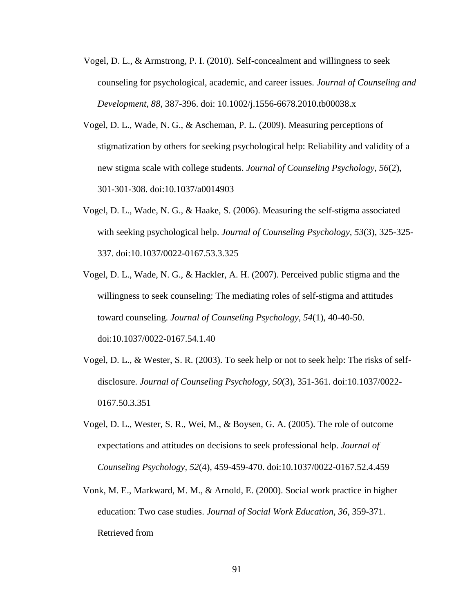- Vogel, D. L., & Armstrong, P. I. (2010). Self-concealment and willingness to seek counseling for psychological, academic, and career issues. *Journal of Counseling and Development, 88*, 387-396. doi: 10.1002/j.1556-6678.2010.tb00038.x
- Vogel, D. L., Wade, N. G., & Ascheman, P. L. (2009). Measuring perceptions of stigmatization by others for seeking psychological help: Reliability and validity of a new stigma scale with college students. *Journal of Counseling Psychology, 56*(2), 301-301-308. doi:10.1037/a0014903
- Vogel, D. L., Wade, N. G., & Haake, S. (2006). Measuring the self-stigma associated with seeking psychological help. *Journal of Counseling Psychology, 53*(3), 325-325- 337. doi:10.1037/0022-0167.53.3.325
- Vogel, D. L., Wade, N. G., & Hackler, A. H. (2007). Perceived public stigma and the willingness to seek counseling: The mediating roles of self-stigma and attitudes toward counseling. *Journal of Counseling Psychology, 54*(1), 40-40-50. doi:10.1037/0022-0167.54.1.40
- Vogel, D. L., & Wester, S. R. (2003). To seek help or not to seek help: The risks of selfdisclosure. *Journal of Counseling Psychology, 50*(3), 351-361. doi:10.1037/0022- 0167.50.3.351
- Vogel, D. L., Wester, S. R., Wei, M., & Boysen, G. A. (2005). The role of outcome expectations and attitudes on decisions to seek professional help. *Journal of Counseling Psychology, 52*(4), 459-459-470. doi:10.1037/0022-0167.52.4.459
- Vonk, M. E., Markward, M. M., & Arnold, E. (2000). Social work practice in higher education: Two case studies. *Journal of Social Work Education, 36*, 359-371. Retrieved from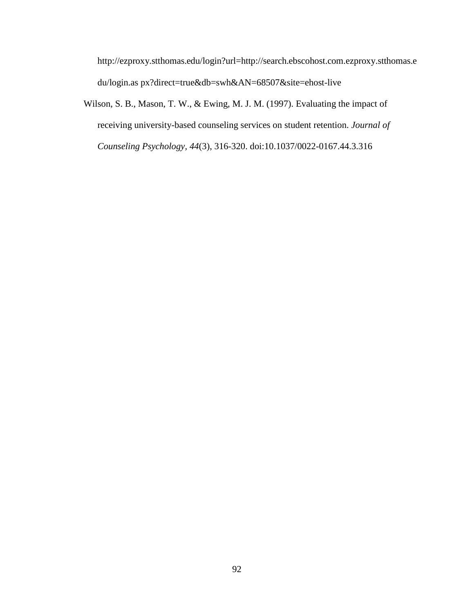http://ezproxy.stthomas.edu/login?url[=http://search.ebscohost.com.ezproxy.stthomas.e](http://search.ebscohost.com.ezproxy.stthomas.edu/login.as) [du/login.as](http://search.ebscohost.com.ezproxy.stthomas.edu/login.as) px?direct=true&db=swh&AN=68507&site=ehost-live

Wilson, S. B., Mason, T. W., & Ewing, M. J. M. (1997). Evaluating the impact of receiving university-based counseling services on student retention. *Journal of Counseling Psychology, 44*(3), 316-320. doi:10.1037/0022-0167.44.3.316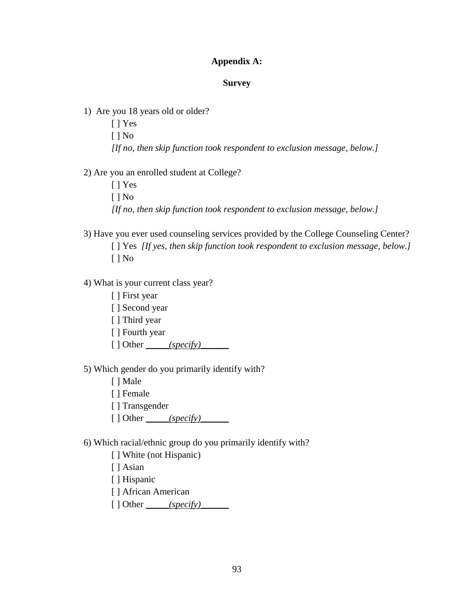### **Appendix A:**

#### **Survey**

1) Are you 18 years old or older? [ ] Yes [ ] No *[If no, then skip function took respondent to exclusion message, below.]*

2) Are you an enrolled student at College?

[ ] Yes [ ] No *[If no, then skip function took respondent to exclusion message, below.]*

3) Have you ever used counseling services provided by the College Counseling Center? [ ] Yes *[If yes, then skip function took respondent to exclusion message, below.]* [ ] No

4) What is your current class year?

[ ] First year

[ ] Second year

[ ] Third year

[ ] Fourth year

 $\lceil \cdot \rceil$  Other *\_\_\_\_\_(specify)\_\_\_\_\_\_* 

5) Which gender do you primarily identify with?

[ ] Male

[ ] Female

[ ] Transgender

 $[ ]$  Other  $\_\_\_\$ (specific)

6) Which racial/ethnic group do you primarily identify with?

[] White (not Hispanic)

[ ] Asian

[] Hispanic

[ ] African American

[ ] Other *\_\_\_\_\_(specify)\_\_\_\_\_\_*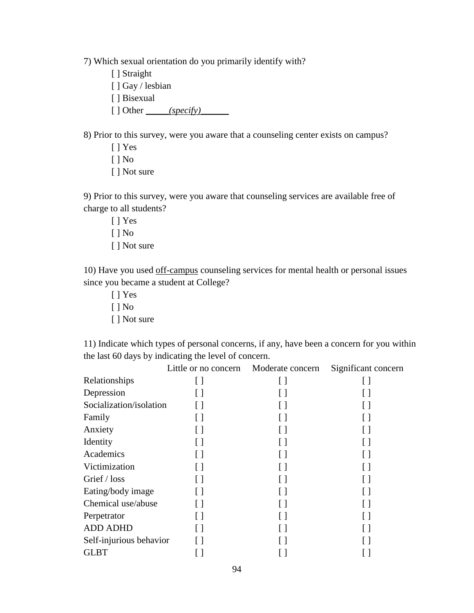7) Which sexual orientation do you primarily identify with?

- [ ] Straight
- [ ] Gay / lesbian
- [ ] Bisexual
- [ ] Other *\_\_\_\_\_(specify)\_\_\_\_\_\_*

8) Prior to this survey, were you aware that a counseling center exists on campus?

[ ] Yes [ ] No [ ] Not sure

9) Prior to this survey, were you aware that counseling services are available free of charge to all students?

[ ] Yes [ ] No [ ] Not sure

10) Have you used off-campus counseling services for mental health or personal issues since you became a student at College?

[ ] Yes [ ] No [ ] Not sure

11) Indicate which types of personal concerns, if any, have been a concern for you within the last 60 days by indicating the level of concern.

|                         | Little or no concern | Moderate concern  | Significant concern |
|-------------------------|----------------------|-------------------|---------------------|
| Relationships           |                      |                   |                     |
| Depression              |                      |                   |                     |
| Socialization/isolation |                      | $\lceil$ $\rceil$ | $\Box$              |
| Family                  |                      |                   |                     |
| Anxiety                 |                      |                   |                     |
| Identity                |                      |                   |                     |
| Academics               |                      | $[ \ ]$           |                     |
| Victimization           |                      |                   |                     |
| Grief / loss            |                      |                   |                     |
| Eating/body image       |                      | $\lceil$          |                     |
| Chemical use/abuse      |                      |                   |                     |
| Perpetrator             |                      |                   |                     |
| <b>ADD ADHD</b>         |                      | $\lceil$ $\rceil$ |                     |
| Self-injurious behavior |                      |                   |                     |
| <b>GLBT</b>             |                      |                   |                     |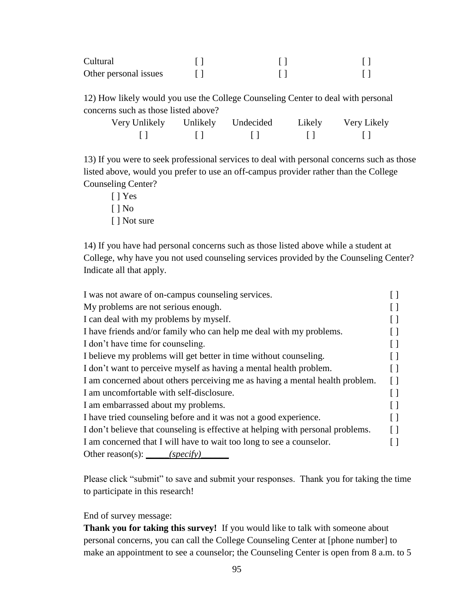| Cultural              |  |  |
|-----------------------|--|--|
| Other personal issues |  |  |

12) How likely would you use the College Counseling Center to deal with personal concerns such as those listed above?

| Very Unlikely | Unlikely Undecided | Likely | Very Likely |
|---------------|--------------------|--------|-------------|
|               |                    |        |             |

13) If you were to seek professional services to deal with personal concerns such as those listed above, would you prefer to use an off-campus provider rather than the College Counseling Center?

[ ] Yes [ ] No [ ] Not sure

14) If you have had personal concerns such as those listed above while a student at College, why have you not used counseling services provided by the Counseling Center? Indicate all that apply.

| I was not aware of on-campus counseling services.                               |  |
|---------------------------------------------------------------------------------|--|
| My problems are not serious enough.                                             |  |
| I can deal with my problems by myself.                                          |  |
| I have friends and/or family who can help me deal with my problems.             |  |
| I don't have time for counseling.                                               |  |
| I believe my problems will get better in time without counseling.               |  |
| I don't want to perceive myself as having a mental health problem.              |  |
| I am concerned about others perceiving me as having a mental health problem.    |  |
| I am uncomfortable with self-disclosure.                                        |  |
| I am embarrassed about my problems.                                             |  |
| I have tried counseling before and it was not a good experience.                |  |
| I don't believe that counseling is effective at helping with personal problems. |  |
| I am concerned that I will have to wait too long to see a counselor.            |  |
| Other reason(s): $\_\_\_\_ (specific)$                                          |  |

Please click "submit" to save and submit your responses. Thank you for taking the time to participate in this research!

### End of survey message:

**Thank you for taking this survey!** If you would like to talk with someone about personal concerns, you can call the College Counseling Center at [phone number] to make an appointment to see a counselor; the Counseling Center is open from 8 a.m. to 5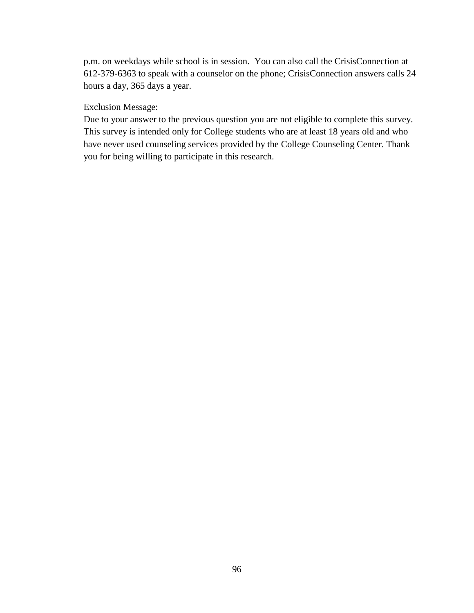p.m. on weekdays while school is in session. You can also call the CrisisConnection at 612-379-6363 to speak with a counselor on the phone; CrisisConnection answers calls 24 hours a day, 365 days a year.

### Exclusion Message:

Due to your answer to the previous question you are not eligible to complete this survey. This survey is intended only for College students who are at least 18 years old and who have never used counseling services provided by the College Counseling Center. Thank you for being willing to participate in this research.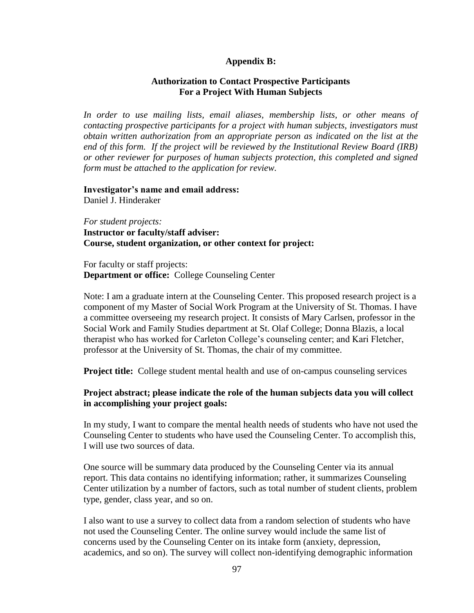### **Appendix B:**

### **Authorization to Contact Prospective Participants For a Project With Human Subjects**

*In order to use mailing lists, email aliases, membership lists, or other means of contacting prospective participants for a project with human subjects, investigators must obtain written authorization from an appropriate person as indicated on the list at the end of this form. If the project will be reviewed by the Institutional Review Board (IRB) or other reviewer for purposes of human subjects protection, this completed and signed form must be attached to the application for review.*

### **Investigator's name and email address:**  Daniel J. Hinderaker

*For student projects:* **Instructor or faculty/staff adviser: Course, student organization, or other context for project:**

For faculty or staff projects: **Department or office:** College Counseling Center

Note: I am a graduate intern at the Counseling Center. This proposed research project is a component of my Master of Social Work Program at the University of St. Thomas. I have a committee overseeing my research project. It consists of Mary Carlsen, professor in the Social Work and Family Studies department at St. Olaf College; Donna Blazis, a local therapist who has worked for Carleton College's counseling center; and Kari Fletcher, professor at the University of St. Thomas, the chair of my committee.

**Project title:** College student mental health and use of on-campus counseling services

### **Project abstract; please indicate the role of the human subjects data you will collect in accomplishing your project goals:**

In my study, I want to compare the mental health needs of students who have not used the Counseling Center to students who have used the Counseling Center. To accomplish this, I will use two sources of data.

One source will be summary data produced by the Counseling Center via its annual report. This data contains no identifying information; rather, it summarizes Counseling Center utilization by a number of factors, such as total number of student clients, problem type, gender, class year, and so on.

I also want to use a survey to collect data from a random selection of students who have not used the Counseling Center. The online survey would include the same list of concerns used by the Counseling Center on its intake form (anxiety, depression, academics, and so on). The survey will collect non-identifying demographic information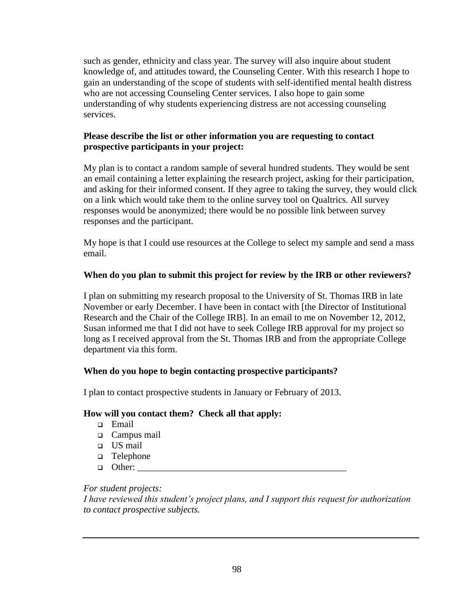such as gender, ethnicity and class year. The survey will also inquire about student knowledge of, and attitudes toward, the Counseling Center. With this research I hope to gain an understanding of the scope of students with self-identified mental health distress who are not accessing Counseling Center services. I also hope to gain some understanding of why students experiencing distress are not accessing counseling services.

## **Please describe the list or other information you are requesting to contact prospective participants in your project:**

My plan is to contact a random sample of several hundred students. They would be sent an email containing a letter explaining the research project, asking for their participation, and asking for their informed consent. If they agree to taking the survey, they would click on a link which would take them to the online survey tool on Qualtrics. All survey responses would be anonymized; there would be no possible link between survey responses and the participant.

My hope is that I could use resources at the College to select my sample and send a mass email.

## **When do you plan to submit this project for review by the IRB or other reviewers?**

I plan on submitting my research proposal to the University of St. Thomas IRB in late November or early December. I have been in contact with [the Director of Institutional Research and the Chair of the College IRB]. In an email to me on November 12, 2012, Susan informed me that I did not have to seek College IRB approval for my project so long as I received approval from the St. Thomas IRB and from the appropriate College department via this form.

## **When do you hope to begin contacting prospective participants?**

I plan to contact prospective students in January or February of 2013.

## **How will you contact them? Check all that apply:**

- Email
- Campus mail
- US mail
- □ Telephone
- $\Box$  Other:

## *For student projects:*

*I have reviewed this student's project plans, and I support this request for authorization to contact prospective subjects.*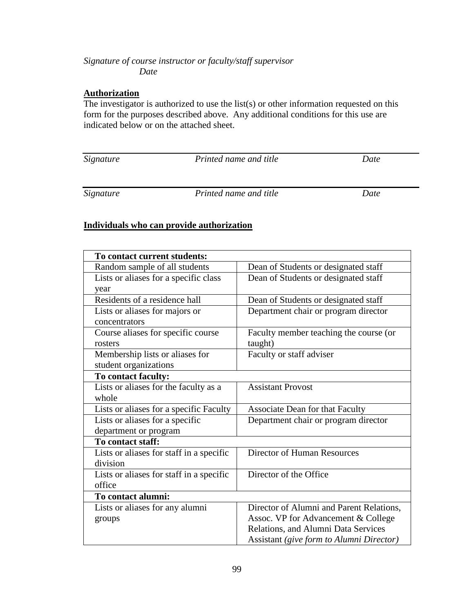# *Signature of course instructor or faculty/staff supervisor Date*

### **Authorization**

The investigator is authorized to use the list(s) or other information requested on this form for the purposes described above. Any additional conditions for this use are indicated below or on the attached sheet.

| Signature | Printed name and title | Date |
|-----------|------------------------|------|
|           |                        |      |
| Signature | Printed name and title | Date |

## **Individuals who can provide authorization**

| To contact current students:             |                                          |
|------------------------------------------|------------------------------------------|
| Random sample of all students            | Dean of Students or designated staff     |
| Lists or aliases for a specific class    | Dean of Students or designated staff     |
| year                                     |                                          |
| Residents of a residence hall            | Dean of Students or designated staff     |
| Lists or aliases for majors or           | Department chair or program director     |
| concentrators                            |                                          |
| Course aliases for specific course       | Faculty member teaching the course (or   |
| rosters                                  | taught)                                  |
| Membership lists or aliases for          | Faculty or staff adviser                 |
| student organizations                    |                                          |
| To contact faculty:                      |                                          |
| Lists or aliases for the faculty as a    | <b>Assistant Provost</b>                 |
| whole                                    |                                          |
| Lists or aliases for a specific Faculty  | <b>Associate Dean for that Faculty</b>   |
| Lists or aliases for a specific          | Department chair or program director     |
| department or program                    |                                          |
| To contact staff:                        |                                          |
| Lists or aliases for staff in a specific | Director of Human Resources              |
| division                                 |                                          |
| Lists or aliases for staff in a specific | Director of the Office                   |
| office                                   |                                          |
| To contact alumni:                       |                                          |
| Lists or aliases for any alumni          | Director of Alumni and Parent Relations, |
| groups                                   | Assoc. VP for Advancement & College      |
|                                          | Relations, and Alumni Data Services      |
|                                          | Assistant (give form to Alumni Director) |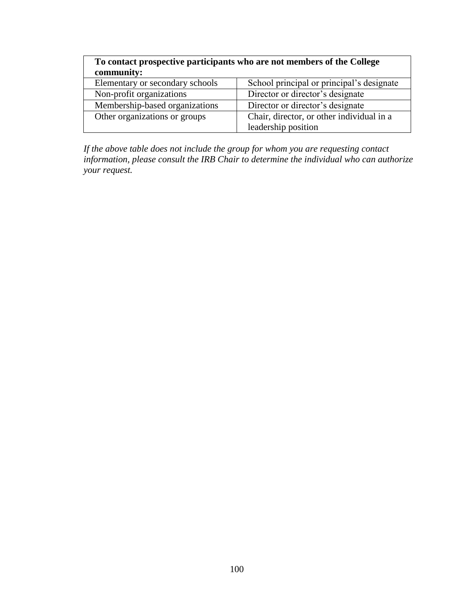| To contact prospective participants who are not members of the College |                                           |  |
|------------------------------------------------------------------------|-------------------------------------------|--|
| community:                                                             |                                           |  |
| Elementary or secondary schools                                        | School principal or principal's designate |  |
| Non-profit organizations                                               | Director or director's designate          |  |
| Membership-based organizations                                         | Director or director's designate          |  |
| Other organizations or groups                                          | Chair, director, or other individual in a |  |
|                                                                        | leadership position                       |  |

*If the above table does not include the group for whom you are requesting contact information, please consult the IRB Chair to determine the individual who can authorize your request.*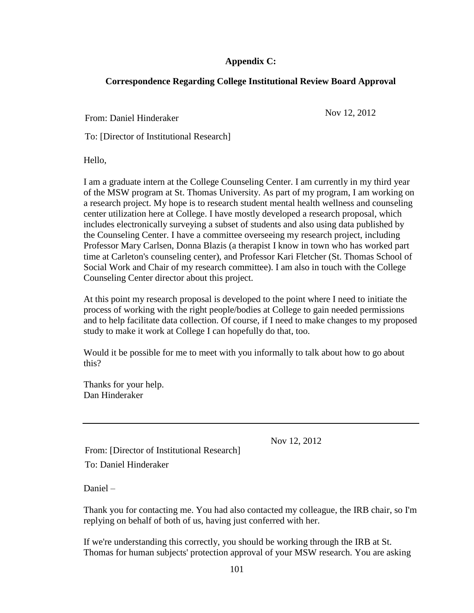## **Appendix C:**

## **Correspondence Regarding College Institutional Review Board Approval**

From: Daniel Hinderaker Nov 12, 2012

To: [Director of Institutional Research]

Hello,

I am a graduate intern at the College Counseling Center. I am currently in my third year of the MSW program at St. Thomas University. As part of my program, I am working on a research project. My hope is to research student mental health wellness and counseling center utilization here at College. I have mostly developed a research proposal, which includes electronically surveying a subset of students and also using data published by the Counseling Center. I have a committee overseeing my research project, including Professor Mary Carlsen, Donna Blazis (a therapist I know in town who has worked part time at Carleton's counseling center), and Professor Kari Fletcher (St. Thomas School of Social Work and Chair of my research committee). I am also in touch with the College Counseling Center director about this project.

At this point my research proposal is developed to the point where I need to initiate the process of working with the right people/bodies at College to gain needed permissions and to help facilitate data collection. Of course, if I need to make changes to my proposed study to make it work at College I can hopefully do that, too.

Would it be possible for me to meet with you informally to talk about how to go about this?

Thanks for your help. Dan Hinderaker

Nov 12, 2012

From: [Director of Institutional Research]

To: Daniel Hinderaker

Daniel –

Thank you for contacting me. You had also contacted my colleague, the IRB chair, so I'm replying on behalf of both of us, having just conferred with her.

If we're understanding this correctly, you should be working through the IRB at St. Thomas for human subjects' protection approval of your MSW research. You are asking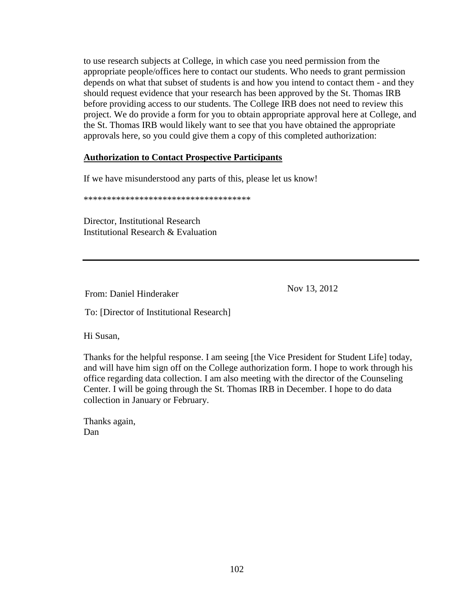to use research subjects at College, in which case you need permission from the appropriate people/offices here to contact our students. Who needs to grant permission depends on what that subset of students is and how you intend to contact them - and they should request evidence that your research has been approved by the St. Thomas IRB before providing access to our students. The College IRB does not need to review this project. We do provide a form for you to obtain appropriate approval here at College, and the St. Thomas IRB would likely want to see that you have obtained the appropriate approvals here, so you could give them a copy of this completed authorization:

### **[Authorization to Contact Prospective Participants](http://www.stolaf.edu/academics/irb/Forms/Authorization-ContactProspectiveParticipants.docx)**

If we have misunderstood any parts of this, please let us know!

\*\*\*\*\*\*\*\*\*\*\*\*\*\*\*\*\*\*\*\*\*\*\*\*\*\*\*\*\*\*\*\*\*\*\*\*

Director, Institutional Research Institutional Research & Evaluation

From: Daniel Hinderaker Nov 13, 2012

To: [Director of Institutional Research]

Hi Susan,

Thanks for the helpful response. I am seeing [the Vice President for Student Life] today, and will have him sign off on the College authorization form. I hope to work through his office regarding data collection. I am also meeting with the director of the Counseling Center. I will be going through the St. Thomas IRB in December. I hope to do data collection in January or February.

Thanks again, Dan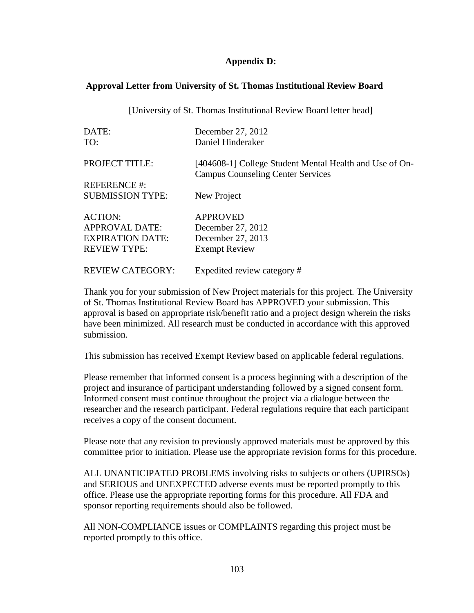### **Appendix D:**

#### **Approval Letter from University of St. Thomas Institutional Review Board**

[University of St. Thomas Institutional Review Board letter head]

| DATE:                   | December 27, 2012                                                                                   |
|-------------------------|-----------------------------------------------------------------------------------------------------|
| TO:                     | Daniel Hinderaker                                                                                   |
| PROJECT TITLE:          | [404608-1] College Student Mental Health and Use of On-<br><b>Campus Counseling Center Services</b> |
| <b>REFERENCE#:</b>      |                                                                                                     |
| <b>SUBMISSION TYPE:</b> | New Project                                                                                         |
| <b>ACTION:</b>          | <b>APPROVED</b>                                                                                     |
| <b>APPROVAL DATE:</b>   | December 27, 2012                                                                                   |
| <b>EXPIRATION DATE:</b> | December 27, 2013                                                                                   |
| <b>REVIEW TYPE:</b>     | <b>Exempt Review</b>                                                                                |
| <b>REVIEW CATEGORY:</b> | Expedited review category #                                                                         |

Thank you for your submission of New Project materials for this project. The University of St. Thomas Institutional Review Board has APPROVED your submission. This approval is based on appropriate risk/benefit ratio and a project design wherein the risks have been minimized. All research must be conducted in accordance with this approved submission.

This submission has received Exempt Review based on applicable federal regulations.

Please remember that informed consent is a process beginning with a description of the project and insurance of participant understanding followed by a signed consent form. Informed consent must continue throughout the project via a dialogue between the researcher and the research participant. Federal regulations require that each participant receives a copy of the consent document.

Please note that any revision to previously approved materials must be approved by this committee prior to initiation. Please use the appropriate revision forms for this procedure.

ALL UNANTICIPATED PROBLEMS involving risks to subjects or others (UPIRSOs) and SERIOUS and UNEXPECTED adverse events must be reported promptly to this office. Please use the appropriate reporting forms for this procedure. All FDA and sponsor reporting requirements should also be followed.

All NON-COMPLIANCE issues or COMPLAINTS regarding this project must be reported promptly to this office.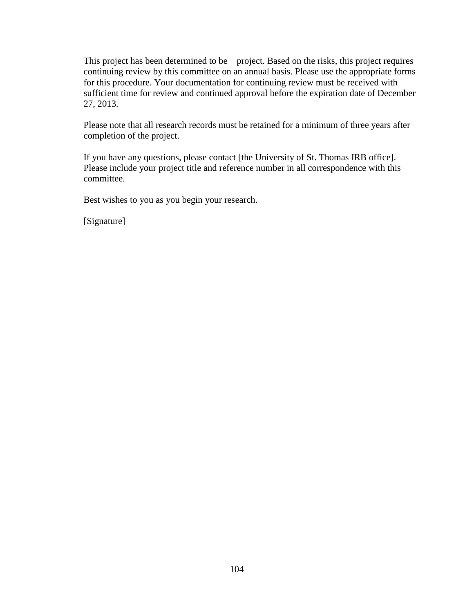This project has been determined to be project. Based on the risks, this project requires continuing review by this committee on an annual basis. Please use the appropriate forms for this procedure. Your documentation for continuing review must be received with sufficient time for review and continued approval before the expiration date of December 27, 2013.

Please note that all research records must be retained for a minimum of three years after completion of the project.

If you have any questions, please contact [the University of St. Thomas IRB office]. Please include your project title and reference number in all correspondence with this committee.

Best wishes to you as you begin your research.

[Signature]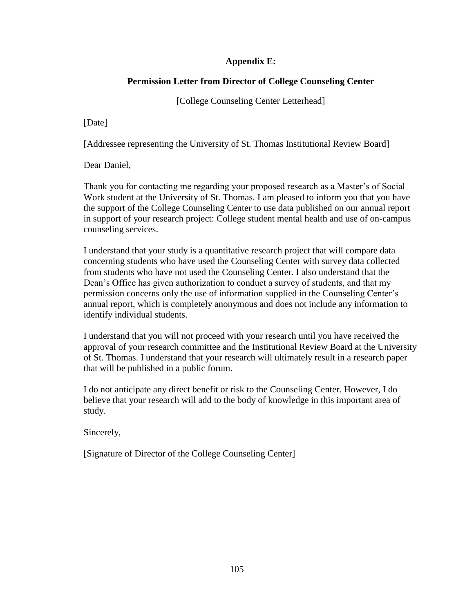# **Appendix E:**

# **Permission Letter from Director of College Counseling Center**

[College Counseling Center Letterhead]

[Date]

[Addressee representing the University of St. Thomas Institutional Review Board]

Dear Daniel,

Thank you for contacting me regarding your proposed research as a Master's of Social Work student at the University of St. Thomas. I am pleased to inform you that you have the support of the College Counseling Center to use data published on our annual report in support of your research project: College student mental health and use of on-campus counseling services.

I understand that your study is a quantitative research project that will compare data concerning students who have used the Counseling Center with survey data collected from students who have not used the Counseling Center. I also understand that the Dean's Office has given authorization to conduct a survey of students, and that my permission concerns only the use of information supplied in the Counseling Center's annual report, which is completely anonymous and does not include any information to identify individual students.

I understand that you will not proceed with your research until you have received the approval of your research committee and the Institutional Review Board at the University of St. Thomas. I understand that your research will ultimately result in a research paper that will be published in a public forum.

I do not anticipate any direct benefit or risk to the Counseling Center. However, I do believe that your research will add to the body of knowledge in this important area of study.

Sincerely,

[Signature of Director of the College Counseling Center]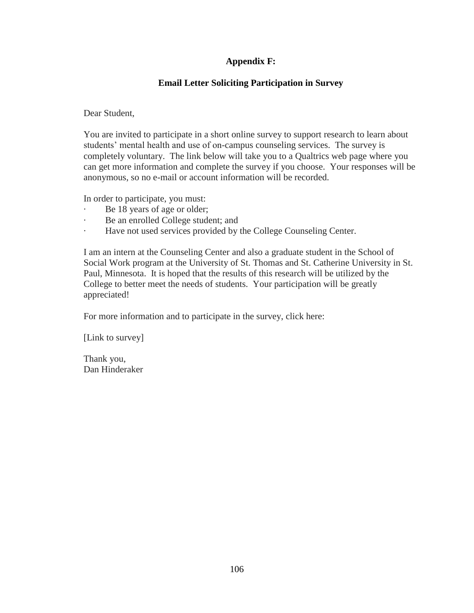# **Appendix F:**

# **Email Letter Soliciting Participation in Survey**

Dear Student,

You are invited to participate in a short online survey to support research to learn about students' mental health and use of on-campus counseling services. The survey is completely voluntary. The link below will take you to a Qualtrics web page where you can get more information and complete the survey if you choose. Your responses will be anonymous, so no e-mail or account information will be recorded.

In order to participate, you must:

- · Be 18 years of age or older;
- Be an enrolled College student; and
- Have not used services provided by the College Counseling Center.

I am an intern at the Counseling Center and also a graduate student in the School of Social Work program at the University of St. Thomas and St. Catherine University in St. Paul, Minnesota. It is hoped that the results of this research will be utilized by the College to better meet the needs of students. Your participation will be greatly appreciated!

For more information and to participate in the survey, click here:

[Link to survey]

Thank you, Dan Hinderaker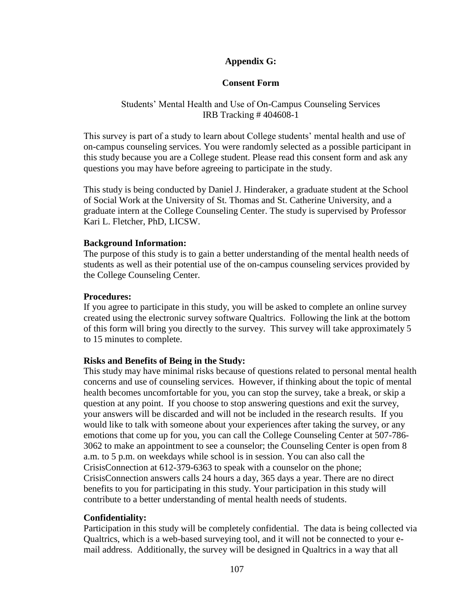## **Appendix G:**

## **Consent Form**

### Students' Mental Health and Use of On-Campus Counseling Services IRB Tracking # 404608-1

This survey is part of a study to learn about College students' mental health and use of on-campus counseling services. You were randomly selected as a possible participant in this study because you are a College student. Please read this consent form and ask any questions you may have before agreeing to participate in the study.

This study is being conducted by Daniel J. Hinderaker, a graduate student at the School of Social Work at the University of St. Thomas and St. Catherine University, and a graduate intern at the College Counseling Center. The study is supervised by Professor Kari L. Fletcher, PhD, LICSW.

#### **Background Information:**

The purpose of this study is to gain a better understanding of the mental health needs of students as well as their potential use of the on-campus counseling services provided by the College Counseling Center.

### **Procedures:**

If you agree to participate in this study, you will be asked to complete an online survey created using the electronic survey software Qualtrics. Following the link at the bottom of this form will bring you directly to the survey. This survey will take approximately 5 to 15 minutes to complete.

## **Risks and Benefits of Being in the Study:**

This study may have minimal risks because of questions related to personal mental health concerns and use of counseling services. However, if thinking about the topic of mental health becomes uncomfortable for you, you can stop the survey, take a break, or skip a question at any point. If you choose to stop answering questions and exit the survey, your answers will be discarded and will not be included in the research results. If you would like to talk with someone about your experiences after taking the survey, or any emotions that come up for you, you can call the College Counseling Center at 507-786- 3062 to make an appointment to see a counselor; the Counseling Center is open from 8 a.m. to 5 p.m. on weekdays while school is in session. You can also call the CrisisConnection at 612-379-6363 to speak with a counselor on the phone; CrisisConnection answers calls 24 hours a day, 365 days a year. There are no direct benefits to you for participating in this study. Your participation in this study will contribute to a better understanding of mental health needs of students.

## **Confidentiality:**

Participation in this study will be completely confidential. The data is being collected via Qualtrics, which is a web-based surveying tool, and it will not be connected to your email address. Additionally, the survey will be designed in Qualtrics in a way that all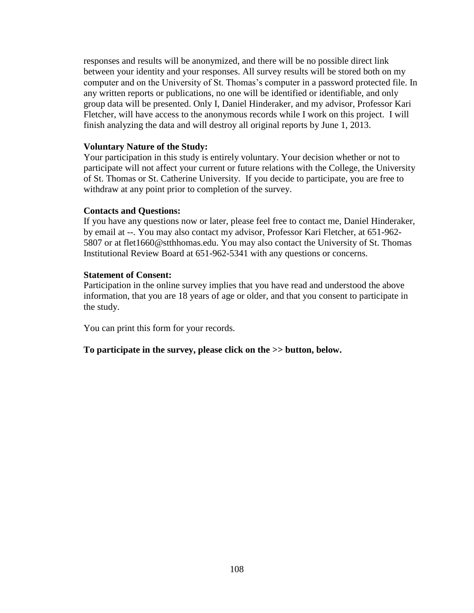responses and results will be anonymized, and there will be no possible direct link between your identity and your responses. All survey results will be stored both on my computer and on the University of St. Thomas's computer in a password protected file. In any written reports or publications, no one will be identified or identifiable, and only group data will be presented. Only I, Daniel Hinderaker, and my advisor, Professor Kari Fletcher, will have access to the anonymous records while I work on this project. I will finish analyzing the data and will destroy all original reports by June 1, 2013.

#### **Voluntary Nature of the Study:**

Your participation in this study is entirely voluntary. Your decision whether or not to participate will not affect your current or future relations with the College, the University of St. Thomas or St. Catherine University. If you decide to participate, you are free to withdraw at any point prior to completion of the survey.

### **Contacts and Questions:**

If you have any questions now or later, please feel free to contact me, Daniel Hinderaker, by email at --. You may also contact my advisor, Professor Kari Fletcher, at 651-962- 5807 or at flet1660@stthhomas.edu. You may also contact the University of St. Thomas Institutional Review Board at 651-962-5341 with any questions or concerns.

### **Statement of Consent:**

Participation in the online survey implies that you have read and understood the above information, that you are 18 years of age or older, and that you consent to participate in the study.

You can print this form for your records.

**To participate in the survey, please click on the >> button, below.**